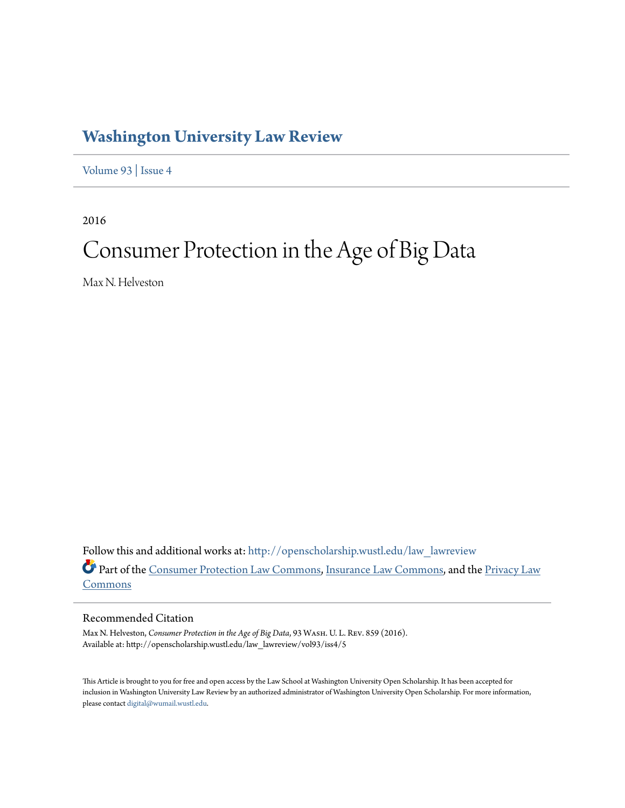# **[Washington University Law Review](http://openscholarship.wustl.edu/law_lawreview?utm_source=openscholarship.wustl.edu%2Flaw_lawreview%2Fvol93%2Fiss4%2F5&utm_medium=PDF&utm_campaign=PDFCoverPages)**

[Volume 93](http://openscholarship.wustl.edu/law_lawreview/vol93?utm_source=openscholarship.wustl.edu%2Flaw_lawreview%2Fvol93%2Fiss4%2F5&utm_medium=PDF&utm_campaign=PDFCoverPages) | [Issue 4](http://openscholarship.wustl.edu/law_lawreview/vol93/iss4?utm_source=openscholarship.wustl.edu%2Flaw_lawreview%2Fvol93%2Fiss4%2F5&utm_medium=PDF&utm_campaign=PDFCoverPages)

2016

# Consumer Protection in the Age of Big Data

Max N. Helveston

Follow this and additional works at: [http://openscholarship.wustl.edu/law\\_lawreview](http://openscholarship.wustl.edu/law_lawreview?utm_source=openscholarship.wustl.edu%2Flaw_lawreview%2Fvol93%2Fiss4%2F5&utm_medium=PDF&utm_campaign=PDFCoverPages) Part of the [Consumer Protection Law Commons](http://network.bepress.com/hgg/discipline/838?utm_source=openscholarship.wustl.edu%2Flaw_lawreview%2Fvol93%2Fiss4%2F5&utm_medium=PDF&utm_campaign=PDFCoverPages), [Insurance Law Commons](http://network.bepress.com/hgg/discipline/607?utm_source=openscholarship.wustl.edu%2Flaw_lawreview%2Fvol93%2Fiss4%2F5&utm_medium=PDF&utm_campaign=PDFCoverPages), and the [Privacy Law](http://network.bepress.com/hgg/discipline/1234?utm_source=openscholarship.wustl.edu%2Flaw_lawreview%2Fvol93%2Fiss4%2F5&utm_medium=PDF&utm_campaign=PDFCoverPages) [Commons](http://network.bepress.com/hgg/discipline/1234?utm_source=openscholarship.wustl.edu%2Flaw_lawreview%2Fvol93%2Fiss4%2F5&utm_medium=PDF&utm_campaign=PDFCoverPages)

# Recommended Citation

Max N. Helveston, *Consumer Protection in the Age of Big Data*, 93 Wash. U. L. Rev. 859 (2016). Available at: http://openscholarship.wustl.edu/law\_lawreview/vol93/iss4/5

This Article is brought to you for free and open access by the Law School at Washington University Open Scholarship. It has been accepted for inclusion in Washington University Law Review by an authorized administrator of Washington University Open Scholarship. For more information, please contact [digital@wumail.wustl.edu.](mailto:digital@wumail.wustl.edu)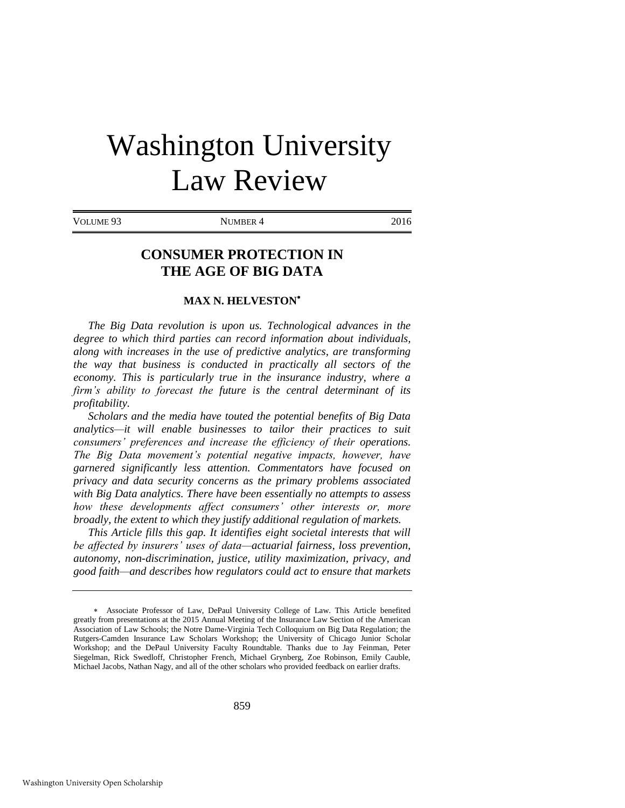# Washington University Law Review

VOLUME 93 NUMBER 4 2016

# **CONSUMER PROTECTION IN THE AGE OF BIG DATA**

# **MAX N. HELVESTON**

*The Big Data revolution is upon us. Technological advances in the degree to which third parties can record information about individuals, along with increases in the use of predictive analytics, are transforming the way that business is conducted in practically all sectors of the economy. This is particularly true in the insurance industry, where a firm's ability to forecast the future is the central determinant of its profitability.* 

*Scholars and the media have touted the potential benefits of Big Data analytics—it will enable businesses to tailor their practices to suit consumers' preferences and increase the efficiency of their operations. The Big Data movement's potential negative impacts, however, have garnered significantly less attention. Commentators have focused on privacy and data security concerns as the primary problems associated with Big Data analytics. There have been essentially no attempts to assess how these developments affect consumers' other interests or, more broadly, the extent to which they justify additional regulation of markets.* 

*This Article fills this gap. It identifies eight societal interests that will be affected by insurers' uses of data—actuarial fairness, loss prevention, autonomy, non-discrimination, justice, utility maximization, privacy, and good faith—and describes how regulators could act to ensure that markets* 

Associate Professor of Law, DePaul University College of Law. This Article benefited greatly from presentations at the 2015 Annual Meeting of the Insurance Law Section of the American Association of Law Schools; the Notre Dame-Virginia Tech Colloquium on Big Data Regulation; the Rutgers-Camden Insurance Law Scholars Workshop; the University of Chicago Junior Scholar Workshop; and the DePaul University Faculty Roundtable. Thanks due to Jay Feinman, Peter Siegelman, Rick Swedloff, Christopher French, Michael Grynberg, Zoe Robinson, Emily Cauble, Michael Jacobs, Nathan Nagy, and all of the other scholars who provided feedback on earlier drafts.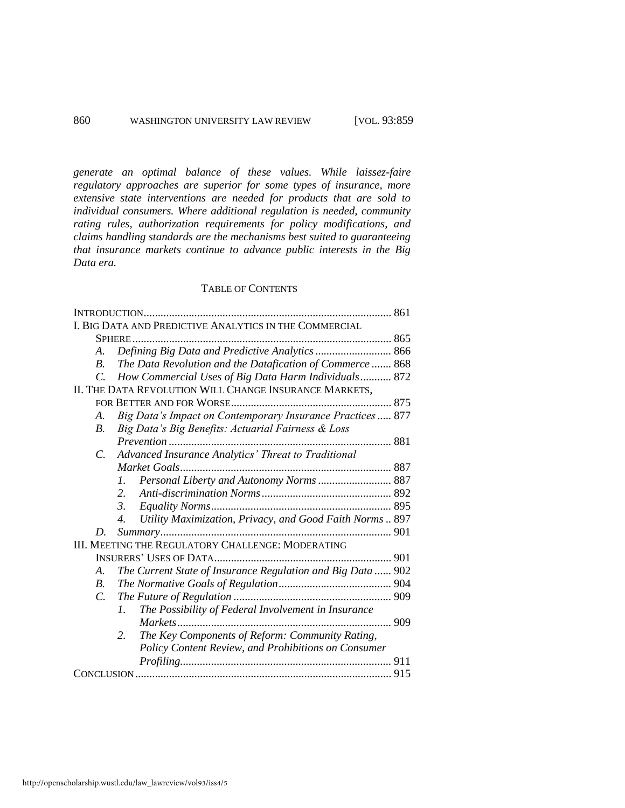*generate an optimal balance of these values. While laissez-faire regulatory approaches are superior for some types of insurance, more extensive state interventions are needed for products that are sold to individual consumers. Where additional regulation is needed, community rating rules, authorization requirements for policy modifications, and claims handling standards are the mechanisms best suited to guaranteeing that insurance markets continue to advance public interests in the Big Data era.* 

# TABLE OF CONTENTS

|                                                        | INTRODUCTION                                                       |
|--------------------------------------------------------|--------------------------------------------------------------------|
| I. BIG DATA AND PREDICTIVE ANALYTICS IN THE COMMERCIAL |                                                                    |
|                                                        | SPHERE.                                                            |
| A.                                                     | Defining Big Data and Predictive Analytics  866                    |
| <i>B</i> .                                             | The Data Revolution and the Datafication of Commerce 868           |
| $\mathcal{C}$                                          | How Commercial Uses of Big Data Harm Individuals 872               |
| II. THE DATA REVOLUTION WILL CHANGE INSURANCE MARKETS, |                                                                    |
|                                                        |                                                                    |
| A.                                                     | Big Data's Impact on Contemporary Insurance Practices 877          |
| <i>B</i> .                                             | Big Data's Big Benefits: Actuarial Fairness & Loss                 |
|                                                        | Prevention                                                         |
| C.                                                     | Advanced Insurance Analytics' Threat to Traditional                |
|                                                        |                                                                    |
|                                                        | Personal Liberty and Autonomy Norms  887<br>1.                     |
|                                                        | 2.                                                                 |
|                                                        | 3.                                                                 |
|                                                        | Utility Maximization, Privacy, and Good Faith Norms  897<br>4.     |
| D.                                                     |                                                                    |
| III. MEETING THE REGULATORY CHALLENGE: MODERATING      |                                                                    |
|                                                        |                                                                    |
| A.                                                     | The Current State of Insurance Regulation and Big Data  902        |
| <i>B</i> .                                             |                                                                    |
| $\overline{C}$                                         |                                                                    |
|                                                        | The Possibility of Federal Involvement in Insurance<br>$l_{\cdot}$ |
|                                                        | 909                                                                |
|                                                        | 2.<br>The Key Components of Reform: Community Rating,              |
|                                                        | Policy Content Review, and Prohibitions on Consumer                |
|                                                        |                                                                    |
|                                                        |                                                                    |
|                                                        |                                                                    |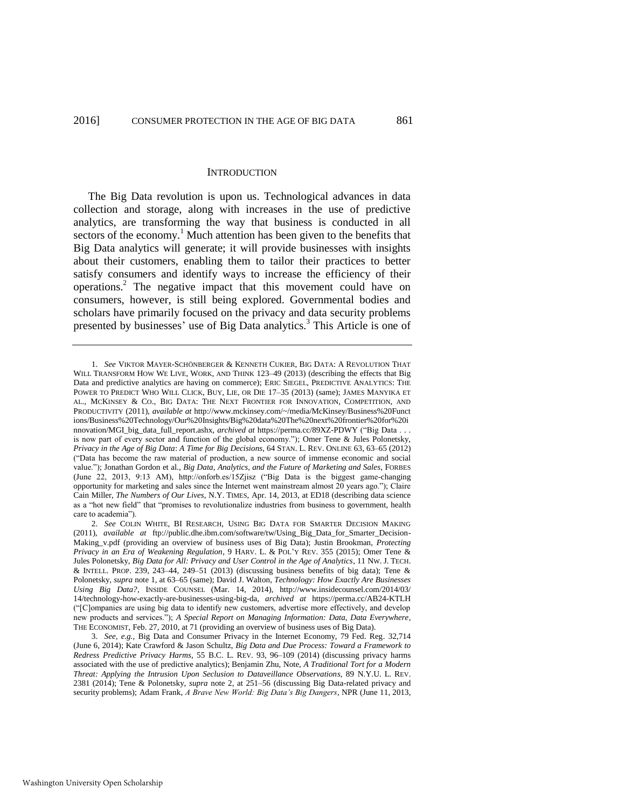#### <span id="page-3-2"></span><span id="page-3-0"></span>**INTRODUCTION**

The Big Data revolution is upon us. Technological advances in data collection and storage, along with increases in the use of predictive analytics, are transforming the way that business is conducted in all sectors of the economy.<sup>1</sup> Much attention has been given to the benefits that Big Data analytics will generate; it will provide businesses with insights about their customers, enabling them to tailor their practices to better satisfy consumers and identify ways to increase the efficiency of their operations.<sup>2</sup> The negative impact that this movement could have on consumers, however, is still being explored. Governmental bodies and scholars have primarily focused on the privacy and data security problems presented by businesses' use of Big Data analytics.<sup>3</sup> This Article is one of

<span id="page-3-1"></span><sup>1.</sup> *See* VIKTOR MAYER-SCHÖNBERGER & KENNETH CUKIER, BIG DATA: A REVOLUTION THAT WILL TRANSFORM HOW WE LIVE, WORK, AND THINK 123–49 (2013) (describing the effects that Big Data and predictive analytics are having on commerce); ERIC SIEGEL, PREDICTIVE ANALYTICS: THE POWER TO PREDICT WHO WILL CLICK, BUY, LIE, OR DIE 17–35 (2013) (same); JAMES MANYIKA ET AL., MCKINSEY & CO., BIG DATA: THE NEXT FRONTIER FOR INNOVATION, COMPETITION, AND PRODUCTIVITY (2011), *available at* http://www.mckinsey.com/~/media/McKinsey/Business%20Funct ions/Business%20Technology/Our%20Insights/Big%20data%20The%20next%20frontier%20for%20i nnovation/MGI\_big\_data\_full\_report.ashx, *archived at* https://perma.cc/89XZ-PDWY ("Big Data . . . is now part of every sector and function of the global economy."); Omer Tene & Jules Polonetsky, *Privacy in the Age of Big Data*: *A Time for Big Decisions*, 64 STAN. L. REV. ONLINE 63, 63–65 (2012) ("Data has become the raw material of production, a new source of immense economic and social value."); Jonathan Gordon et al., *Big Data, Analytics, and the Future of Marketing and Sales*, FORBES (June 22, 2013, 9:13 AM), http://onforb.es/15Zjisz ("Big Data is the biggest game-changing opportunity for marketing and sales since the Internet went mainstream almost 20 years ago."); Claire Cain Miller, *The Numbers of Our Lives*, N.Y. TIMES, Apr. 14, 2013, at ED18 (describing data science as a "hot new field" that "promises to revolutionalize industries from business to government, health care to academia").

<sup>2.</sup> *See* COLIN WHITE, BI RESEARCH, USING BIG DATA FOR SMARTER DECISION MAKING (2011), *available at* ftp://public.dhe.ibm.com/software/tw/Using\_Big\_Data\_for\_Smarter\_Decision-Making\_v.pdf (providing an overview of business uses of Big Data); Justin Brookman, *Protecting Privacy in an Era of Weakening Regulation*, 9 HARV. L. & POL'Y REV. 355 (2015); Omer Tene & Jules Polonetsky, *Big Data for All: Privacy and User Control in the Age of Analytics*, 11 NW. J. TECH.  $\&$  INTELL. PROP. 239, 243–44, 249–51 (2013) (discussing business benefits of big data); Tene  $\&$ Polonetsky, *supra* note [1,](#page-3-0) at 63–65 (same); David J. Walton, *Technology: How Exactly Are Businesses Using Big Data?*, INSIDE COUNSEL (Mar. 14, 2014), [http://www.insidecounsel.com/2014/03/](http://www.insidecounsel.com/2014/03/14/techno)  [14/technolo](http://www.insidecounsel.com/2014/03/14/techno)gy-how-exactly-are-businesses-using-big-da, *archived at* https://perma.cc/AB24-KTLH ("[C]ompanies are using big data to identify new customers, advertise more effectively, and develop new products and services."); *A Special Report on Managing Information: Data, Data Everywhere*, THE ECONOMIST, Feb. 27, 2010, at 71 (providing an overview of business uses of Big Data).

<sup>3.</sup> *See, e.g.*, Big Data and Consumer Privacy in the Internet Economy, 79 Fed. Reg. 32,714 (June 6, 2014); Kate Crawford & Jason Schultz, *Big Data and Due Process: Toward a Framework to Redress Predictive Privacy Harms*, 55 B.C. L. REV. 93, 96–109 (2014) (discussing privacy harms associated with the use of predictive analytics); Benjamin Zhu, Note, *A Traditional Tort for a Modern Threat: Applying the Intrusion Upon Seclusion to Dataveillance Observations*, 89 N.Y.U. L. REV. 2381 (2014); Tene & Polonetsky, *supra* note [2,](#page-3-1) at 251–56 (discussing Big Data-related privacy and security problems); Adam Frank, *A Brave New World: Big Data's Big Dangers*, NPR (June 11, 2013,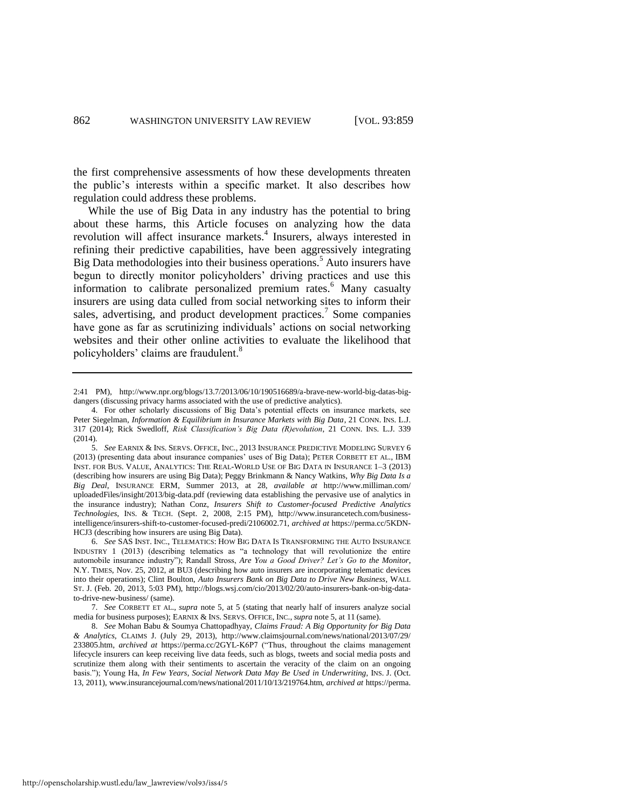the first comprehensive assessments of how these developments threaten the public's interests within a specific market. It also describes how regulation could address these problems.

<span id="page-4-2"></span><span id="page-4-1"></span><span id="page-4-0"></span>While the use of Big Data in any industry has the potential to bring about these harms, this Article focuses on analyzing how the data revolution will affect insurance markets.<sup>4</sup> Insurers, always interested in refining their predictive capabilities, have been aggressively integrating Big Data methodologies into their business operations.<sup>5</sup> Auto insurers have begun to directly monitor policyholders' driving practices and use this information to calibrate personalized premium rates.<sup>6</sup> Many casualty insurers are using data culled from social networking sites to inform their sales, advertising, and product development practices.<sup>7</sup> Some companies have gone as far as scrutinizing individuals' actions on social networking websites and their other online activities to evaluate the likelihood that policyholders' claims are fraudulent.<sup>8</sup>

<span id="page-4-3"></span><sup>2:41</sup> PM), http://www.npr.org/blogs/13.7/2013/06/10/190516689/a-brave-new-world-big-datas-bigdangers (discussing privacy harms associated with the use of predictive analytics).

<sup>4.</sup> For other scholarly discussions of Big Data's potential effects on insurance markets, see Peter Siegelman, *Information & Equilibrium in Insurance Markets with Big Data*, 21 CONN. INS. L.J. 317 (2014); Rick Swedloff, *Risk Classification's Big Data (R)evolution*, 21 CONN. INS. L.J. 339 (2014).

<sup>5.</sup> *See* EARNIX & INS. SERVS. OFFICE, INC., 2013 INSURANCE PREDICTIVE MODELING SURVEY 6 (2013) (presenting data about insurance companies' uses of Big Data); PETER CORBETT ET AL., IBM INST. FOR BUS. VALUE, ANALYTICS: THE REAL-WORLD USE OF BIG DATA IN INSURANCE 1–3 (2013) (describing how insurers are using Big Data); Peggy Brinkmann & Nancy Watkins, *Why Big Data Is a Big Deal*, INSURANCE ERM, Summer 2013, at 28, *available at* http://www.milliman.com/ uploadedFiles/insight/2013/big-data.pdf (reviewing data establishing the pervasive use of analytics in the insurance industry); Nathan Conz, *Insurers Shift to Customer-focused Predictive Analytics Technologies*, INS. & TECH. (Sept. 2, 2008, 2:15 PM), [http://www.insurancetech.com/business](http://www.insurancetech.com/business-intelligence/insurers-shift-to-customer-focused-predi/2106002)[intelligence/insurers-shift-to-customer-focused-predi/2106002.7](http://www.insurancetech.com/business-intelligence/insurers-shift-to-customer-focused-predi/2106002)1, *archived at* https://perma.cc/5KDN-HCJ3 (describing how insurers are using Big Data).

<sup>6.</sup> *See* SAS INST. INC., TELEMATICS: HOW BIG DATA IS TRANSFORMING THE AUTO INSURANCE INDUSTRY 1 (2013) (describing telematics as "a technology that will revolutionize the entire automobile insurance industry"); Randall Stross, *Are You a Good Driver? Let's Go to the Monitor*, N.Y. TIMES, Nov. 25, 2012, at BU3 (describing how auto insurers are incorporating telematic devices into their operations); Clint Boulton, *Auto Insurers Bank on Big Data to Drive New Business*, WALL ST. J. (Feb. 20, 2013, 5:03 PM), http://blogs.wsj.com/cio/2013/02/20/auto-insurers-bank-on-big-datato-drive-new-business/ (same).

<sup>7.</sup> *See* CORBETT ET AL., *supra* note [5,](#page-4-0) at 5 (stating that nearly half of insurers analyze social media for business purposes); EARNIX & INS. SERVS. OFFICE, INC., *supra* not[e 5,](#page-4-0) at 11 (same).

<sup>8.</sup> *See* Mohan Babu & Soumya Chattopadhyay, *Claims Fraud: A Big Opportunity for Big Data & Analytics*, CLAIMS J. (July 29, 2013), http://www.claimsjournal.com/news/national/2013/07/29/ 233805.htm, *archived at* https://perma.cc/2GYL-K6P7 ("Thus, throughout the claims management lifecycle insurers can keep receiving live data feeds, such as blogs, tweets and social media posts and scrutinize them along with their sentiments to ascertain the veracity of the claim on an ongoing basis."); Young Ha, *In Few Years, Social Network Data May Be Used in Underwriting*, INS. J. (Oct. 13, 2011), www.insurancejournal.com/news/national/2011/10/13/219764.htm, *archived at* https://perma.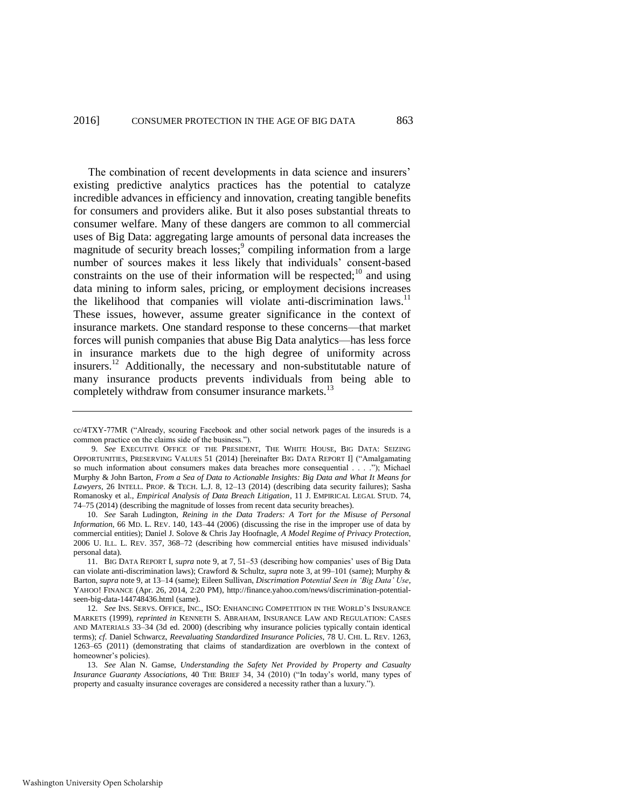<span id="page-5-0"></span>The combination of recent developments in data science and insurers' existing predictive analytics practices has the potential to catalyze incredible advances in efficiency and innovation, creating tangible benefits for consumers and providers alike. But it also poses substantial threats to consumer welfare. Many of these dangers are common to all commercial uses of Big Data: aggregating large amounts of personal data increases the magnitude of security breach losses;<sup>9</sup> compiling information from a large number of sources makes it less likely that individuals' consent-based constraints on the use of their information will be respected;<sup>10</sup> and using data mining to inform sales, pricing, or employment decisions increases the likelihood that companies will violate anti-discrimination laws.<sup>11</sup> These issues, however, assume greater significance in the context of insurance markets. One standard response to these concerns—that market forces will punish companies that abuse Big Data analytics—has less force in insurance markets due to the high degree of uniformity across insurers.<sup>12</sup> Additionally, the necessary and non-substitutable nature of many insurance products prevents individuals from being able to completely withdraw from consumer insurance markets.<sup>13</sup>

cc/4TXY-77MR ("Already, scouring Facebook and other social network pages of the insureds is a common practice on the claims side of the business.").

<sup>9.</sup> *See* EXECUTIVE OFFICE OF THE PRESIDENT, THE WHITE HOUSE, BIG DATA: SEIZING OPPORTUNITIES, PRESERVING VALUES 51 (2014) [hereinafter BIG DATA REPORT I] ("Amalgamating so much information about consumers makes data breaches more consequential . . . ."); Michael Murphy & John Barton, *From a Sea of Data to Actionable Insights: Big Data and What It Means for Lawyers*, 26 INTELL. PROP. & TECH. L.J. 8, 12–13 (2014) (describing data security failures); Sasha Romanosky et al., *Empirical Analysis of Data Breach Litigation*, 11 J. EMPIRICAL LEGAL STUD. 74, 74–75 (2014) (describing the magnitude of losses from recent data security breaches).

<sup>10.</sup> *See* Sarah Ludington, *Reining in the Data Traders: A Tort for the Misuse of Personal Information*, 66 MD. L. REV. 140, 143–44 (2006) (discussing the rise in the improper use of data by commercial entities); Daniel J. Solove & Chris Jay Hoofnagle, *A Model Regime of Privacy Protection*, 2006 U. ILL. L. REV. 357, 368–72 (describing how commercial entities have misused individuals' personal data).

<sup>11.</sup> BIG DATA REPORT I, *supra* not[e 9,](#page-5-0) at 7, 51–53 (describing how companies' uses of Big Data can violate anti-discrimination laws); Crawford & Schultz, *supra* note [3,](#page-3-2) at 99–101 (same); Murphy & Barton, *supra* note [9,](#page-5-0) at 13–14 (same); Eileen Sullivan, *Discrimation Potential Seen in 'Big Data' Use*, YAHOO! FINANCE (Apr. 26, 2014, 2:20 PM), http://finance.yahoo.com/news/discrimination-potentialseen-big-data-144748436.html (same).

<sup>12.</sup> *See* INS. SERVS. OFFICE, INC., ISO: ENHANCING COMPETITION IN THE WORLD'S INSURANCE MARKETS (1999), *reprinted in* KENNETH S. ABRAHAM, INSURANCE LAW AND REGULATION: CASES AND MATERIALS 33–34 (3d ed. 2000) (describing why insurance policies typically contain identical terms); *cf.* Daniel Schwarcz, *Reevaluating Standardized Insurance Policies*, 78 U. CHI. L. REV. 1263, 1263–65 (2011) (demonstrating that claims of standardization are overblown in the context of homeowner's policies).

<sup>13.</sup> *See* Alan N. Gamse, *Understanding the Safety Net Provided by Property and Casualty Insurance Guaranty Associations*, 40 THE BRIEF 34, 34 (2010) ("In today's world, many types of property and casualty insurance coverages are considered a necessity rather than a luxury.").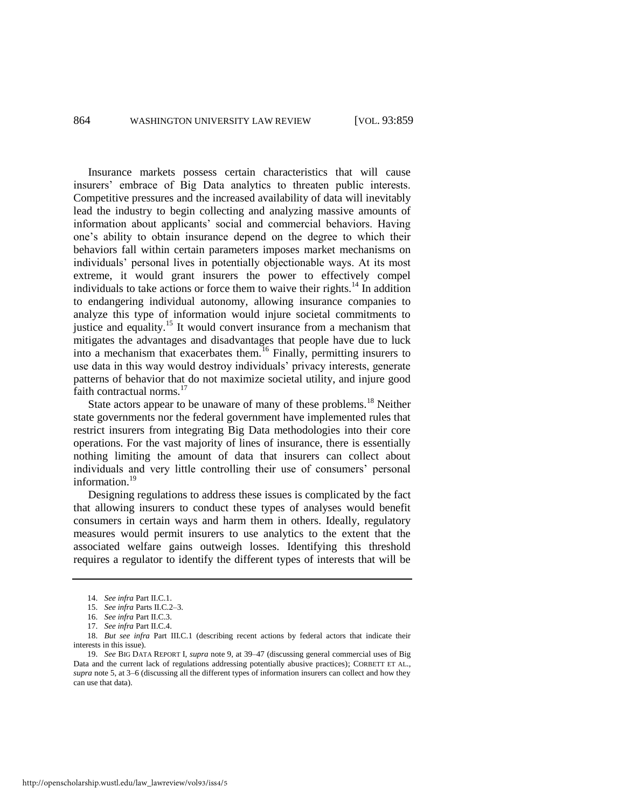Insurance markets possess certain characteristics that will cause insurers' embrace of Big Data analytics to threaten public interests. Competitive pressures and the increased availability of data will inevitably lead the industry to begin collecting and analyzing massive amounts of information about applicants' social and commercial behaviors. Having one's ability to obtain insurance depend on the degree to which their behaviors fall within certain parameters imposes market mechanisms on individuals' personal lives in potentially objectionable ways. At its most extreme, it would grant insurers the power to effectively compel individuals to take actions or force them to waive their rights.<sup>14</sup> In addition to endangering individual autonomy, allowing insurance companies to analyze this type of information would injure societal commitments to justice and equality.<sup>15</sup> It would convert insurance from a mechanism that mitigates the advantages and disadvantages that people have due to luck into a mechanism that exacerbates them.<sup>16</sup> Finally, permitting insurers to use data in this way would destroy individuals' privacy interests, generate patterns of behavior that do not maximize societal utility, and injure good faith contractual norms.<sup>17</sup>

State actors appear to be unaware of many of these problems.<sup>18</sup> Neither state governments nor the federal government have implemented rules that restrict insurers from integrating Big Data methodologies into their core operations. For the vast majority of lines of insurance, there is essentially nothing limiting the amount of data that insurers can collect about individuals and very little controlling their use of consumers' personal information.<sup>19</sup>

Designing regulations to address these issues is complicated by the fact that allowing insurers to conduct these types of analyses would benefit consumers in certain ways and harm them in others. Ideally, regulatory measures would permit insurers to use analytics to the extent that the associated welfare gains outweigh losses. Identifying this threshold requires a regulator to identify the different types of interests that will be

http://openscholarship.wustl.edu/law\_lawreview/vol93/iss4/5

<sup>14.</sup> *See infra* Part II.C.1.

<sup>15.</sup> *See infra* Parts II.C.2–3.

<sup>16.</sup> *See infra* Part II.C.3.

<sup>17.</sup> *See infra* Part II.C.4.

<sup>18.</sup> *But see infra* Part III.C.1 (describing recent actions by federal actors that indicate their interests in this issue).

<sup>19.</sup> *See* BIG DATA REPORT I, *supra* not[e 9,](#page-5-0) at 39–47 (discussing general commercial uses of Big Data and the current lack of regulations addressing potentially abusive practices); CORBETT ET AL., *supra* not[e 5,](#page-4-0) at 3–6 (discussing all the different types of information insurers can collect and how they can use that data).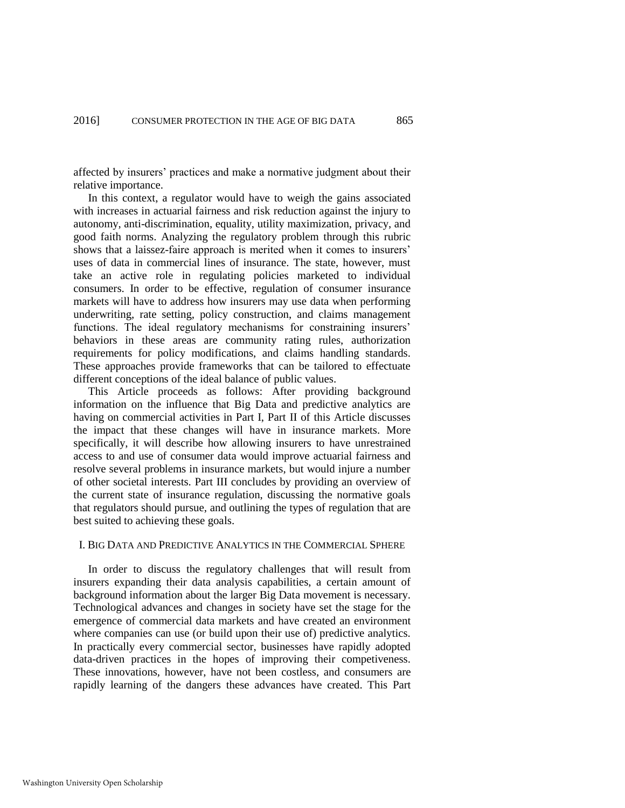affected by insurers' practices and make a normative judgment about their relative importance.

In this context, a regulator would have to weigh the gains associated with increases in actuarial fairness and risk reduction against the injury to autonomy, anti-discrimination, equality, utility maximization, privacy, and good faith norms. Analyzing the regulatory problem through this rubric shows that a laissez-faire approach is merited when it comes to insurers' uses of data in commercial lines of insurance. The state, however, must take an active role in regulating policies marketed to individual consumers. In order to be effective, regulation of consumer insurance markets will have to address how insurers may use data when performing underwriting, rate setting, policy construction, and claims management functions. The ideal regulatory mechanisms for constraining insurers' behaviors in these areas are community rating rules, authorization requirements for policy modifications, and claims handling standards. These approaches provide frameworks that can be tailored to effectuate different conceptions of the ideal balance of public values.

This Article proceeds as follows: After providing background information on the influence that Big Data and predictive analytics are having on commercial activities in Part I, Part II of this Article discusses the impact that these changes will have in insurance markets. More specifically, it will describe how allowing insurers to have unrestrained access to and use of consumer data would improve actuarial fairness and resolve several problems in insurance markets, but would injure a number of other societal interests. Part III concludes by providing an overview of the current state of insurance regulation, discussing the normative goals that regulators should pursue, and outlining the types of regulation that are best suited to achieving these goals.

# I. BIG DATA AND PREDICTIVE ANALYTICS IN THE COMMERCIAL SPHERE

In order to discuss the regulatory challenges that will result from insurers expanding their data analysis capabilities, a certain amount of background information about the larger Big Data movement is necessary. Technological advances and changes in society have set the stage for the emergence of commercial data markets and have created an environment where companies can use (or build upon their use of) predictive analytics. In practically every commercial sector, businesses have rapidly adopted data-driven practices in the hopes of improving their competiveness. These innovations, however, have not been costless, and consumers are rapidly learning of the dangers these advances have created. This Part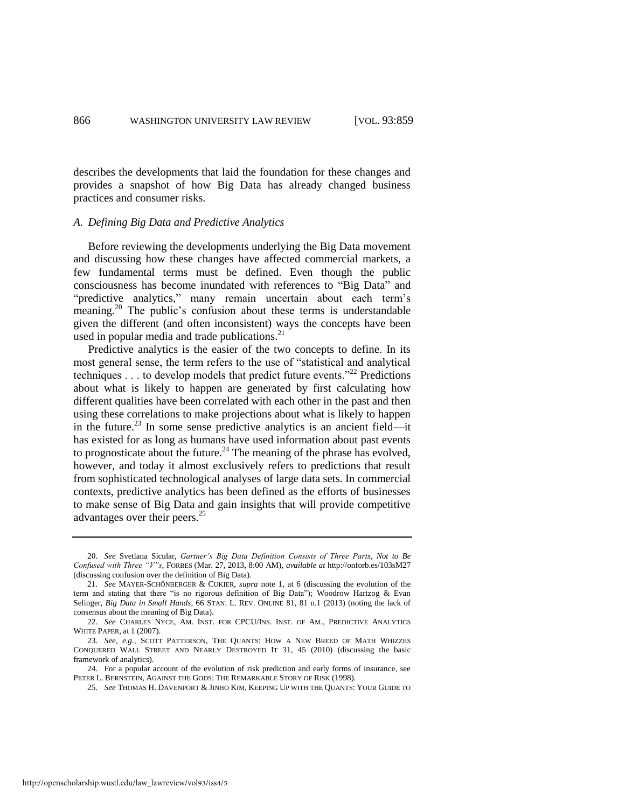describes the developments that laid the foundation for these changes and provides a snapshot of how Big Data has already changed business practices and consumer risks.

#### *A. Defining Big Data and Predictive Analytics*

Before reviewing the developments underlying the Big Data movement and discussing how these changes have affected commercial markets, a few fundamental terms must be defined. Even though the public consciousness has become inundated with references to "Big Data" and "predictive analytics," many remain uncertain about each term's meaning.<sup>20</sup> The public's confusion about these terms is understandable given the different (and often inconsistent) ways the concepts have been used in popular media and trade publications. $^{21}$ 

<span id="page-8-1"></span><span id="page-8-0"></span>Predictive analytics is the easier of the two concepts to define. In its most general sense, the term refers to the use of "statistical and analytical techniques  $\dots$  to develop models that predict future events."<sup>22</sup> Predictions about what is likely to happen are generated by first calculating how different qualities have been correlated with each other in the past and then using these correlations to make projections about what is likely to happen in the future.<sup>23</sup> In some sense predictive analytics is an ancient field—it has existed for as long as humans have used information about past events to prognosticate about the future.<sup>24</sup> The meaning of the phrase has evolved, however, and today it almost exclusively refers to predictions that result from sophisticated technological analyses of large data sets. In commercial contexts, predictive analytics has been defined as the efforts of businesses to make sense of Big Data and gain insights that will provide competitive advantages over their peers.<sup>25</sup>

<sup>20.</sup> *See* Svetlana Sicular, *Gartner's Big Data Definition Consists of Three Parts, Not to Be Confused with Three "V"s*, FORBES (Mar. 27, 2013, 8:00 AM), *available at* http://onforb.es/103sM27 (discussing confusion over the definition of Big Data).

<sup>21.</sup> *See* MAYER-SCHÖNBERGER & CUKIER, *supra* note [1,](#page-3-0) at 6 (discussing the evolution of the term and stating that there "is no rigorous definition of Big Data"); Woodrow Hartzog & Evan Selinger, *Big Data in Small Hands*, 66 STAN. L. REV. ONLINE 81, 81 n.1 (2013) (noting the lack of consensus about the meaning of Big Data).

<sup>22.</sup> *See* CHARLES NYCE, AM. INST. FOR CPCU/INS. INST. OF AM., PREDICTIVE ANALYTICS WHITE PAPER, at 1 (2007).

<sup>23.</sup> *See, e.g.*, SCOTT PATTERSON, THE QUANTS: HOW A NEW BREED OF MATH WHIZZES CONQUERED WALL STREET AND NEARLY DESTROYED IT 31, 45 (2010) (discussing the basic framework of analytics).

<sup>24.</sup> For a popular account of the evolution of risk prediction and early forms of insurance, see PETER L. BERNSTEIN, AGAINST THE GODS: THE REMARKABLE STORY OF RISK (1998).

<sup>25.</sup> *See* THOMAS H. DAVENPORT & JINHO KIM, KEEPING UP WITH THE QUANTS: YOUR GUIDE TO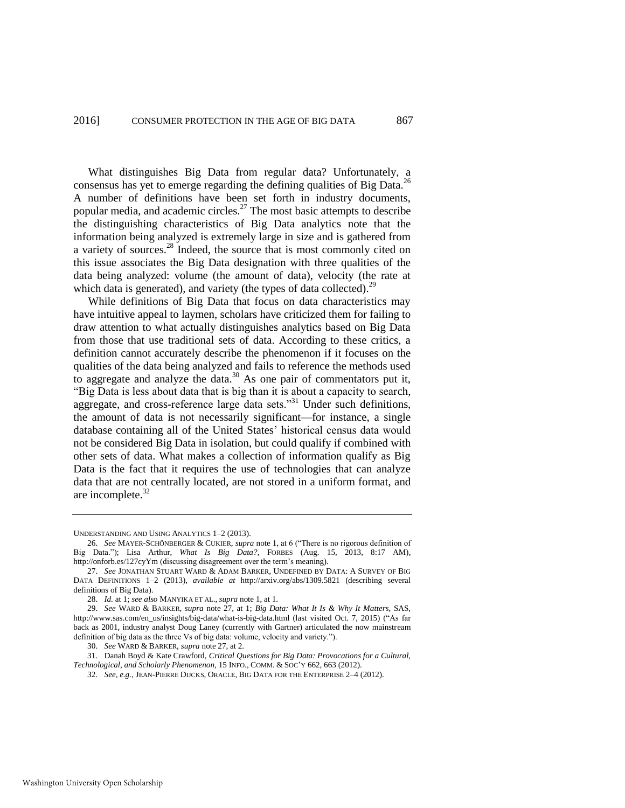<span id="page-9-0"></span>What distinguishes Big Data from regular data? Unfortunately, a consensus has yet to emerge regarding the defining qualities of Big Data.<sup>26</sup> A number of definitions have been set forth in industry documents, popular media, and academic circles.<sup>27</sup> The most basic attempts to describe the distinguishing characteristics of Big Data analytics note that the information being analyzed is extremely large in size and is gathered from a variety of sources.<sup>28</sup> Indeed, the source that is most commonly cited on this issue associates the Big Data designation with three qualities of the data being analyzed: volume (the amount of data), velocity (the rate at which data is generated), and variety (the types of data collected).<sup>29</sup>

While definitions of Big Data that focus on data characteristics may have intuitive appeal to laymen, scholars have criticized them for failing to draw attention to what actually distinguishes analytics based on Big Data from those that use traditional sets of data. According to these critics, a definition cannot accurately describe the phenomenon if it focuses on the qualities of the data being analyzed and fails to reference the methods used to aggregate and analyze the data.<sup>30</sup> As one pair of commentators put it, "Big Data is less about data that is big than it is about a capacity to search, aggregate, and cross-reference large data sets."<sup>31</sup> Under such definitions, the amount of data is not necessarily significant—for instance, a single database containing all of the United States' historical census data would not be considered Big Data in isolation, but could qualify if combined with other sets of data. What makes a collection of information qualify as Big Data is the fact that it requires the use of technologies that can analyze data that are not centrally located, are not stored in a uniform format, and are incomplete. $32$ 

31. Danah Boyd & Kate Crawford, *Critical Questions for Big Data: Provocations for a Cultural, Technological, and Scholarly Phenomenon*, 15 INFO., COMM. & SOC'Y 662, 663 (2012).

UNDERSTANDING AND USING ANALYTICS 1–2 (2013).

<sup>26.</sup> *See* MAYER-SCHÖNBERGER & CUKIER, *supra* note [1,](#page-3-0) at 6 ("There is no rigorous definition of Big Data."); Lisa Arthur, *What Is Big Data?*, FORBES (Aug. 15, 2013, 8:17 AM), http://onforb.es/127cyYm (discussing disagreement over the term's meaning).

<sup>27.</sup> *See* JONATHAN STUART WARD & ADAM BARKER, UNDEFINED BY DATA: A SURVEY OF BIG DATA DEFINITIONS 1–2 (2013), *available at* http://arxiv.org/abs/1309.5821 (describing several definitions of Big Data).

<sup>28.</sup> *Id.* at 1; *see also* MANYIKA ET AL., *supra* not[e 1,](#page-3-0) at 1.

<sup>29.</sup> *See* WARD & BARKER, *supra* note [27,](#page-9-0) at 1; *Big Data: What It Is & Why It Matters*, SAS, http://www.sas.com/en\_us/insights/big-data/what-is-big-data.html (last visited Oct. 7, 2015) ("As far back as 2001, industry analyst Doug Laney (currently with Gartner) articulated the now mainstream definition of big data as the three Vs of big data: volume, velocity and variety.").

<sup>30.</sup> *See* WARD & BARKER, *supra* not[e 27,](#page-9-0) at 2.

<sup>32</sup>*. See, e.g.*, JEAN-PIERRE DIJCKS, ORACLE, BIG DATA FOR THE ENTERPRISE 2–4 (2012).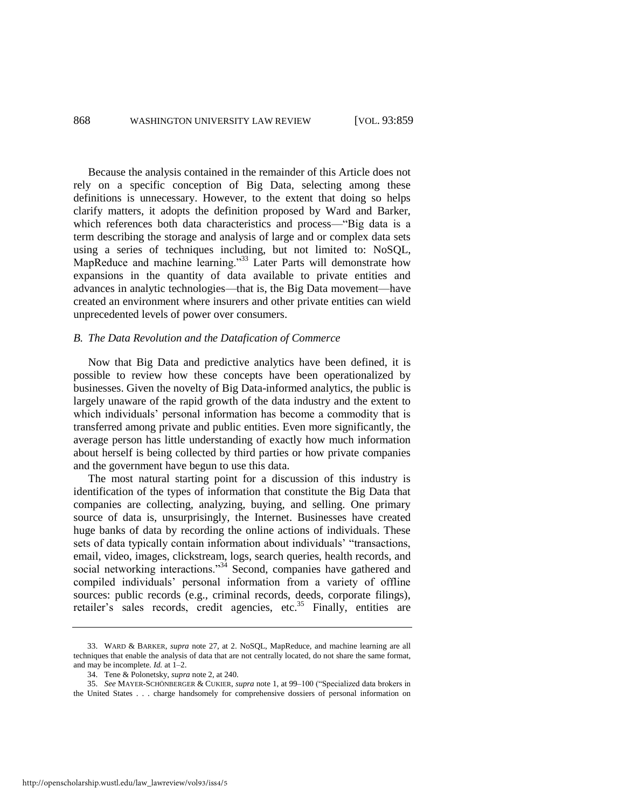Because the analysis contained in the remainder of this Article does not rely on a specific conception of Big Data, selecting among these definitions is unnecessary. However, to the extent that doing so helps clarify matters, it adopts the definition proposed by Ward and Barker, which references both data characteristics and process—"Big data is a term describing the storage and analysis of large and or complex data sets using a series of techniques including, but not limited to: NoSQL, MapReduce and machine learning."<sup>33</sup> Later Parts will demonstrate how expansions in the quantity of data available to private entities and advances in analytic technologies—that is, the Big Data movement—have created an environment where insurers and other private entities can wield unprecedented levels of power over consumers.

#### *B. The Data Revolution and the Datafication of Commerce*

Now that Big Data and predictive analytics have been defined, it is possible to review how these concepts have been operationalized by businesses. Given the novelty of Big Data-informed analytics, the public is largely unaware of the rapid growth of the data industry and the extent to which individuals' personal information has become a commodity that is transferred among private and public entities. Even more significantly, the average person has little understanding of exactly how much information about herself is being collected by third parties or how private companies and the government have begun to use this data.

The most natural starting point for a discussion of this industry is identification of the types of information that constitute the Big Data that companies are collecting, analyzing, buying, and selling. One primary source of data is, unsurprisingly, the Internet. Businesses have created huge banks of data by recording the online actions of individuals. These sets of data typically contain information about individuals' "transactions, email, video, images, clickstream, logs, search queries, health records, and social networking interactions."<sup>34</sup> Second, companies have gathered and compiled individuals' personal information from a variety of offline sources: public records (e.g., criminal records, deeds, corporate filings), retailer's sales records, credit agencies, etc.<sup>35</sup> Finally, entities are

<sup>33.</sup> WARD & BARKER, *supra* note [27,](#page-9-0) at 2. NoSQL, MapReduce, and machine learning are all techniques that enable the analysis of data that are not centrally located, do not share the same format, and may be incomplete. *Id.* at 1–2.

<span id="page-10-0"></span><sup>34.</sup> Tene & Polonetsky, *supra* not[e 2,](#page-3-1) at 240.

<sup>35.</sup> *See* MAYER-SCHÖNBERGER & CUKIER, *supra* not[e 1,](#page-3-0) at 99–100 ("Specialized data brokers in the United States . . . charge handsomely for comprehensive dossiers of personal information on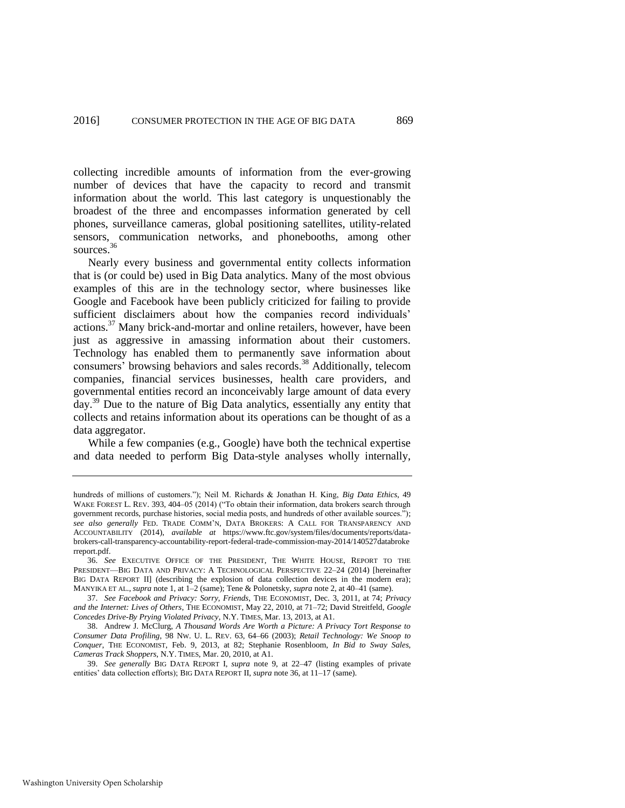collecting incredible amounts of information from the ever-growing number of devices that have the capacity to record and transmit information about the world. This last category is unquestionably the broadest of the three and encompasses information generated by cell phones, surveillance cameras, global positioning satellites, utility-related sensors, communication networks, and phonebooths, among other sources.<sup>36</sup>

<span id="page-11-0"></span>Nearly every business and governmental entity collects information that is (or could be) used in Big Data analytics. Many of the most obvious examples of this are in the technology sector, where businesses like Google and Facebook have been publicly criticized for failing to provide sufficient disclaimers about how the companies record individuals' actions.<sup>37</sup> Many brick-and-mortar and online retailers, however, have been just as aggressive in amassing information about their customers. Technology has enabled them to permanently save information about consumers' browsing behaviors and sales records.<sup>38</sup> Additionally, telecom companies, financial services businesses, health care providers, and governmental entities record an inconceivably large amount of data every day.<sup>39</sup> Due to the nature of Big Data analytics, essentially any entity that collects and retains information about its operations can be thought of as a data aggregator.

While a few companies (e.g., Google) have both the technical expertise and data needed to perform Big Data-style analyses wholly internally,

39. *See generally* BIG DATA REPORT I, *supra* note [9,](#page-5-0) at 22–47 (listing examples of private entities' data collection efforts); BIG DATA REPORT II, *supra* not[e 36,](#page-11-0) at 11–17 (same).

hundreds of millions of customers."); Neil M. Richards & Jonathan H. King, *Big Data Ethics*, 49 WAKE FOREST L. REV. 393, 404–05 (2014) ("To obtain their information, data brokers search through government records, purchase histories, social media posts, and hundreds of other available sources."); *see also generally* FED. TRADE COMM'N, DATA BROKERS: A CALL FOR TRANSPARENCY AND ACCOUNTABILITY (2014), *available at* https://www.ftc.gov/system/files/documents/reports/databrokers-call-transparency-accountability-report-federal-trade-commission-may-2014/140527databroke rreport.pdf.

<sup>36.</sup> *See* EXECUTIVE OFFICE OF THE PRESIDENT, THE WHITE HOUSE, REPORT TO THE PRESIDENT—BIG DATA AND PRIVACY: A TECHNOLOGICAL PERSPECTIVE 22–24 (2014) [hereinafter BIG DATA REPORT II] (describing the explosion of data collection devices in the modern era); MANYIKA ET AL., *supra* not[e 1,](#page-3-0) at 1–2 (same); Tene & Polonetsky, *supra* note [2,](#page-3-1) at 40–41 (same).

<sup>37.</sup> *See Facebook and Privacy: Sorry, Friends*, THE ECONOMIST, Dec. 3, 2011, at 74; *Privacy and the Internet: Lives of Others*, THE ECONOMIST, May 22, 2010, at 71–72; David Streitfeld, *Google Concedes Drive-By Prying Violated Privacy*, N.Y. TIMES, Mar. 13, 2013, at A1.

<sup>38.</sup> Andrew J. McClurg, *A Thousand Words Are Worth a Picture: A Privacy Tort Response to Consumer Data Profiling*, 98 NW. U. L. REV. 63, 64–66 (2003); *Retail Technology: We Snoop to Conquer*, THE ECONOMIST, Feb. 9, 2013, at 82; Stephanie Rosenbloom, *In Bid to Sway Sales, Cameras Track Shoppers*, N.Y. TIMES, Mar. 20, 2010, at A1.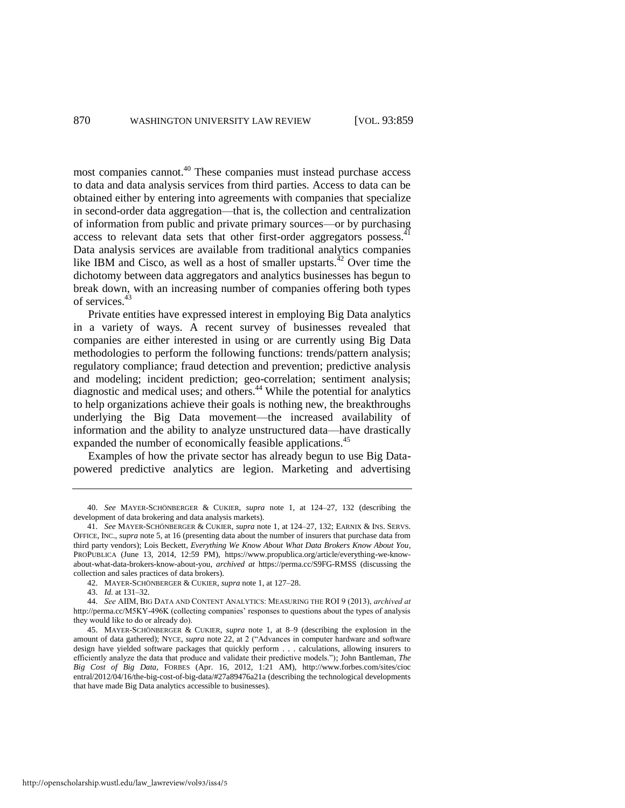most companies cannot.<sup>40</sup> These companies must instead purchase access to data and data analysis services from third parties. Access to data can be obtained either by entering into agreements with companies that specialize in second-order data aggregation—that is, the collection and centralization of information from public and private primary sources—or by purchasing access to relevant data sets that other first-order aggregators possess. $41$ Data analysis services are available from traditional analytics companies like IBM and Cisco, as well as a host of smaller upstarts. $^{42}$  Over time the dichotomy between data aggregators and analytics businesses has begun to break down, with an increasing number of companies offering both types of services.<sup>43</sup>

Private entities have expressed interest in employing Big Data analytics in a variety of ways. A recent survey of businesses revealed that companies are either interested in using or are currently using Big Data methodologies to perform the following functions: trends/pattern analysis; regulatory compliance; fraud detection and prevention; predictive analysis and modeling; incident prediction; geo-correlation; sentiment analysis; diagnostic and medical uses; and others.<sup>44</sup> While the potential for analytics to help organizations achieve their goals is nothing new, the breakthroughs underlying the Big Data movement—the increased availability of information and the ability to analyze unstructured data—have drastically expanded the number of economically feasible applications.<sup>45</sup>

Examples of how the private sector has already begun to use Big Datapowered predictive analytics are legion. Marketing and advertising

43. *Id.* at 131–32.

<sup>40.</sup> *See* MAYER-SCHÖNBERGER & CUKIER, *supra* note [1,](#page-3-0) at 124–27, 132 (describing the development of data brokering and data analysis markets).

<sup>41.</sup> *See* MAYER-SCHÖNBERGER & CUKIER, *supra* note [1,](#page-3-0) at 124–27, 132; EARNIX & INS. SERVS. OFFICE, INC., *supra* not[e 5,](#page-4-0) at 16 (presenting data about the number of insurers that purchase data from third party vendors); Lois Beckett, *Everything We Know About What Data Brokers Know About You*, PROPUBLICA (June 13, 2014, 12:59 PM), https://www.propublica.org/article/everything-we-knowabout-what-data-brokers-know-about-you, *archived at* https://perma.cc/S9FG-RMSS (discussing the collection and sales practices of data brokers).

<sup>42.</sup> MAYER-SCHÖNBERGER & CUKIER, *supra* not[e 1,](#page-3-0) at 127–28.

<sup>44.</sup> *See* AIIM, BIG DATA AND CONTENT ANALYTICS: MEASURING THE ROI 9 (2013), *archived at*  http://perma.cc/M5KY-496K (collecting companies' responses to questions about the types of analysis they would like to do or already do).

<sup>45.</sup> MAYER-SCHÖNBERGER & CUKIER, *supra* note [1,](#page-3-0) at 8–9 (describing the explosion in the amount of data gathered); NYCE, *supra* note [22,](#page-8-0) at 2 ("Advances in computer hardware and software design have yielded software packages that quickly perform . . . calculations, allowing insurers to efficiently analyze the data that produce and validate their predictive models."); John Bantleman, *The Big Cost of Big Data*, FORBES (Apr. 16, 2012, 1:21 AM), <http://www.forbes.com/sites/cioc> entral/2012/04/16/the-big-cost-of-big-data/#27a89476a21a (describing the technological developments that have made Big Data analytics accessible to businesses).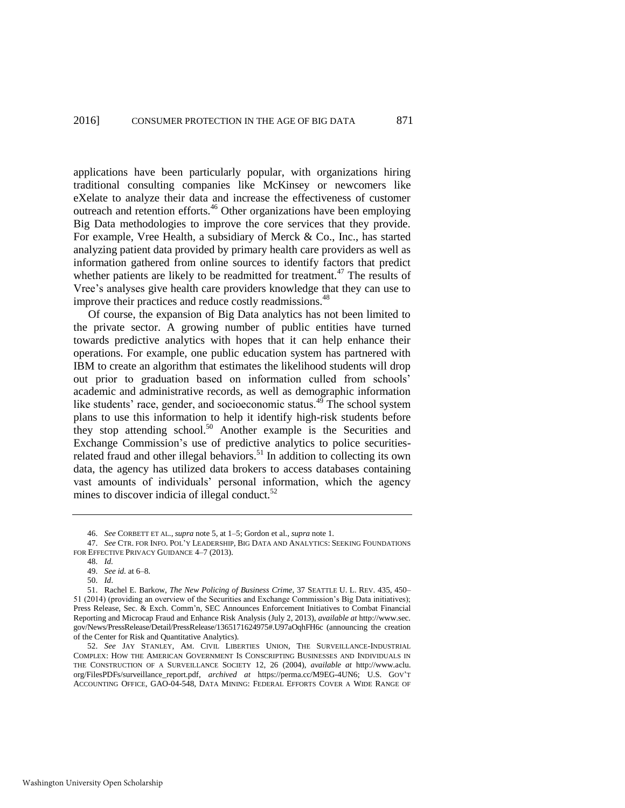applications have been particularly popular, with organizations hiring traditional consulting companies like McKinsey or newcomers like eXelate to analyze their data and increase the effectiveness of customer outreach and retention efforts.<sup>46</sup> Other organizations have been employing Big Data methodologies to improve the core services that they provide. For example, Vree Health, a subsidiary of Merck & Co., Inc., has started analyzing patient data provided by primary health care providers as well as information gathered from online sources to identify factors that predict whether patients are likely to be readmitted for treatment.<sup>47</sup> The results of Vree's analyses give health care providers knowledge that they can use to improve their practices and reduce costly readmissions.<sup>48</sup>

<span id="page-13-1"></span>Of course, the expansion of Big Data analytics has not been limited to the private sector. A growing number of public entities have turned towards predictive analytics with hopes that it can help enhance their operations. For example, one public education system has partnered with IBM to create an algorithm that estimates the likelihood students will drop out prior to graduation based on information culled from schools' academic and administrative records, as well as demographic information like students' race, gender, and socioeconomic status. $49$  The school system plans to use this information to help it identify high-risk students before they stop attending school.<sup>50</sup> Another example is the Securities and Exchange Commission's use of predictive analytics to police securitiesrelated fraud and other illegal behaviors.<sup>51</sup> In addition to collecting its own data, the agency has utilized data brokers to access databases containing vast amounts of individuals' personal information, which the agency mines to discover indicia of illegal conduct. $52$ 

<span id="page-13-0"></span><sup>46.</sup> *See* CORBETT ET AL., *supra* not[e 5,](#page-4-0) at 1–5; Gordon et al., *supra* not[e 1.](#page-3-0) 

<sup>47.</sup> *See* CTR. FOR INFO. POL'Y LEADERSHIP, BIG DATA AND ANALYTICS: SEEKING FOUNDATIONS FOR EFFECTIVE PRIVACY GUIDANCE 4–7 (2013).

<sup>48.</sup> *Id.*

<sup>49.</sup> *See id.* at 6–8.

<sup>50.</sup> *Id*.

<sup>51.</sup> Rachel E. Barkow, *The New Policing of Business Crime*, 37 SEATTLE U. L. REV. 435, 450– 51 (2014) (providing an overview of the Securities and Exchange Commission's Big Data initiatives); Press Release, Sec. & Exch. Comm'n, SEC Announces Enforcement Initiatives to Combat Financial Reporting and Microcap Fraud and Enhance Risk Analysis (July 2, 2013), *available at* http://www.sec. gov/News/PressRelease/Detail/PressRelease/1365171624975#.U97aOqhFH6c (announcing the creation of the Center for Risk and Quantitative Analytics).

<sup>52.</sup> *See* JAY STANLEY, AM. CIVIL LIBERTIES UNION, THE SURVEILLANCE-INDUSTRIAL COMPLEX: HOW THE AMERICAN GOVERNMENT IS CONSCRIPTING BUSINESSES AND INDIVIDUALS IN THE CONSTRUCTION OF A SURVEILLANCE SOCIETY 12, 26 (2004), *available at* http://www.aclu. org/FilesPDFs/surveillance\_report.pdf, *archived at* https://perma.cc/M9EG-4UN6; U.S. GOV'T ACCOUNTING OFFICE, GAO-04-548, DATA MINING: FEDERAL EFFORTS COVER A WIDE RANGE OF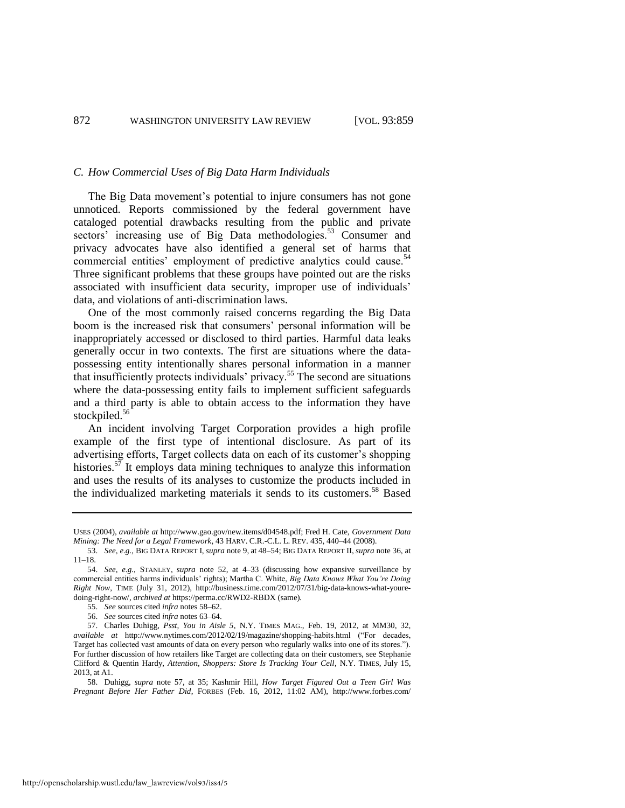#### *C. How Commercial Uses of Big Data Harm Individuals*

The Big Data movement's potential to injure consumers has not gone unnoticed. Reports commissioned by the federal government have cataloged potential drawbacks resulting from the public and private sectors' increasing use of Big Data methodologies.<sup>53</sup> Consumer and privacy advocates have also identified a general set of harms that commercial entities' employment of predictive analytics could cause.<sup>54</sup> Three significant problems that these groups have pointed out are the risks associated with insufficient data security, improper use of individuals' data, and violations of anti-discrimination laws.

One of the most commonly raised concerns regarding the Big Data boom is the increased risk that consumers' personal information will be inappropriately accessed or disclosed to third parties. Harmful data leaks generally occur in two contexts. The first are situations where the datapossessing entity intentionally shares personal information in a manner that insufficiently protects individuals' privacy.<sup>55</sup> The second are situations where the data-possessing entity fails to implement sufficient safeguards and a third party is able to obtain access to the information they have stockpiled.<sup>56</sup>

<span id="page-14-1"></span>An incident involving Target Corporation provides a high profile example of the first type of intentional disclosure. As part of its advertising efforts, Target collects data on each of its customer's shopping histories.<sup>57</sup> It employs data mining techniques to analyze this information and uses the results of its analyses to customize the products included in the individualized marketing materials it sends to its customers.<sup>58</sup> Based

<span id="page-14-0"></span>USES (2004), *available at* http://www.gao.gov/new.items/d04548.pdf; Fred H. Cate, *Government Data Mining: The Need for a Legal Framework*, 43 HARV. C.R.-C.L. L. REV. 435, 440–44 (2008).

<sup>53.</sup> *See, e.g.*, BIG DATA REPORT I, *supra* not[e 9,](#page-5-0) at 48–54; BIG DATA REPORT II, *supra* not[e 36,](#page-11-0) at 11–18.

<sup>54.</sup> *See, e.g.*, STANLEY, *supra* note [52,](#page-13-0) at 4–33 (discussing how expansive surveillance by commercial entities harms individuals' rights); Martha C. White, *Big Data Knows What You're Doing Right Now*, TIME (July 31, 2012), http://business.time.com/2012/07/31/big-data-knows-what-youredoing-right-now/, *archived at* https://perma.cc/RWD2-RBDX (same)*.*

<sup>55.</sup> *See* sources cited *infra* note[s 58–](#page-14-0)[62.](#page-15-0) 

<sup>56.</sup> *See* sources cited *infra* note[s 63–](#page-15-1)[64.](#page-15-2) 

<sup>57.</sup> Charles Duhigg, *Psst, You in Aisle 5*, N.Y. TIMES MAG., Feb. 19, 2012, at MM30, 32, *available at* http://www.nytimes.com/2012/02/19/magazine/shopping-habits.html ("For decades, Target has collected vast amounts of data on every person who regularly walks into one of its stores."). For further discussion of how retailers like Target are collecting data on their customers, see Stephanie Clifford & Quentin Hardy, *Attention, Shoppers: Store Is Tracking Your Cell*, N.Y. TIMES, July 15, 2013, at A1.

<sup>58.</sup> Duhigg, *supra* note [57,](#page-14-1) at 35; Kashmir Hill, *How Target Figured Out a Teen Girl Was Pregnant Before Her Father Did*, FORBES (Feb. 16, 2012, 11:02 AM), http://www.forbes.com/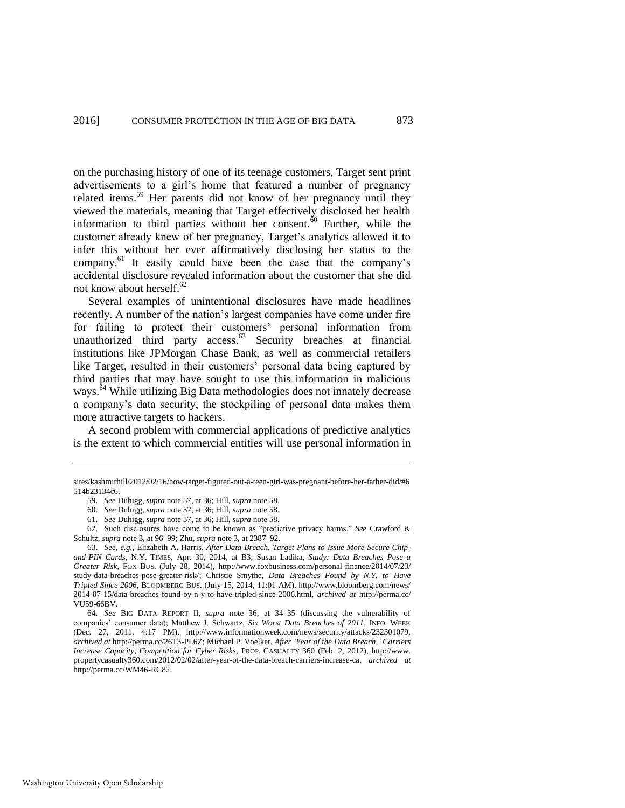on the purchasing history of one of its teenage customers, Target sent print advertisements to a girl's home that featured a number of pregnancy related items.<sup>59</sup> Her parents did not know of her pregnancy until they viewed the materials, meaning that Target effectively disclosed her health information to third parties without her consent. $\dot{60}$  Further, while the customer already knew of her pregnancy, Target's analytics allowed it to infer this without her ever affirmatively disclosing her status to the company.<sup>61</sup> It easily could have been the case that the company's accidental disclosure revealed information about the customer that she did not know about herself. $62$ 

<span id="page-15-1"></span><span id="page-15-0"></span>Several examples of unintentional disclosures have made headlines recently. A number of the nation's largest companies have come under fire for failing to protect their customers' personal information from unauthorized third party access.<sup>63</sup> Security breaches at financial institutions like JPMorgan Chase Bank, as well as commercial retailers like Target, resulted in their customers' personal data being captured by third parties that may have sought to use this information in malicious ways.<sup>64</sup> While utilizing Big Data methodologies does not innately decrease a company's data security, the stockpiling of personal data makes them more attractive targets to hackers.

<span id="page-15-2"></span>A second problem with commercial applications of predictive analytics is the extent to which commercial entities will use personal information in

Washington University Open Scholarship

sites/kashmirhill/2012/02/16/how-target-figured-out-a-teen-girl-was-pregnant-before-her-father-did/#6 514b23134c6.

<sup>59.</sup> *See* Duhigg, *supra* not[e 57,](#page-14-1) at 36; Hill, *supra* note [58.](#page-14-0) 

<sup>60.</sup> *See* Duhigg, *supra* not[e 57,](#page-14-1) at 36; Hill, *supra* note [58.](#page-14-0) 

<sup>61.</sup> *See* Duhigg, *supra* not[e 57,](#page-14-1) at 36; Hill, *supra* note [58.](#page-14-0) 

<sup>62.</sup> Such disclosures have come to be known as "predictive privacy harms." *See* Crawford & Schultz, *supra* not[e 3,](#page-3-2) at 96–99; Zhu, *supra* not[e 3,](#page-3-2) at 2387–92.

<sup>63.</sup> *See, e.g.*, Elizabeth A. Harris, *After Data Breach, Target Plans to Issue More Secure Chipand-PIN Cards*, N.Y. TIMES, Apr. 30, 2014, at B3; Susan Ladika, *Study: Data Breaches Pose a Greater Risk*, FOX BUS. (July 28, 2014), http://www.foxbusiness.com/personal-finance/2014/07/23/ study-data-breaches-pose-greater-risk/; Christie Smythe, *Data Breaches Found by N.Y. to Have Tripled Since 2006*, BLOOMBERG BUS. (July 15, 2014, 11:01 AM), http://www.bloomberg.com/news/ 2014-07-15/data-breaches-found-by-n-y-to-have-tripled-since-2006.html, *archived at* http://perma.cc/ VU59-66BV.

<sup>64.</sup> *See* BIG DATA REPORT II, *supra* note [36,](#page-11-0) at 34–35 (discussing the vulnerability of companies' consumer data); Matthew J. Schwartz, *Six Worst Data Breaches of 2011*, INFO. WEEK (Dec. 27, 2011, 4:17 PM), http://www.informationweek.com/news/security/attacks/232301079, *archived at* http://perma.cc/26T3-PL6Z; Michael P. Voelker, *After 'Year of the Data Breach,' Carriers Increase Capacity, Competition for Cyber Risks*, PROP. CASUALTY 360 (Feb. 2, 2012), http://www. propertycasualty360.com/2012/02/02/after-year-of-the-data-breach-carriers-increase-ca, *archived at*  http://perma.cc/WM46-RC82.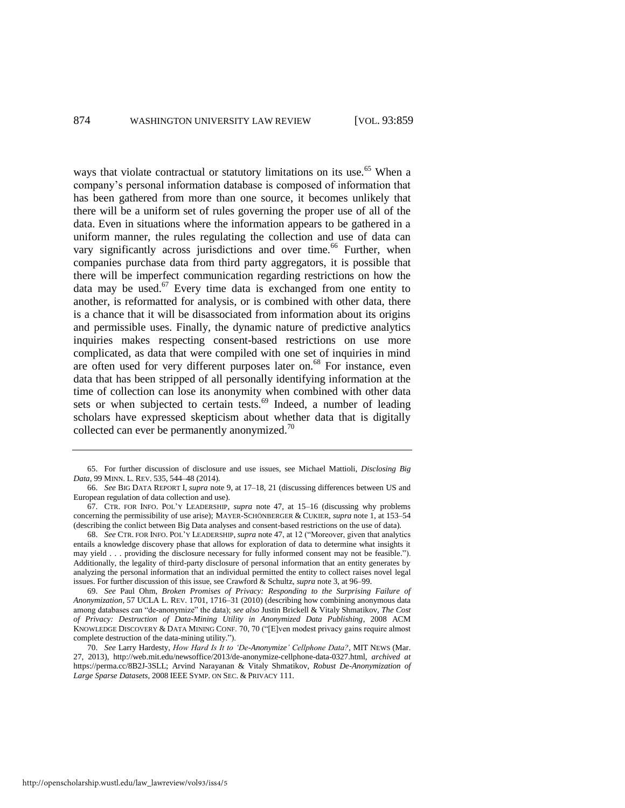ways that violate contractual or statutory limitations on its use.<sup>65</sup> When a company's personal information database is composed of information that has been gathered from more than one source, it becomes unlikely that there will be a uniform set of rules governing the proper use of all of the data. Even in situations where the information appears to be gathered in a uniform manner, the rules regulating the collection and use of data can vary significantly across jurisdictions and over time.<sup>66</sup> Further, when companies purchase data from third party aggregators, it is possible that there will be imperfect communication regarding restrictions on how the data may be used.<sup>67</sup> Every time data is exchanged from one entity to another, is reformatted for analysis, or is combined with other data, there is a chance that it will be disassociated from information about its origins and permissible uses. Finally, the dynamic nature of predictive analytics inquiries makes respecting consent-based restrictions on use more complicated, as data that were compiled with one set of inquiries in mind are often used for very different purposes later on.<sup>68</sup> For instance, even data that has been stripped of all personally identifying information at the time of collection can lose its anonymity when combined with other data sets or when subjected to certain tests. $69$  Indeed, a number of leading scholars have expressed skepticism about whether data that is digitally collected can ever be permanently anonymized.<sup>70</sup>

<sup>65.</sup> For further discussion of disclosure and use issues, see Michael Mattioli, *Disclosing Big Data*, 99 MINN. L. REV. 535, 544–48 (2014).

<sup>66.</sup> *See* BIG DATA REPORT I, *supra* note [9,](#page-5-0) at 17–18, 21 (discussing differences between US and European regulation of data collection and use).

<sup>67.</sup> CTR. FOR INFO. POL'Y LEADERSHIP, *supra* note [47,](#page-13-1) at 15–16 (discussing why problems concerning the permissibility of use arise); MAYER-SCHÖNBERGER & CUKIER, *supra* not[e 1,](#page-3-0) at 153–54 (describing the conlict between Big Data analyses and consent-based restrictions on the use of data).

<sup>68.</sup> *See* CTR. FOR INFO. POL'Y LEADERSHIP, *supra* not[e 47,](#page-13-1) at 12 ("Moreover, given that analytics entails a knowledge discovery phase that allows for exploration of data to determine what insights it may yield . . . providing the disclosure necessary for fully informed consent may not be feasible."). Additionally, the legality of third-party disclosure of personal information that an entity generates by analyzing the personal information that an individual permitted the entity to collect raises novel legal issues. For further discussion of this issue, see Crawford & Schultz, *supra* not[e 3,](#page-3-2) at 96–99.

<sup>69.</sup> *See* Paul Ohm, *Broken Promises of Privacy: Responding to the Surprising Failure of Anonymization*, 57 UCLA L. REV. 1701, 1716–31 (2010) (describing how combining anonymous data among databases can "de-anonymize" the data); *see also* Justin Brickell & Vitaly Shmatikov, *The Cost of Privacy: Destruction of Data-Mining Utility in Anonymized Data Publishing*, 2008 ACM KNOWLEDGE DISCOVERY & DATA MINING CONF. 70, 70 ("[E]ven modest privacy gains require almost complete destruction of the data-mining utility.").

<sup>70.</sup> *See* Larry Hardesty, *How Hard Is It to 'De-Anonymize' Cellphone Data?*, MIT NEWS (Mar. 27, 2013), http://web.mit.edu/newsoffice/2013/de-anonymize-cellphone-data-0327.html, *archived at*  https://perma.cc/8B2J-3SLL; Arvind Narayanan & Vitaly Shmatikov, *Robust De-Anonymization of Large Sparse Datasets*, 2008 IEEE SYMP. ON SEC. & PRIVACY 111.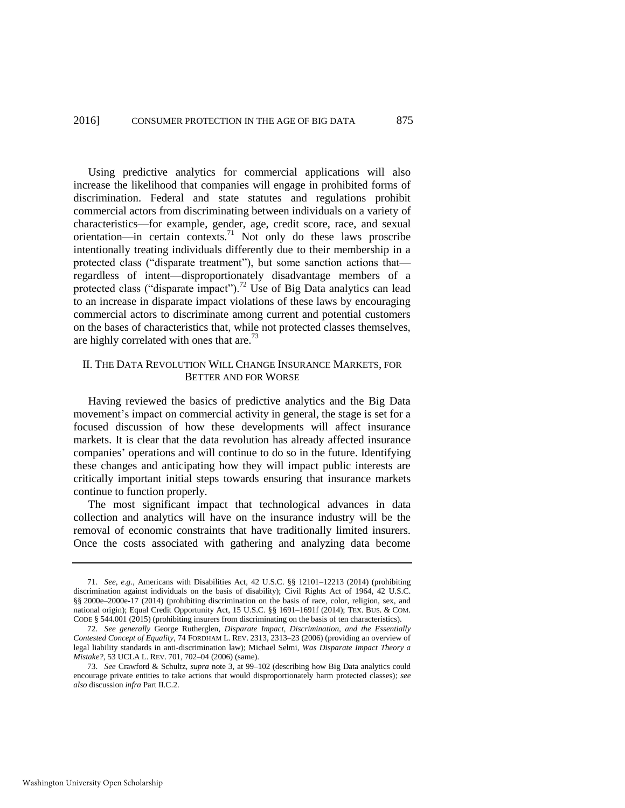Using predictive analytics for commercial applications will also increase the likelihood that companies will engage in prohibited forms of discrimination. Federal and state statutes and regulations prohibit commercial actors from discriminating between individuals on a variety of characteristics—for example, gender, age, credit score, race, and sexual orientation—in certain contexts.<sup>71</sup> Not only do these laws proscribe intentionally treating individuals differently due to their membership in a protected class ("disparate treatment"), but some sanction actions that regardless of intent—disproportionately disadvantage members of a protected class ("disparate impact").<sup>72</sup> Use of Big Data analytics can lead to an increase in disparate impact violations of these laws by encouraging commercial actors to discriminate among current and potential customers on the bases of characteristics that, while not protected classes themselves, are highly correlated with ones that are.<sup>73</sup>

# <span id="page-17-0"></span>II. THE DATA REVOLUTION WILL CHANGE INSURANCE MARKETS, FOR BETTER AND FOR WORSE

Having reviewed the basics of predictive analytics and the Big Data movement's impact on commercial activity in general, the stage is set for a focused discussion of how these developments will affect insurance markets. It is clear that the data revolution has already affected insurance companies' operations and will continue to do so in the future. Identifying these changes and anticipating how they will impact public interests are critically important initial steps towards ensuring that insurance markets continue to function properly.

The most significant impact that technological advances in data collection and analytics will have on the insurance industry will be the removal of economic constraints that have traditionally limited insurers. Once the costs associated with gathering and analyzing data become

<sup>71.</sup> *See, e.g.*, Americans with Disabilities Act, 42 U.S.C. §§ 12101–12213 (2014) (prohibiting discrimination against individuals on the basis of disability); Civil Rights Act of 1964, 42 U.S.C. §§ 2000e–2000e-17 (2014) (prohibiting discrimination on the basis of race, color, religion, sex, and national origin); Equal Credit Opportunity Act, 15 U.S.C. §§ 1691–1691f (2014); TEX. BUS. & COM. CODE § 544.001 (2015) (prohibiting insurers from discriminating on the basis of ten characteristics).

<sup>72.</sup> *See generally* George Rutherglen, *Disparate Impact, Discrimination, and the Essentially Contested Concept of Equality*, 74 FORDHAM L. REV. 2313, 2313–23 (2006) (providing an overview of legal liability standards in anti-discrimination law); Michael Selmi, *Was Disparate Impact Theory a Mistake?*, 53 UCLA L. REV. 701, 702–04 (2006) (same).

<sup>73.</sup> *See* Crawford & Schultz, *supra* note [3,](#page-3-2) at 99–102 (describing how Big Data analytics could encourage private entities to take actions that would disproportionately harm protected classes); *see also* discussion *infra* Part II.C.2.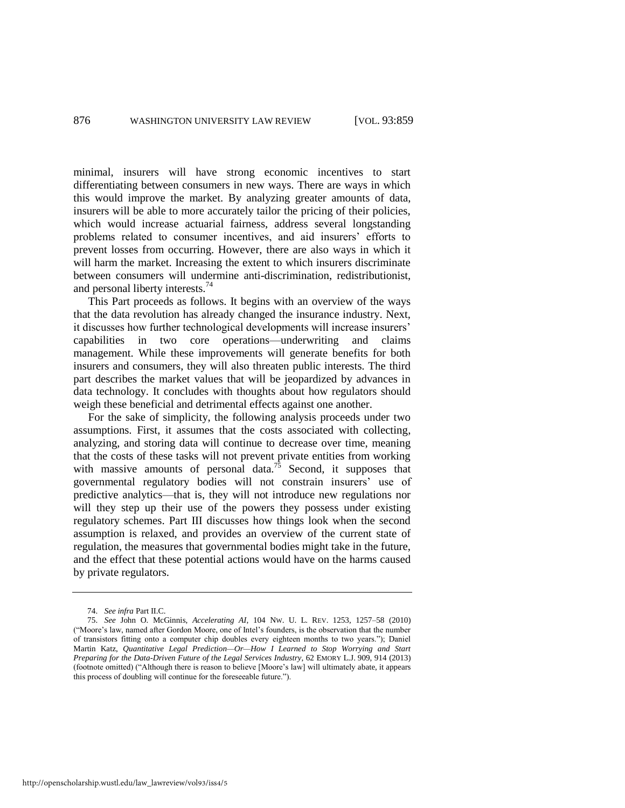minimal, insurers will have strong economic incentives to start differentiating between consumers in new ways. There are ways in which this would improve the market. By analyzing greater amounts of data, insurers will be able to more accurately tailor the pricing of their policies, which would increase actuarial fairness, address several longstanding problems related to consumer incentives, and aid insurers' efforts to prevent losses from occurring. However, there are also ways in which it will harm the market. Increasing the extent to which insurers discriminate between consumers will undermine anti-discrimination, redistributionist, and personal liberty interests.<sup>74</sup>

This Part proceeds as follows. It begins with an overview of the ways that the data revolution has already changed the insurance industry. Next, it discusses how further technological developments will increase insurers' capabilities in two core operations—underwriting and claims management. While these improvements will generate benefits for both insurers and consumers, they will also threaten public interests. The third part describes the market values that will be jeopardized by advances in data technology. It concludes with thoughts about how regulators should weigh these beneficial and detrimental effects against one another.

<span id="page-18-0"></span>For the sake of simplicity, the following analysis proceeds under two assumptions. First, it assumes that the costs associated with collecting, analyzing, and storing data will continue to decrease over time, meaning that the costs of these tasks will not prevent private entities from working with massive amounts of personal data.<sup>75</sup> Second, it supposes that governmental regulatory bodies will not constrain insurers' use of predictive analytics—that is, they will not introduce new regulations nor will they step up their use of the powers they possess under existing regulatory schemes. Part III discusses how things look when the second assumption is relaxed, and provides an overview of the current state of regulation, the measures that governmental bodies might take in the future, and the effect that these potential actions would have on the harms caused by private regulators.

<sup>74.</sup> *See infra* Part II.C.

<sup>75.</sup> *See* John O. McGinnis, *Accelerating AI*, 104 NW. U. L. REV. 1253, 1257–58 (2010) ("Moore's law, named after Gordon Moore, one of Intel's founders, is the observation that the number of transistors fitting onto a computer chip doubles every eighteen months to two years."); Daniel Martin Katz, *Quantitative Legal Prediction—Or—How I Learned to Stop Worrying and Start Preparing for the Data-Driven Future of the Legal Services Industry*, 62 EMORY L.J. 909, 914 (2013) (footnote omitted) ("Although there is reason to believe [Moore's law] will ultimately abate, it appears this process of doubling will continue for the foreseeable future.").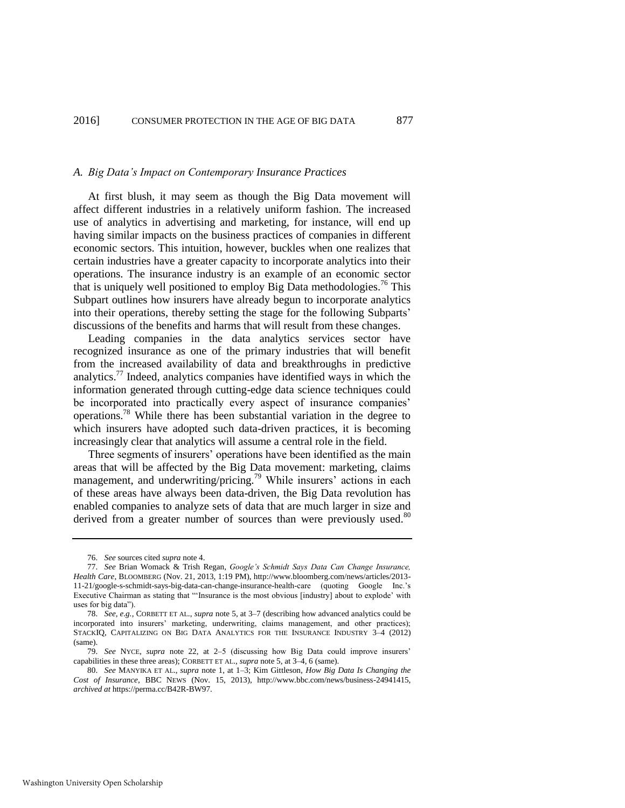#### *A. Big Data's Impact on Contemporary Insurance Practices*

At first blush, it may seem as though the Big Data movement will affect different industries in a relatively uniform fashion. The increased use of analytics in advertising and marketing, for instance, will end up having similar impacts on the business practices of companies in different economic sectors. This intuition, however, buckles when one realizes that certain industries have a greater capacity to incorporate analytics into their operations. The insurance industry is an example of an economic sector that is uniquely well positioned to employ Big Data methodologies.<sup>76</sup> This Subpart outlines how insurers have already begun to incorporate analytics into their operations, thereby setting the stage for the following Subparts' discussions of the benefits and harms that will result from these changes.

Leading companies in the data analytics services sector have recognized insurance as one of the primary industries that will benefit from the increased availability of data and breakthroughs in predictive analytics.<sup>77</sup> Indeed, analytics companies have identified ways in which the information generated through cutting-edge data science techniques could be incorporated into practically every aspect of insurance companies' operations.<sup>78</sup> While there has been substantial variation in the degree to which insurers have adopted such data-driven practices, it is becoming increasingly clear that analytics will assume a central role in the field.

Three segments of insurers' operations have been identified as the main areas that will be affected by the Big Data movement: marketing, claims management, and underwriting/pricing.<sup>79</sup> While insurers' actions in each of these areas have always been data-driven, the Big Data revolution has enabled companies to analyze sets of data that are much larger in size and derived from a greater number of sources than were previously used.<sup>80</sup>

<sup>76.</sup> *See* sources cited *supra* not[e 4.](#page-4-1) 

<sup>77.</sup> *See* Brian Womack & Trish Regan, *Google's Schmidt Says Data Can Change Insurance, Health Care*, BLOOMBERG (Nov. 21, 2013, 1:19 PM), http://www.bloomberg.com/news/articles/2013- 11-21/google-s-schmidt-says-big-data-can-change-insurance-health-care (quoting Google Inc.'s Executive Chairman as stating that "'Insurance is the most obvious [industry] about to explode' with uses for big data").

<sup>78.</sup> *See, e.g.*, CORBETT ET AL., *supra* not[e 5,](#page-4-0) at 3–7 (describing how advanced analytics could be incorporated into insurers' marketing, underwriting, claims management, and other practices); STACKIQ, CAPITALIZING ON BIG DATA ANALYTICS FOR THE INSURANCE INDUSTRY 3–4 (2012) (same).

<sup>79.</sup> *See* NYCE, *supra* note [22,](#page-8-0) at 2–5 (discussing how Big Data could improve insurers' capabilities in these three areas); CORBETT ET AL., *supra* not[e 5,](#page-4-0) at 3–4, 6 (same).

<sup>80.</sup> *See* MANYIKA ET AL., *supra* note [1,](#page-3-0) at 1–3; Kim Gittleson, *How Big Data Is Changing the Cost of Insurance*, BBC NEWS (Nov. 15, 2013), http://www.bbc.com/news/business-24941415, *archived at* https://perma.cc/B42R-BW97.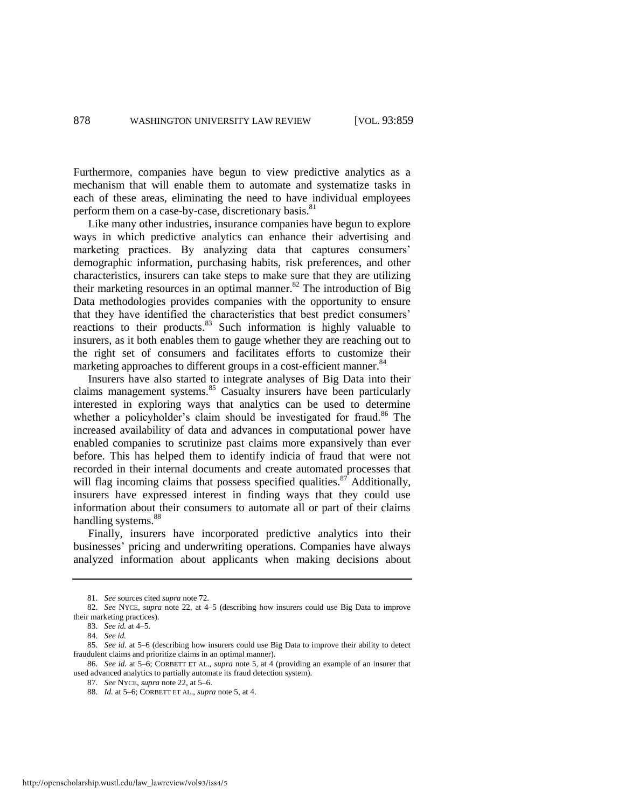Furthermore, companies have begun to view predictive analytics as a mechanism that will enable them to automate and systematize tasks in each of these areas, eliminating the need to have individual employees perform them on a case-by-case, discretionary basis.<sup>81</sup>

Like many other industries, insurance companies have begun to explore ways in which predictive analytics can enhance their advertising and marketing practices. By analyzing data that captures consumers' demographic information, purchasing habits, risk preferences, and other characteristics, insurers can take steps to make sure that they are utilizing their marketing resources in an optimal manner.<sup>82</sup> The introduction of Big Data methodologies provides companies with the opportunity to ensure that they have identified the characteristics that best predict consumers' reactions to their products.<sup>83</sup> Such information is highly valuable to insurers, as it both enables them to gauge whether they are reaching out to the right set of consumers and facilitates efforts to customize their marketing approaches to different groups in a cost-efficient manner.<sup>84</sup>

Insurers have also started to integrate analyses of Big Data into their claims management systems.<sup>85</sup> Casualty insurers have been particularly interested in exploring ways that analytics can be used to determine whether a policyholder's claim should be investigated for fraud.<sup>86</sup> The increased availability of data and advances in computational power have enabled companies to scrutinize past claims more expansively than ever before. This has helped them to identify indicia of fraud that were not recorded in their internal documents and create automated processes that will flag incoming claims that possess specified qualities. $87$  Additionally, insurers have expressed interest in finding ways that they could use information about their consumers to automate all or part of their claims handling systems.<sup>88</sup>

Finally, insurers have incorporated predictive analytics into their businesses' pricing and underwriting operations. Companies have always analyzed information about applicants when making decisions about

<sup>81.</sup> *See* sources cited *supra* not[e 72.](#page-17-0) 

<sup>82.</sup> *See* NYCE, *supra* note [22,](#page-8-0) at 4–5 (describing how insurers could use Big Data to improve their marketing practices).

<sup>83.</sup> *See id.* at 4–5.

<sup>84.</sup> *See id.*

<sup>85.</sup> *See id.* at 5–6 (describing how insurers could use Big Data to improve their ability to detect fraudulent claims and prioritize claims in an optimal manner).

<sup>86.</sup> *See id.* at 5–6; CORBETT ET AL., *supra* note [5,](#page-4-0) at 4 (providing an example of an insurer that used advanced analytics to partially automate its fraud detection system).

<sup>87.</sup> *See* NYCE, *supra* not[e 22,](#page-8-0) at 5–6.

<sup>88.</sup> *Id.* at 5–6; CORBETT ET AL., *supra* not[e 5,](#page-4-0) at 4.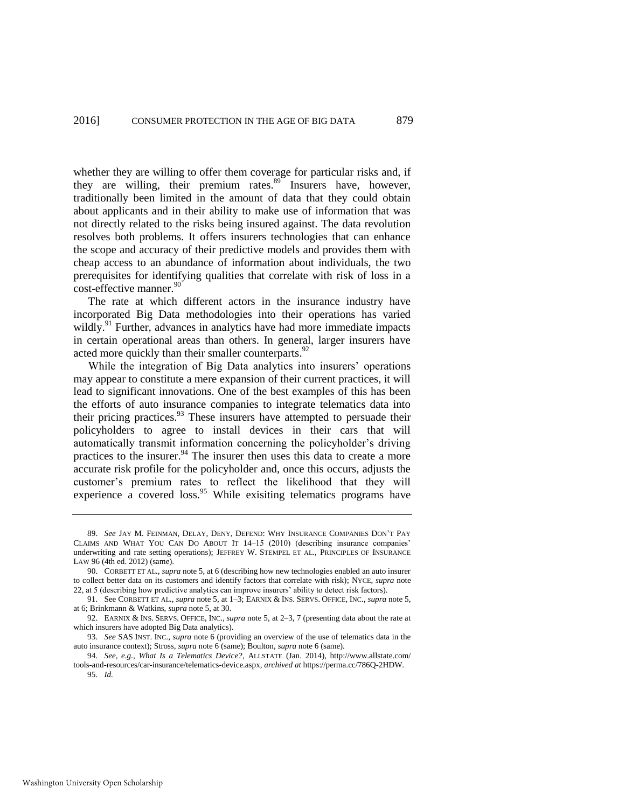<span id="page-21-1"></span>whether they are willing to offer them coverage for particular risks and, if they are willing, their premium rates. $89$  Insurers have, however, traditionally been limited in the amount of data that they could obtain about applicants and in their ability to make use of information that was not directly related to the risks being insured against. The data revolution resolves both problems. It offers insurers technologies that can enhance the scope and accuracy of their predictive models and provides them with cheap access to an abundance of information about individuals, the two prerequisites for identifying qualities that correlate with risk of loss in a cost-effective manner.<sup>90</sup>

The rate at which different actors in the insurance industry have incorporated Big Data methodologies into their operations has varied wildly.<sup>91</sup> Further, advances in analytics have had more immediate impacts in certain operational areas than others. In general, larger insurers have acted more quickly than their smaller counterparts.<sup>92</sup>

<span id="page-21-0"></span>While the integration of Big Data analytics into insurers' operations may appear to constitute a mere expansion of their current practices, it will lead to significant innovations. One of the best examples of this has been the efforts of auto insurance companies to integrate telematics data into their pricing practices. $93$  These insurers have attempted to persuade their policyholders to agree to install devices in their cars that will automatically transmit information concerning the policyholder's driving practices to the insurer.<sup>94</sup> The insurer then uses this data to create a more accurate risk profile for the policyholder and, once this occurs, adjusts the customer's premium rates to reflect the likelihood that they will experience a covered loss.<sup>95</sup> While exisiting telematics programs have

<sup>89.</sup> *See* JAY M. FEINMAN, DELAY, DENY, DEFEND: WHY INSURANCE COMPANIES DON'T PAY CLAIMS AND WHAT YOU CAN DO ABOUT IT 14–15 (2010) (describing insurance companies' underwriting and rate setting operations); JEFFREY W. STEMPEL ET AL., PRINCIPLES OF INSURANCE LAW 96 (4th ed. 2012) (same).

<sup>90.</sup> CORBETT ET AL., *supra* not[e 5,](#page-4-0) at 6 (describing how new technologies enabled an auto insurer to collect better data on its customers and identify factors that correlate with risk); NYCE, *supra* note [22,](#page-8-0) at 5 (describing how predictive analytics can improve insurers' ability to detect risk factors).

<sup>91.</sup> See CORBETT ET AL., *supra* not[e 5,](#page-4-0) at 1–3; EARNIX & INS. SERVS. OFFICE, INC., *supra* not[e 5,](#page-4-0)  at 6; Brinkmann & Watkins, *supra* note [5,](#page-4-0) at 30.

<sup>92.</sup> EARNIX & INS. SERVS. OFFICE, INC., *supra* not[e 5,](#page-4-0) at 2–3, 7 (presenting data about the rate at which insurers have adopted Big Data analytics).

<sup>93.</sup> *See* SAS INST. INC., *supra* note [6](#page-4-2) (providing an overview of the use of telematics data in the auto insurance context); Stross, *supra* not[e 6 \(](#page-4-2)same); Boulton, *supra* not[e 6](#page-4-2) (same).

<sup>94.</sup> *See, e.g.*, *What Is a Telematics Device?*, ALLSTATE (Jan. 2014), http://www.allstate.com/ tools-and-resources/car-insurance/telematics-device.aspx, *archived at* https://perma.cc/786Q-2HDW.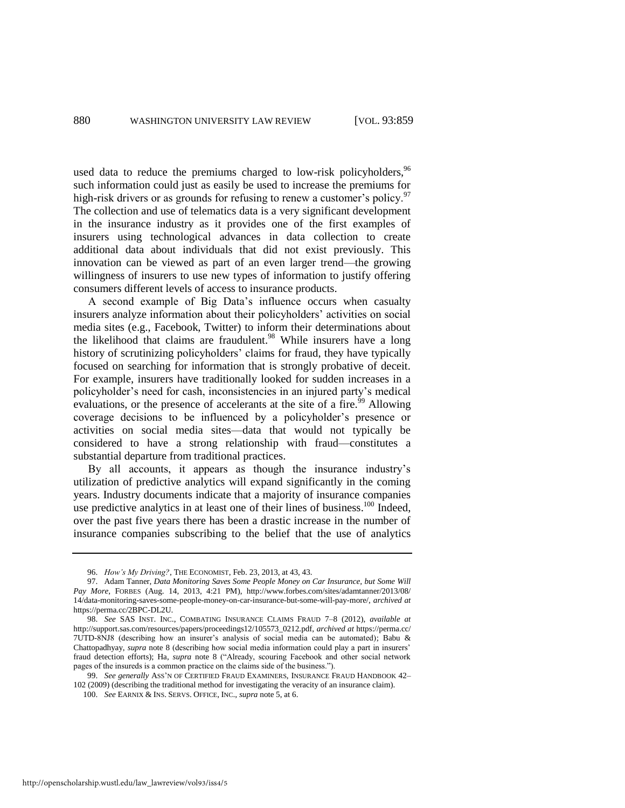<span id="page-22-0"></span>used data to reduce the premiums charged to low-risk policyholders,  $96$ such information could just as easily be used to increase the premiums for high-risk drivers or as grounds for refusing to renew a customer's policy.<sup>97</sup> The collection and use of telematics data is a very significant development in the insurance industry as it provides one of the first examples of insurers using technological advances in data collection to create additional data about individuals that did not exist previously. This innovation can be viewed as part of an even larger trend—the growing willingness of insurers to use new types of information to justify offering consumers different levels of access to insurance products.

A second example of Big Data's influence occurs when casualty insurers analyze information about their policyholders' activities on social media sites (e.g., Facebook, Twitter) to inform their determinations about the likelihood that claims are fraudulent.<sup>98</sup> While insurers have a long history of scrutinizing policyholders' claims for fraud, they have typically focused on searching for information that is strongly probative of deceit. For example, insurers have traditionally looked for sudden increases in a policyholder's need for cash, inconsistencies in an injured party's medical evaluations, or the presence of accelerants at the site of a fire.<sup> $99$ </sup> Allowing coverage decisions to be influenced by a policyholder's presence or activities on social media sites—data that would not typically be considered to have a strong relationship with fraud—constitutes a substantial departure from traditional practices.

By all accounts, it appears as though the insurance industry's utilization of predictive analytics will expand significantly in the coming years. Industry documents indicate that a majority of insurance companies use predictive analytics in at least one of their lines of business.<sup>100</sup> Indeed, over the past five years there has been a drastic increase in the number of insurance companies subscribing to the belief that the use of analytics

<sup>96.</sup> *How's My Driving?*, THE ECONOMIST, Feb. 23, 2013, at 43, 43.

<sup>97.</sup> Adam Tanner, *Data Monitoring Saves Some People Money on Car Insurance, but Some Will Pay More*, FORBES (Aug. 14, 2013, 4:21 PM), http://www.forbes.com/sites/adamtanner/2013/08/ 14/data-monitoring-saves-some-people-money-on-car-insurance-but-some-will-pay-more/, *archived at*  https://perma.cc/2BPC-DL2U.

<sup>98.</sup> *See* SAS INST. INC., COMBATING INSURANCE CLAIMS FRAUD 7–8 (2012), *available at* http://support.sas.com/resources/papers/proceedings12/105573\_0212.pdf, *archived at* https://perma.cc/ 7UTD-8NJ8 (describing how an insurer's analysis of social media can be automated); Babu & Chattopadhyay, *supra* note [8](#page-4-3) (describing how social media information could play a part in insurers' fraud detection efforts); Ha, *supra* note [8](#page-4-3) ("Already, scouring Facebook and other social network pages of the insureds is a common practice on the claims side of the business.").

<sup>99.</sup> *See generally* ASS'N OF CERTIFIED FRAUD EXAMINERS, INSURANCE FRAUD HANDBOOK 42– 102 (2009) (describing the traditional method for investigating the veracity of an insurance claim).

<sup>100.</sup> *See* EARNIX & INS. SERVS. OFFICE, INC., *supra* not[e 5,](#page-4-0) at 6.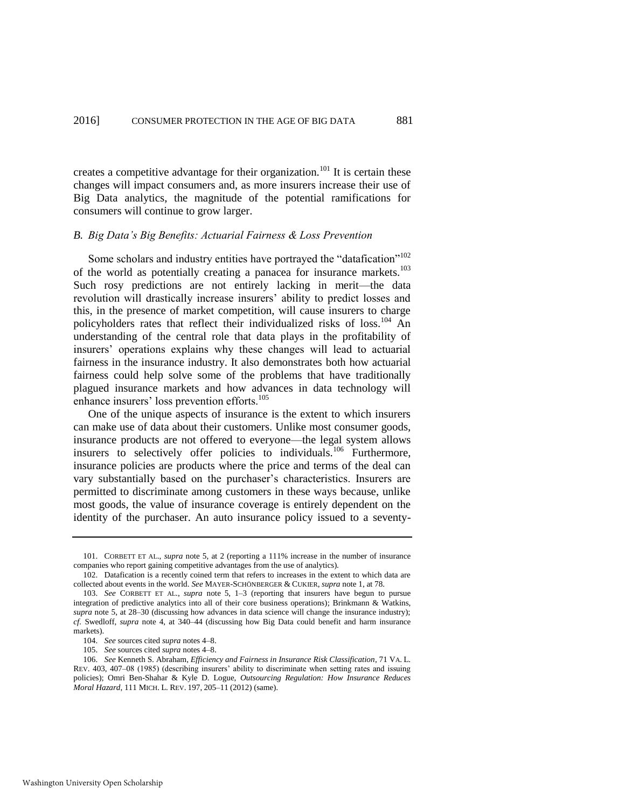creates a competitive advantage for their organization.<sup>101</sup> It is certain these changes will impact consumers and, as more insurers increase their use of Big Data analytics, the magnitude of the potential ramifications for consumers will continue to grow larger.

# *B. Big Data's Big Benefits: Actuarial Fairness & Loss Prevention*

Some scholars and industry entities have portrayed the "datafication"<sup>102</sup> of the world as potentially creating a panacea for insurance markets.<sup>103</sup> Such rosy predictions are not entirely lacking in merit—the data revolution will drastically increase insurers' ability to predict losses and this, in the presence of market competition, will cause insurers to charge policyholders rates that reflect their individualized risks of loss.<sup>104</sup> An understanding of the central role that data plays in the profitability of insurers' operations explains why these changes will lead to actuarial fairness in the insurance industry. It also demonstrates both how actuarial fairness could help solve some of the problems that have traditionally plagued insurance markets and how advances in data technology will enhance insurers' loss prevention efforts.<sup>105</sup>

<span id="page-23-0"></span>One of the unique aspects of insurance is the extent to which insurers can make use of data about their customers. Unlike most consumer goods, insurance products are not offered to everyone—the legal system allows insurers to selectively offer policies to individuals.<sup>106</sup> Furthermore, insurance policies are products where the price and terms of the deal can vary substantially based on the purchaser's characteristics. Insurers are permitted to discriminate among customers in these ways because, unlike most goods, the value of insurance coverage is entirely dependent on the identity of the purchaser. An auto insurance policy issued to a seventy-

<sup>101.</sup> CORBETT ET AL., *supra* note [5,](#page-4-0) at 2 (reporting a 111% increase in the number of insurance companies who report gaining competitive advantages from the use of analytics).

<sup>102.</sup> Datafication is a recently coined term that refers to increases in the extent to which data are collected about events in the world. *See* MAYER-SCHÖNBERGER & CUKIER, *supra* not[e 1,](#page-3-0) at 78.

<sup>103.</sup> *See* CORBETT ET AL., *supra* note [5,](#page-4-0) 1–3 (reporting that insurers have begun to pursue integration of predictive analytics into all of their core business operations); Brinkmann & Watkins, *supra* note [5,](#page-4-0) at 28–30 (discussing how advances in data science will change the insurance industry); *cf.* Swedloff, *supra* note [4,](#page-4-1) at 340–44 (discussing how Big Data could benefit and harm insurance markets).

<sup>104.</sup> *See* sources cited *supra* note[s 4](#page-4-1)[–8.](#page-4-3)

<sup>105.</sup> *See* sources cited *supra* note[s 4](#page-4-1)[–8.](#page-4-3)

<sup>106.</sup> *See* Kenneth S. Abraham, *Efficiency and Fairness in Insurance Risk Classification*, 71 VA. L. REV. 403, 407–08 (1985) (describing insurers' ability to discriminate when setting rates and issuing policies); Omri Ben-Shahar & Kyle D. Logue, *Outsourcing Regulation: How Insurance Reduces Moral Hazard*, 111 MICH. L. REV. 197, 205–11 (2012) (same).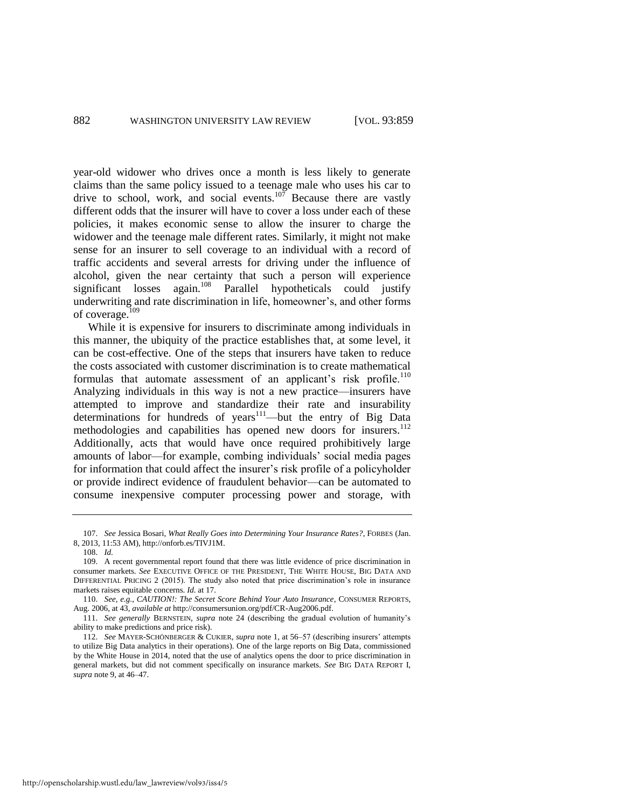year-old widower who drives once a month is less likely to generate claims than the same policy issued to a teenage male who uses his car to drive to school, work, and social events.<sup>107</sup> Because there are vastly different odds that the insurer will have to cover a loss under each of these policies, it makes economic sense to allow the insurer to charge the widower and the teenage male different rates. Similarly, it might not make sense for an insurer to sell coverage to an individual with a record of traffic accidents and several arrests for driving under the influence of alcohol, given the near certainty that such a person will experience significant losses again.<sup>108</sup> Parallel hypotheticals could justify underwriting and rate discrimination in life, homeowner's, and other forms of coverage.<sup>109</sup>

While it is expensive for insurers to discriminate among individuals in this manner, the ubiquity of the practice establishes that, at some level, it can be cost-effective. One of the steps that insurers have taken to reduce the costs associated with customer discrimination is to create mathematical formulas that automate assessment of an applicant's risk profile.<sup>110</sup> Analyzing individuals in this way is not a new practice—insurers have attempted to improve and standardize their rate and insurability determinations for hundreds of years<sup>111</sup>—but the entry of Big Data methodologies and capabilities has opened new doors for insurers.<sup>112</sup> Additionally, acts that would have once required prohibitively large amounts of labor—for example, combing individuals' social media pages for information that could affect the insurer's risk profile of a policyholder or provide indirect evidence of fraudulent behavior—can be automated to consume inexpensive computer processing power and storage, with

<sup>107.</sup> *See* Jessica Bosari, *What Really Goes into Determining Your Insurance Rates?*, FORBES (Jan. 8, 2013, 11:53 AM), http://onforb.es/TIVJ1M.

<sup>108.</sup> *Id.*

<sup>109.</sup> A recent governmental report found that there was little evidence of price discrimination in consumer markets. *See* EXECUTIVE OFFICE OF THE PRESIDENT, THE WHITE HOUSE, BIG DATA AND DIFFERENTIAL PRICING 2 (2015). The study also noted that price discrimination's role in insurance markets raises equitable concerns. *Id.* at 17.

<sup>110.</sup> *See, e.g.*, *CAUTION!: The Secret Score Behind Your Auto Insurance*, CONSUMER REPORTS, Aug. 2006, at 43, *available at* http://consumersunion.org/pdf/CR-Aug2006.pdf.

<sup>111.</sup> *See generally* BERNSTEIN, *supra* note [24](#page-8-1) (describing the gradual evolution of humanity's ability to make predictions and price risk).

<sup>112.</sup> *See* MAYER-SCHÖNBERGER & CUKIER, *supra* note [1,](#page-3-0) at 56–57 (describing insurers' attempts to utilize Big Data analytics in their operations). One of the large reports on Big Data, commissioned by the White House in 2014, noted that the use of analytics opens the door to price discrimination in general markets, but did not comment specifically on insurance markets. *See* BIG DATA REPORT I, *supra* not[e 9,](#page-5-0) at 46–47.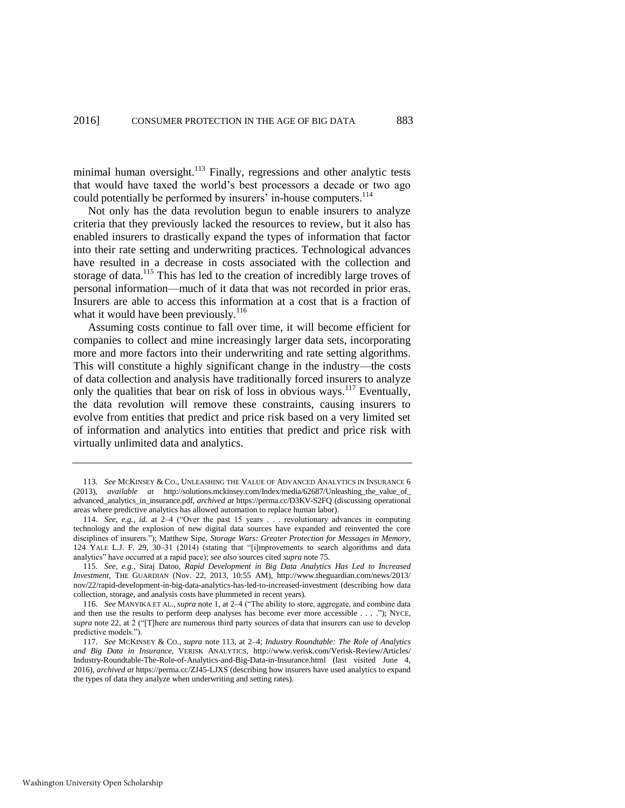<span id="page-25-0"></span>minimal human oversight.<sup>113</sup> Finally, regressions and other analytic tests that would have taxed the world's best processors a decade or two ago could potentially be performed by insurers' in-house computers.<sup>114</sup>

Not only has the data revolution begun to enable insurers to analyze criteria that they previously lacked the resources to review, but it also has enabled insurers to drastically expand the types of information that factor into their rate setting and underwriting practices. Technological advances have resulted in a decrease in costs associated with the collection and storage of data.<sup>115</sup> This has led to the creation of incredibly large troves of personal information—much of it data that was not recorded in prior eras. Insurers are able to access this information at a cost that is a fraction of what it would have been previously. $116$ 

<span id="page-25-2"></span><span id="page-25-1"></span>Assuming costs continue to fall over time, it will become efficient for companies to collect and mine increasingly larger data sets, incorporating more and more factors into their underwriting and rate setting algorithms. This will constitute a highly significant change in the industry—the costs of data collection and analysis have traditionally forced insurers to analyze only the qualities that bear on risk of loss in obvious ways.<sup>117</sup> Eventually, the data revolution will remove these constraints, causing insurers to evolve from entities that predict and price risk based on a very limited set of information and analytics into entities that predict and price risk with virtually unlimited data and analytics.

<sup>113.</sup> *See* MCKINSEY & CO., UNLEASHING THE VALUE OF ADVANCED ANALYTICS IN INSURANCE 6 (2013), *available at* [http://solutions.mckinsey.com/Index/media/62687/Unleashing\\_the\\_value\\_of\\_](http://solutions.mckinsey.com/Index/media/62687/Unleashing_the_value_of_advanced_analytics_in_insurance.pdf)  [advanced\\_analytics\\_in\\_insurance.pdf,](http://solutions.mckinsey.com/Index/media/62687/Unleashing_the_value_of_advanced_analytics_in_insurance.pdf) *archived at* https://perma.cc/D3KV-S2FQ (discussing operational areas where predictive analytics has allowed automation to replace human labor).

<sup>114.</sup> *See, e.g.*, *id.* at 2–4 ("Over the past 15 years . . . revolutionary advances in computing technology and the explosion of new digital data sources have expanded and reinvented the core disciplines of insurers."); Matthew Sipe, *Storage Wars: Greater Protection for Messages in Memory*, 124 YALE L.J. F. 29, 30–31 (2014) (stating that "[i]mprovements to search algorithms and data analytics" have occurred at a rapid pace); *see also* sources cited *supra* not[e 75.](#page-18-0) 

<sup>115.</sup> *See, e.g.*, Siraj Datoo, *Rapid Development in Big Data Analytics Has Led to Increased Investment*, THE GUARDIAN (Nov. 22, 2013, 10:55 AM), http://www.theguardian.com/news/2013/ nov/22/rapid-development-in-big-data-analytics-has-led-to-increased-investment (describing how data collection, storage, and analysis costs have plummeted in recent years).

<sup>116.</sup> *See* MANYIKA ET AL., *supra* note [1,](#page-3-0) at 2–4 ("The ability to store, aggregate, and combine data and then use the results to perform deep analyses has become ever more accessible . . . ."); NYCE, *supra* not[e 22,](#page-8-0) at 2 ("[T]here are numerous third party sources of data that insurers can use to develop predictive models.").

<sup>117.</sup> *See* MCKINSEY & CO., *supra* note [113,](#page-25-0) at 2–4; *Industry Roundtable: The Role of Analytics and Big Data in Insurance*, VERISK ANALYTICS, [http://www.verisk.com/Verisk-Review/Articles/](http://www.verisk.com/Verisk-Review/Articles/Industry-Roundtable-The-Role-of-Analytics-and-Big-Data-in-Insurance.html)  [Industry-Roundtable-The-Role-of-Analytics-and-Big-Data-in-Insurance.html](http://www.verisk.com/Verisk-Review/Articles/Industry-Roundtable-The-Role-of-Analytics-and-Big-Data-in-Insurance.html) (last visited June 4, 2016), *archived at* https://perma.cc/ZJ45-LJXS (describing how insurers have used analytics to expand the types of data they analyze when underwriting and setting rates).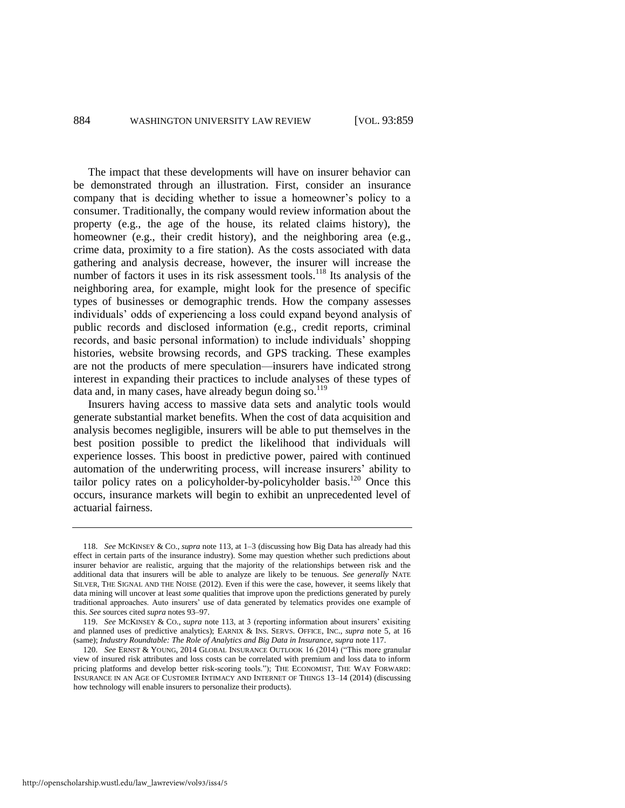The impact that these developments will have on insurer behavior can be demonstrated through an illustration. First, consider an insurance company that is deciding whether to issue a homeowner's policy to a consumer. Traditionally, the company would review information about the property (e.g., the age of the house, its related claims history), the homeowner (e.g., their credit history), and the neighboring area (e.g., crime data, proximity to a fire station). As the costs associated with data gathering and analysis decrease, however, the insurer will increase the number of factors it uses in its risk assessment tools.<sup>118</sup> Its analysis of the neighboring area, for example, might look for the presence of specific types of businesses or demographic trends. How the company assesses individuals' odds of experiencing a loss could expand beyond analysis of public records and disclosed information (e.g., credit reports, criminal records, and basic personal information) to include individuals' shopping histories, website browsing records, and GPS tracking. These examples are not the products of mere speculation—insurers have indicated strong interest in expanding their practices to include analyses of these types of data and, in many cases, have already begun doing so.<sup>119</sup>

Insurers having access to massive data sets and analytic tools would generate substantial market benefits. When the cost of data acquisition and analysis becomes negligible, insurers will be able to put themselves in the best position possible to predict the likelihood that individuals will experience losses. This boost in predictive power, paired with continued automation of the underwriting process, will increase insurers' ability to tailor policy rates on a policyholder-by-policyholder basis.<sup>120</sup> Once this occurs, insurance markets will begin to exhibit an unprecedented level of actuarial fairness.

http://openscholarship.wustl.edu/law\_lawreview/vol93/iss4/5

<span id="page-26-0"></span><sup>118.</sup> *See* MCKINSEY & CO., *supra* not[e 113,](#page-25-0) at 1–3 (discussing how Big Data has already had this effect in certain parts of the insurance industry). Some may question whether such predictions about insurer behavior are realistic, arguing that the majority of the relationships between risk and the additional data that insurers will be able to analyze are likely to be tenuous. *See generally* NATE SILVER, THE SIGNAL AND THE NOISE (2012). Even if this were the case, however, it seems likely that data mining will uncover at least *some* qualities that improve upon the predictions generated by purely traditional approaches. Auto insurers' use of data generated by telematics provides one example of this. *See* sources cited *supra* note[s 93–](#page-21-0)[97.](#page-22-0) 

<sup>119.</sup> *See* MCKINSEY & CO., *supra* note [113,](#page-25-0) at 3 (reporting information about insurers' exisiting and planned uses of predictive analytics); EARNIX & INS. SERVS. OFFICE, INC., *supra* note [5,](#page-4-0) at 16 (same); *Industry Roundtable: The Role of Analytics and Big Data in Insurance*, *supra* not[e 117.](#page-25-1)

<sup>120.</sup> *See* ERNST & YOUNG, 2014 GLOBAL INSURANCE OUTLOOK 16 (2014) ("This more granular view of insured risk attributes and loss costs can be correlated with premium and loss data to inform pricing platforms and develop better risk-scoring tools."); THE ECONOMIST, THE WAY FORWARD: INSURANCE IN AN AGE OF CUSTOMER INTIMACY AND INTERNET OF THINGS 13–14 (2014) (discussing how technology will enable insurers to personalize their products).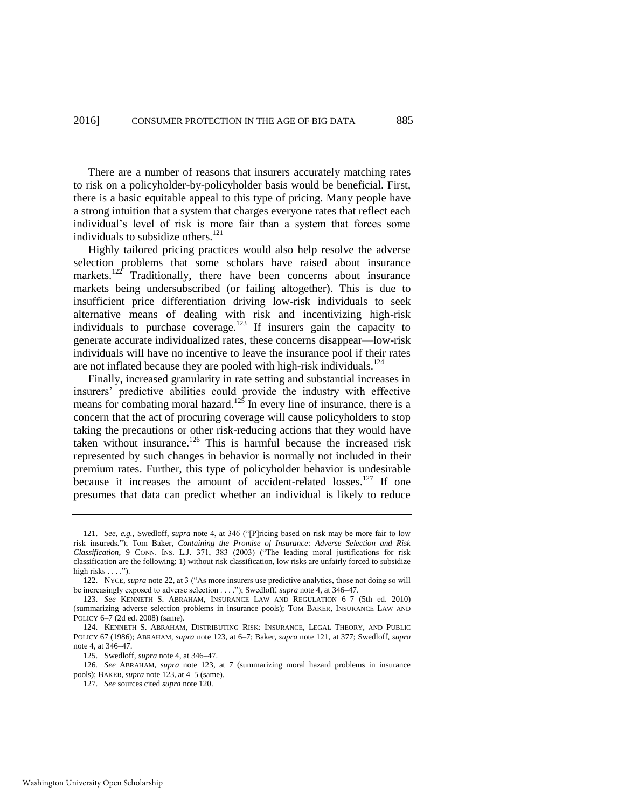There are a number of reasons that insurers accurately matching rates to risk on a policyholder-by-policyholder basis would be beneficial. First, there is a basic equitable appeal to this type of pricing. Many people have a strong intuition that a system that charges everyone rates that reflect each individual's level of risk is more fair than a system that forces some individuals to subsidize others.<sup>121</sup>

<span id="page-27-1"></span>Highly tailored pricing practices would also help resolve the adverse selection problems that some scholars have raised about insurance markets.<sup>122</sup> Traditionally, there have been concerns about insurance markets being undersubscribed (or failing altogether). This is due to insufficient price differentiation driving low-risk individuals to seek alternative means of dealing with risk and incentivizing high-risk individuals to purchase coverage.<sup>123</sup> If insurers gain the capacity to generate accurate individualized rates, these concerns disappear—low-risk individuals will have no incentive to leave the insurance pool if their rates are not inflated because they are pooled with high-risk individuals.<sup>124</sup>

<span id="page-27-0"></span>Finally, increased granularity in rate setting and substantial increases in insurers' predictive abilities could provide the industry with effective means for combating moral hazard.<sup>125</sup> In every line of insurance, there is a concern that the act of procuring coverage will cause policyholders to stop taking the precautions or other risk-reducing actions that they would have taken without insurance.<sup>126</sup> This is harmful because the increased risk represented by such changes in behavior is normally not included in their premium rates. Further, this type of policyholder behavior is undesirable because it increases the amount of accident-related losses.<sup>127</sup> If one presumes that data can predict whether an individual is likely to reduce

125. Swedloff, *supra* not[e 4,](#page-4-1) at 346–47.

126*. See* ABRAHAM, *supra* note [123,](#page-27-0) at 7 (summarizing moral hazard problems in insurance pools); BAKER, *supra* not[e 123,](#page-27-0) at 4–5 (same).

<sup>121.</sup> *See, e.g.*, Swedloff, *supra* note [4,](#page-4-1) at 346 ("[P]ricing based on risk may be more fair to low risk insureds."); Tom Baker, *Containing the Promise of Insurance: Adverse Selection and Risk Classification*, 9 CONN. INS. L.J. 371, 383 (2003) ("The leading moral justifications for risk classification are the following: 1) without risk classification, low risks are unfairly forced to subsidize high risks  $\dots$ .").

<sup>122.</sup> NYCE, *supra* not[e 22,](#page-8-0) at 3 ("As more insurers use predictive analytics, those not doing so will be increasingly exposed to adverse selection . . . ."); Swedloff, *supra* not[e 4,](#page-4-1) at 346–47.

<sup>123.</sup> *See* KENNETH S. ABRAHAM, INSURANCE LAW AND REGULATION 6–7 (5th ed. 2010) (summarizing adverse selection problems in insurance pools); TOM BAKER, INSURANCE LAW AND POLICY 6–7 (2d ed. 2008) (same).

<sup>124.</sup> KENNETH S. ABRAHAM, DISTRIBUTING RISK: INSURANCE, LEGAL THEORY, AND PUBLIC POLICY 67 (1986); ABRAHAM, *supra* note [123,](#page-27-0) at 6–7; Baker, *supra* note [121,](#page-27-1) at 377; Swedloff, *supra* note [4,](#page-4-1) at 346–47.

<sup>127.</sup> *See* sources cited *supra* not[e 120.](#page-26-0)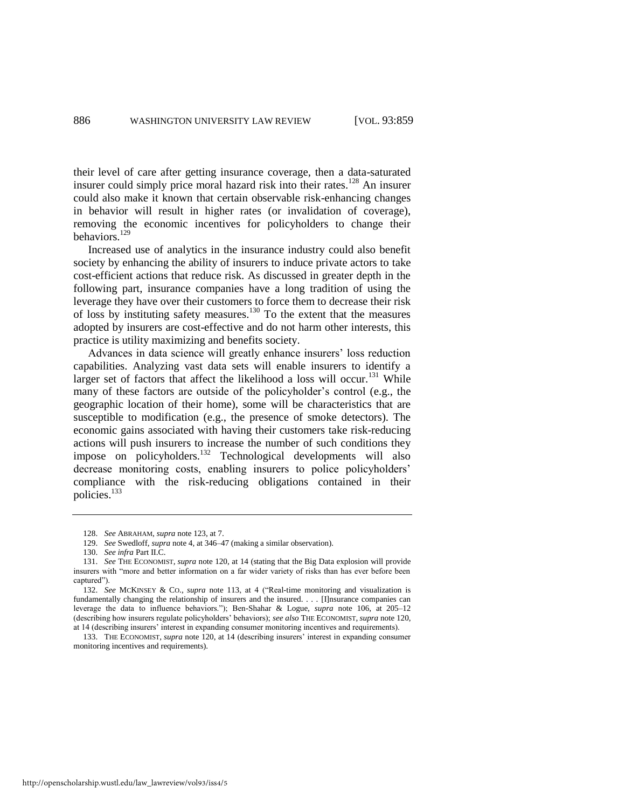their level of care after getting insurance coverage, then a data-saturated insurer could simply price moral hazard risk into their rates.<sup>128</sup> An insurer could also make it known that certain observable risk-enhancing changes in behavior will result in higher rates (or invalidation of coverage), removing the economic incentives for policyholders to change their behaviors.<sup>129</sup>

Increased use of analytics in the insurance industry could also benefit society by enhancing the ability of insurers to induce private actors to take cost-efficient actions that reduce risk. As discussed in greater depth in the following part, insurance companies have a long tradition of using the leverage they have over their customers to force them to decrease their risk of loss by instituting safety measures.<sup>130</sup> To the extent that the measures adopted by insurers are cost-effective and do not harm other interests, this practice is utility maximizing and benefits society.

Advances in data science will greatly enhance insurers' loss reduction capabilities. Analyzing vast data sets will enable insurers to identify a larger set of factors that affect the likelihood a loss will occur.<sup>131</sup> While many of these factors are outside of the policyholder's control (e.g., the geographic location of their home), some will be characteristics that are susceptible to modification (e.g., the presence of smoke detectors). The economic gains associated with having their customers take risk-reducing actions will push insurers to increase the number of such conditions they impose on policyholders.<sup>132</sup> Technological developments will also decrease monitoring costs, enabling insurers to police policyholders' compliance with the risk-reducing obligations contained in their policies.<sup>133</sup>

<sup>128.</sup> *See* ABRAHAM, *supra* not[e 123,](#page-27-0) at 7.

<sup>129.</sup> *See* Swedloff, *supra* not[e 4,](#page-4-1) at 346–47 (making a similar observation).

<sup>130.</sup> *See infra* Part II.C.

<sup>131.</sup> *See* THE ECONOMIST, *supra* note [120,](#page-26-0) at 14 (stating that the Big Data explosion will provide insurers with "more and better information on a far wider variety of risks than has ever before been captured").

<sup>132.</sup> *See* MCKINSEY & CO., *supra* note [113,](#page-25-0) at 4 ("Real-time monitoring and visualization is fundamentally changing the relationship of insurers and the insured. . . . [I]nsurance companies can leverage the data to influence behaviors."); Ben-Shahar & Logue, *supra* note [106,](#page-23-0) at 205–12 (describing how insurers regulate policyholders' behaviors); *see also* THE ECONOMIST, *supra* not[e 120,](#page-26-0)  at 14 (describing insurers' interest in expanding consumer monitoring incentives and requirements).

<sup>133.</sup> THE ECONOMIST, *supra* not[e 120,](#page-26-0) at 14 (describing insurers' interest in expanding consumer monitoring incentives and requirements).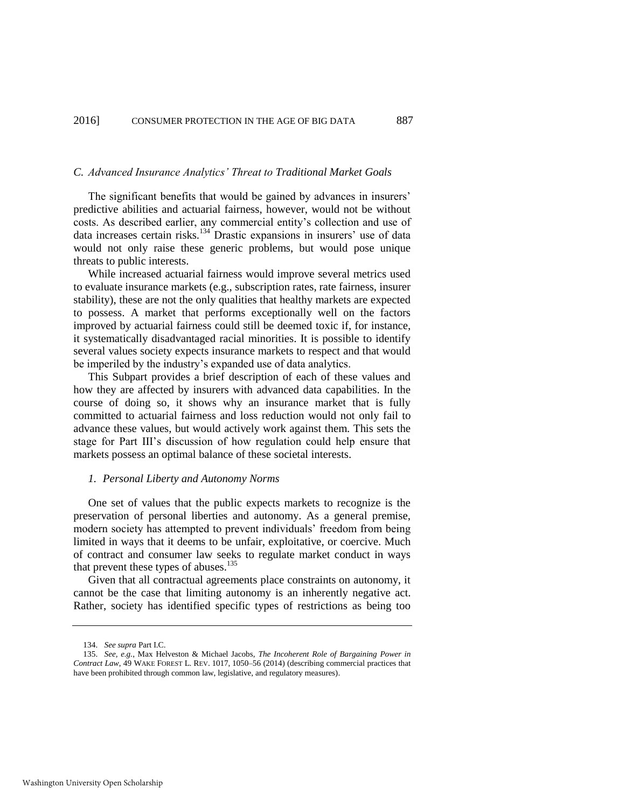#### *C. Advanced Insurance Analytics' Threat to Traditional Market Goals*

The significant benefits that would be gained by advances in insurers' predictive abilities and actuarial fairness, however, would not be without costs. As described earlier, any commercial entity's collection and use of data increases certain risks.<sup>134</sup> Drastic expansions in insurers' use of data would not only raise these generic problems, but would pose unique threats to public interests.

While increased actuarial fairness would improve several metrics used to evaluate insurance markets (e.g., subscription rates, rate fairness, insurer stability), these are not the only qualities that healthy markets are expected to possess. A market that performs exceptionally well on the factors improved by actuarial fairness could still be deemed toxic if, for instance, it systematically disadvantaged racial minorities. It is possible to identify several values society expects insurance markets to respect and that would be imperiled by the industry's expanded use of data analytics.

This Subpart provides a brief description of each of these values and how they are affected by insurers with advanced data capabilities. In the course of doing so, it shows why an insurance market that is fully committed to actuarial fairness and loss reduction would not only fail to advance these values, but would actively work against them. This sets the stage for Part III's discussion of how regulation could help ensure that markets possess an optimal balance of these societal interests.

#### *1. Personal Liberty and Autonomy Norms*

One set of values that the public expects markets to recognize is the preservation of personal liberties and autonomy. As a general premise, modern society has attempted to prevent individuals' freedom from being limited in ways that it deems to be unfair, exploitative, or coercive. Much of contract and consumer law seeks to regulate market conduct in ways that prevent these types of abuses.<sup>135</sup>

Given that all contractual agreements place constraints on autonomy, it cannot be the case that limiting autonomy is an inherently negative act. Rather, society has identified specific types of restrictions as being too

<sup>134.</sup> *See supra* Part I.C.

<sup>135.</sup> *See, e.g.*, Max Helveston & Michael Jacobs, *The Incoherent Role of Bargaining Power in Contract Law*, 49 WAKE FOREST L. REV. 1017, 1050–56 (2014) (describing commercial practices that have been prohibited through common law, legislative, and regulatory measures).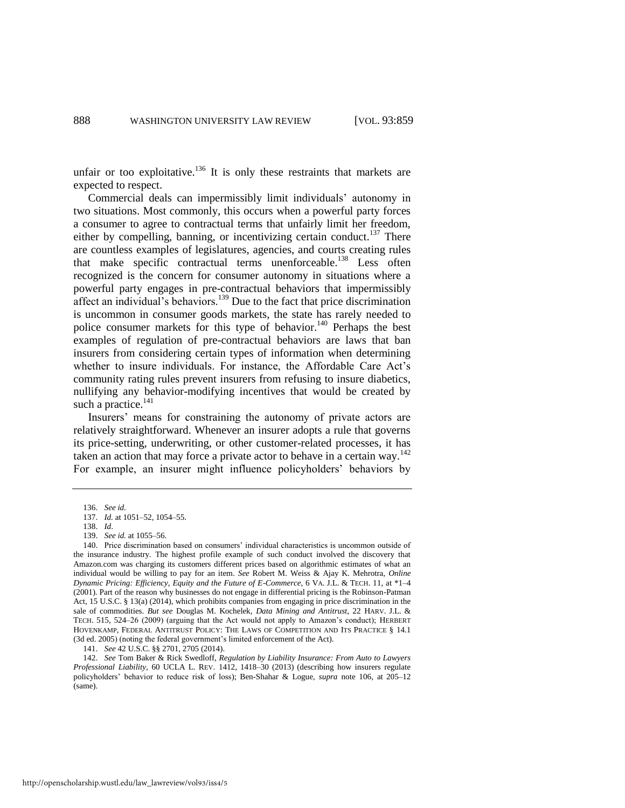unfair or too exploitative.<sup>136</sup> It is only these restraints that markets are expected to respect.

Commercial deals can impermissibly limit individuals' autonomy in two situations. Most commonly, this occurs when a powerful party forces a consumer to agree to contractual terms that unfairly limit her freedom, either by compelling, banning, or incentivizing certain conduct.<sup>137</sup> There are countless examples of legislatures, agencies, and courts creating rules that make specific contractual terms unenforceable.<sup>138</sup> Less often recognized is the concern for consumer autonomy in situations where a powerful party engages in pre-contractual behaviors that impermissibly affect an individual's behaviors.<sup>139</sup> Due to the fact that price discrimination is uncommon in consumer goods markets, the state has rarely needed to police consumer markets for this type of behavior.<sup>140</sup> Perhaps the best examples of regulation of pre-contractual behaviors are laws that ban insurers from considering certain types of information when determining whether to insure individuals. For instance, the Affordable Care Act's community rating rules prevent insurers from refusing to insure diabetics, nullifying any behavior-modifying incentives that would be created by such a practice.<sup>141</sup>

Insurers' means for constraining the autonomy of private actors are relatively straightforward. Whenever an insurer adopts a rule that governs its price-setting, underwriting, or other customer-related processes, it has taken an action that may force a private actor to behave in a certain way.<sup>142</sup> For example, an insurer might influence policyholders' behaviors by

141. *See* 42 U.S.C. §§ 2701, 2705 (2014).

142. *See* Tom Baker & Rick Swedloff, *Regulation by Liability Insurance: From Auto to Lawyers Professional Liability*, 60 UCLA L. REV. 1412, 1418–30 (2013) (describing how insurers regulate policyholders' behavior to reduce risk of loss); Ben-Shahar & Logue, *supra* note [106,](#page-23-0) at 205–12 (same).

<span id="page-30-0"></span><sup>136.</sup> *See id.*

<sup>137.</sup> *Id.* at 1051–52, 1054–55.

<sup>138.</sup> *Id*.

<sup>139.</sup> *See id.* at 1055–56.

<sup>140.</sup> Price discrimination based on consumers' individual characteristics is uncommon outside of the insurance industry. The highest profile example of such conduct involved the discovery that Amazon.com was charging its customers different prices based on algorithmic estimates of what an individual would be willing to pay for an item. *See* Robert M. Weiss & Ajay K. Mehrotra, *Online Dynamic Pricing: Efficiency, Equity and the Future of E-Commerce*, 6 VA. J.L. & TECH. 11, at \*1–4 (2001). Part of the reason why businesses do not engage in differential pricing is the Robinson-Patman Act, 15 U.S.C. § 13(a) (2014), which prohibits companies from engaging in price discrimination in the sale of commodities. *But see* Douglas M. Kochelek, *Data Mining and Antitrust*, 22 HARV. J.L. & TECH. 515, 524–26 (2009) (arguing that the Act would not apply to Amazon's conduct); HERBERT HOVENKAMP, FEDERAL ANTITRUST POLICY: THE LAWS OF COMPETITION AND ITS PRACTICE § 14.1 (3d ed. 2005) (noting the federal government's limited enforcement of the Act).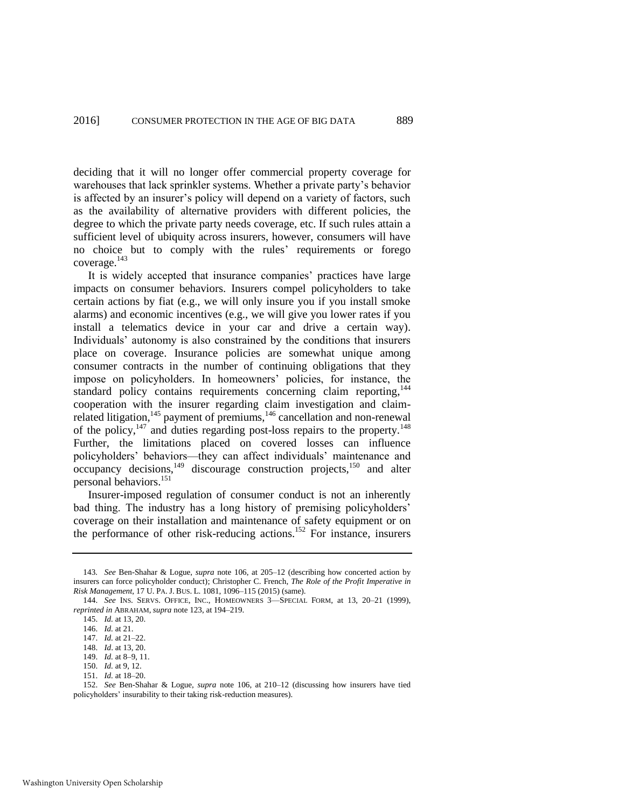deciding that it will no longer offer commercial property coverage for warehouses that lack sprinkler systems. Whether a private party's behavior is affected by an insurer's policy will depend on a variety of factors, such as the availability of alternative providers with different policies, the degree to which the private party needs coverage, etc. If such rules attain a sufficient level of ubiquity across insurers, however, consumers will have no choice but to comply with the rules' requirements or forego coverage. $^{143}$ 

<span id="page-31-0"></span>It is widely accepted that insurance companies' practices have large impacts on consumer behaviors. Insurers compel policyholders to take certain actions by fiat (e.g., we will only insure you if you install smoke alarms) and economic incentives (e.g., we will give you lower rates if you install a telematics device in your car and drive a certain way). Individuals' autonomy is also constrained by the conditions that insurers place on coverage. Insurance policies are somewhat unique among consumer contracts in the number of continuing obligations that they impose on policyholders. In homeowners' policies, for instance, the standard policy contains requirements concerning claim reporting,<sup>144</sup> cooperation with the insurer regarding claim investigation and claimrelated litigation,<sup>145</sup> payment of premiums,<sup>146</sup> cancellation and non-renewal of the policy, $147$  and duties regarding post-loss repairs to the property.<sup>148</sup> Further, the limitations placed on covered losses can influence policyholders' behaviors—they can affect individuals' maintenance and occupancy decisions,<sup>149</sup> discourage construction projects,<sup>150</sup> and alter personal behaviors.<sup>151</sup>

Insurer-imposed regulation of consumer conduct is not an inherently bad thing. The industry has a long history of premising policyholders' coverage on their installation and maintenance of safety equipment or on the performance of other risk-reducing actions.<sup>152</sup> For instance, insurers

152. *See* Ben-Shahar & Logue, *supra* note [106,](#page-23-0) at 210–12 (discussing how insurers have tied policyholders' insurability to their taking risk-reduction measures).

<sup>143</sup>*. See* Ben-Shahar & Logue, *supra* note [106,](#page-23-0) at 205–12 (describing how concerted action by insurers can force policyholder conduct); Christopher C. French, *The Role of the Profit Imperative in Risk Management*, 17 U. PA. J. BUS. L. 1081, 1096–115 (2015) (same).

<sup>144.</sup> *See* INS. SERVS. OFFICE, INC., HOMEOWNERS 3—SPECIAL FORM, at 13, 20–21 (1999), *reprinted in* ABRAHAM, *supra* not[e 123,](#page-27-0) at 194–219.

<sup>145.</sup> *Id.* at 13, 20.

<sup>146.</sup> *Id.* at 21.

<sup>147.</sup> *Id.* at 21–22.

<sup>148.</sup> *Id*. at 13, 20.

<sup>149.</sup> *Id.* at 8–9, 11.

<sup>150.</sup> *Id.* at 9, 12.

<sup>151.</sup> *Id.* at 18–20.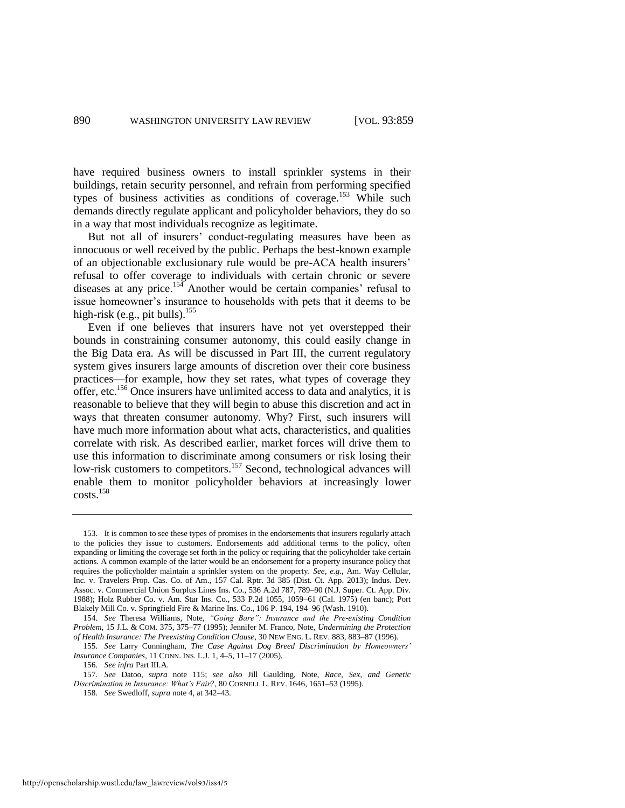<span id="page-32-2"></span>have required business owners to install sprinkler systems in their buildings, retain security personnel, and refrain from performing specified types of business activities as conditions of coverage.<sup>153</sup> While such demands directly regulate applicant and policyholder behaviors, they do so in a way that most individuals recognize as legitimate.

But not all of insurers' conduct-regulating measures have been as innocuous or well received by the public. Perhaps the best-known example of an objectionable exclusionary rule would be pre-ACA health insurers' refusal to offer coverage to individuals with certain chronic or severe diseases at any price.<sup>154</sup> Another would be certain companies' refusal to issue homeowner's insurance to households with pets that it deems to be high-risk (e.g., pit bulls).<sup>155</sup>

<span id="page-32-0"></span>Even if one believes that insurers have not yet overstepped their bounds in constraining consumer autonomy, this could easily change in the Big Data era. As will be discussed in Part III, the current regulatory system gives insurers large amounts of discretion over their core business practices—for example, how they set rates, what types of coverage they offer, etc.<sup>156</sup> Once insurers have unlimited access to data and analytics, it is reasonable to believe that they will begin to abuse this discretion and act in ways that threaten consumer autonomy. Why? First, such insurers will have much more information about what acts, characteristics, and qualities correlate with risk. As described earlier, market forces will drive them to use this information to discriminate among consumers or risk losing their low-risk customers to competitors.<sup>157</sup> Second, technological advances will enable them to monitor policyholder behaviors at increasingly lower costs.<sup>158</sup>

<span id="page-32-1"></span><sup>153.</sup> It is common to see these types of promises in the endorsements that insurers regularly attach to the policies they issue to customers. Endorsements add additional terms to the policy, often expanding or limiting the coverage set forth in the policy or requiring that the policyholder take certain actions. A common example of the latter would be an endorsement for a property insurance policy that requires the policyholder maintain a sprinkler system on the property. *See, e.g.*, Am. Way Cellular, Inc. v. Travelers Prop. Cas. Co. of Am., 157 Cal. Rptr. 3d 385 (Dist. Ct. App. 2013); Indus. Dev. Assoc. v. Commercial Union Surplus Lines Ins. Co., 536 A.2d 787, 789–90 (N.J. Super. Ct. App. Div. 1988); Holz Rubber Co. v. Am. Star Ins. Co., 533 P.2d 1055, 1059–61 (Cal. 1975) (en banc); Port Blakely Mill Co. v. Springfield Fire & Marine Ins. Co., 106 P. 194, 194–96 (Wash. 1910).

<sup>154.</sup> *See* Theresa Williams, Note, *"Going Bare": Insurance and the Pre-existing Condition Problem*, 15 J.L. & COM. 375, 375–77 (1995); Jennifer M. Franco, Note, *Undermining the Protection of Health Insurance: The Preexisting Condition Clause*, 30 NEW ENG. L. REV. 883, 883–87 (1996).

<sup>155.</sup> *See* Larry Cunningham, *The Case Against Dog Breed Discrimination by Homeowners' Insurance Companies*, 11 CONN. INS. L.J. 1, 4–5, 11–17 (2005).

<sup>156.</sup> *See infra* Part III.A.

<sup>157.</sup> *See* Datoo, *supra* note [115;](#page-25-2) *see also* Jill Gaulding, Note, *Race, Sex, and Genetic Discrimination in Insurance: What's Fair?*, 80 CORNELL L. REV. 1646, 1651–53 (1995).

<sup>158.</sup> *See* Swedloff, *supra* not[e 4,](#page-4-1) at 342–43.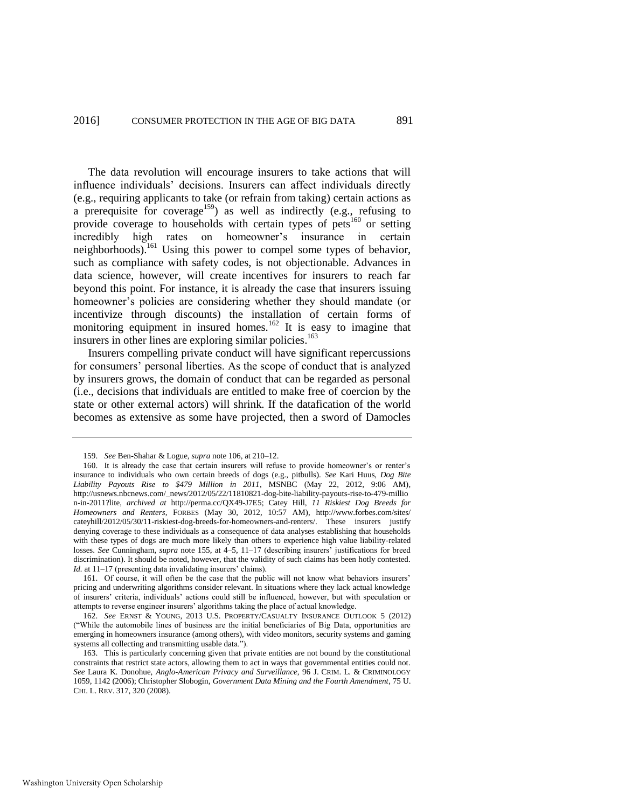The data revolution will encourage insurers to take actions that will influence individuals' decisions. Insurers can affect individuals directly (e.g., requiring applicants to take (or refrain from taking) certain actions as a prerequisite for coverage<sup>159</sup>) as well as indirectly (e.g., refusing to provide coverage to households with certain types of pets<sup>160</sup> or setting incredibly high rates on homeowner's insurance in certain neighborhoods).<sup>161</sup> Using this power to compel some types of behavior, such as compliance with safety codes, is not objectionable. Advances in data science, however, will create incentives for insurers to reach far beyond this point. For instance, it is already the case that insurers issuing homeowner's policies are considering whether they should mandate (or incentivize through discounts) the installation of certain forms of monitoring equipment in insured homes.<sup>162</sup> It is easy to imagine that insurers in other lines are exploring similar policies.<sup>163</sup>

<span id="page-33-0"></span>Insurers compelling private conduct will have significant repercussions for consumers' personal liberties. As the scope of conduct that is analyzed by insurers grows, the domain of conduct that can be regarded as personal (i.e., decisions that individuals are entitled to make free of coercion by the state or other external actors) will shrink. If the datafication of the world becomes as extensive as some have projected, then a sword of Damocles

<sup>159.</sup> *See* Ben-Shahar & Logue, *supra* not[e 106,](#page-23-0) at 210–12.

<sup>160.</sup> It is already the case that certain insurers will refuse to provide homeowner's or renter's insurance to individuals who own certain breeds of dogs (e.g., pitbulls). *See* Kari Huus, *Dog Bite Liability Payouts Rise to \$479 Million in 2011*, MSNBC (May 22, 2012, 9:06 AM), [http://usnews.nbcnews.com/\\_news/2012/05/22/11810821-dog-bite-liability-payouts-rise-to-479-millio](http://usnews.nbcnews.com/_news/2012/05/22/11810821-dog-bite-liability-payouts-rise-to-479-millio) n-in-2011?lite, *archived at* http://perma.cc/QX49-J7E5; Catey Hill, *11 Riskiest Dog Breeds for Homeowners and Renters*, FORBES (May 30, 2012, 10:57 AM), http://www.forbes.com/sites/ cateyhill/2012/05/30/11-riskiest-dog-breeds-for-homeowners-and-renters/. These insurers justify denying coverage to these individuals as a consequence of data analyses establishing that households with these types of dogs are much more likely than others to experience high value liability-related losses. *See* Cunningham, *supra* not[e 155,](#page-32-0) at 4–5, 11–17 (describing insurers' justifications for breed discrimination). It should be noted, however, that the validity of such claims has been hotly contested. *Id.* at 11–17 (presenting data invalidating insurers' claims)*.*

<sup>161.</sup> Of course, it will often be the case that the public will not know what behaviors insurers' pricing and underwriting algorithms consider relevant. In situations where they lack actual knowledge of insurers' criteria, individuals' actions could still be influenced, however, but with speculation or attempts to reverse engineer insurers' algorithms taking the place of actual knowledge.

<sup>162.</sup> *See* ERNST & YOUNG, 2013 U.S. PROPERTY/CASUALTY INSURANCE OUTLOOK 5 (2012) ("While the automobile lines of business are the initial beneficiaries of Big Data, opportunities are emerging in homeowners insurance (among others), with video monitors, security systems and gaming systems all collecting and transmitting usable data.").

<sup>163.</sup> This is particularly concerning given that private entities are not bound by the constitutional constraints that restrict state actors, allowing them to act in ways that governmental entities could not. *See* Laura K. Donohue, *Anglo-American Privacy and Surveillance*, 96 J. CRIM. L. & CRIMINOLOGY 1059, 1142 (2006); Christopher Slobogin, *Government Data Mining and the Fourth Amendment*, 75 U. CHI. L. REV. 317, 320 (2008).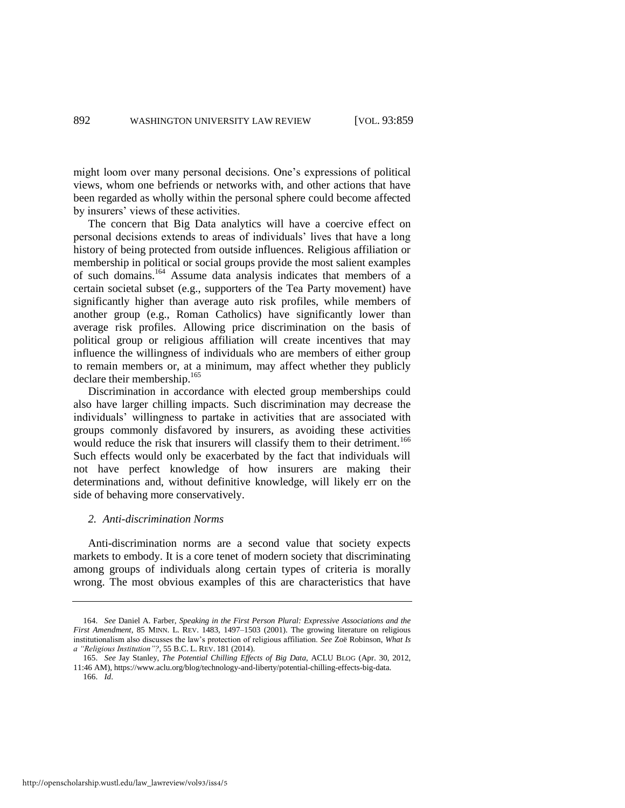might loom over many personal decisions. One's expressions of political views, whom one befriends or networks with, and other actions that have been regarded as wholly within the personal sphere could become affected by insurers' views of these activities.

The concern that Big Data analytics will have a coercive effect on personal decisions extends to areas of individuals' lives that have a long history of being protected from outside influences. Religious affiliation or membership in political or social groups provide the most salient examples of such domains.<sup>164</sup> Assume data analysis indicates that members of a certain societal subset (e.g., supporters of the Tea Party movement) have significantly higher than average auto risk profiles, while members of another group (e.g., Roman Catholics) have significantly lower than average risk profiles. Allowing price discrimination on the basis of political group or religious affiliation will create incentives that may influence the willingness of individuals who are members of either group to remain members or, at a minimum, may affect whether they publicly declare their membership. $165$ 

Discrimination in accordance with elected group memberships could also have larger chilling impacts. Such discrimination may decrease the individuals' willingness to partake in activities that are associated with groups commonly disfavored by insurers, as avoiding these activities would reduce the risk that insurers will classify them to their detriment.<sup>166</sup> Such effects would only be exacerbated by the fact that individuals will not have perfect knowledge of how insurers are making their determinations and, without definitive knowledge, will likely err on the side of behaving more conservatively.

#### *2. Anti-discrimination Norms*

Anti-discrimination norms are a second value that society expects markets to embody. It is a core tenet of modern society that discriminating among groups of individuals along certain types of criteria is morally wrong. The most obvious examples of this are characteristics that have

http://openscholarship.wustl.edu/law\_lawreview/vol93/iss4/5

<sup>164.</sup> *See* Daniel A. Farber, *Speaking in the First Person Plural: Expressive Associations and the First Amendment*, 85 MINN. L. REV. 1483, 1497–1503 (2001). The growing literature on religious institutionalism also discusses the law's protection of religious affiliation. *See* Zoë Robinson, *What Is a "Religious Institution"?*, 55 B.C. L. REV. 181 (2014).

<sup>165.</sup> *See* Jay Stanley, *The Potential Chilling Effects of Big Data*, ACLU BLOG (Apr. 30, 2012, 11:46 AM), https://www.aclu.org/blog/technology-and-liberty/potential-chilling-effects-big-data. 166. *Id*.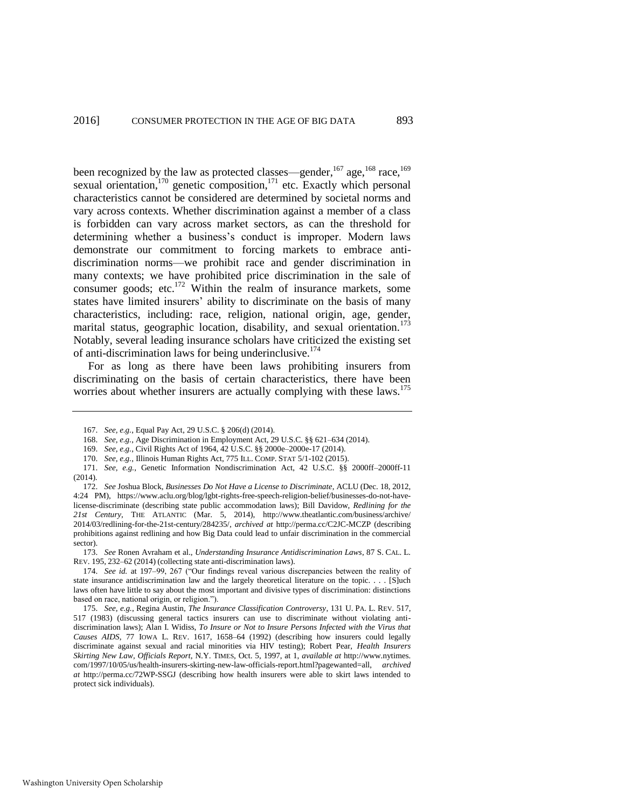been recognized by the law as protected classes—gender,<sup>167</sup> age,<sup>168</sup> race,<sup>169</sup> sexual orientation, $170$  genetic composition, $171$  etc. Exactly which personal characteristics cannot be considered are determined by societal norms and vary across contexts. Whether discrimination against a member of a class is forbidden can vary across market sectors, as can the threshold for determining whether a business's conduct is improper. Modern laws demonstrate our commitment to forcing markets to embrace antidiscrimination norms—we prohibit race and gender discrimination in many contexts; we have prohibited price discrimination in the sale of consumer goods; etc. $172$  Within the realm of insurance markets, some states have limited insurers' ability to discriminate on the basis of many characteristics, including: race, religion, national origin, age, gender, marital status, geographic location, disability, and sexual orientation.<sup>173</sup> Notably, several leading insurance scholars have criticized the existing set of anti-discrimination laws for being underinclusive.<sup>174</sup>

<span id="page-35-0"></span>For as long as there have been laws prohibiting insurers from discriminating on the basis of certain characteristics, there have been worries about whether insurers are actually complying with these laws.<sup>175</sup>

173. *See* Ronen Avraham et al., *Understanding Insurance Antidiscrimination Laws*, 87 S. CAL. L. REV. 195, 232–62 (2014) (collecting state anti-discrimination laws).

174. *See id.* at 197–99, 267 ("Our findings reveal various discrepancies between the reality of state insurance antidiscrimination law and the largely theoretical literature on the topic. . . . [S]uch laws often have little to say about the most important and divisive types of discrimination: distinctions based on race, national origin, or religion.").

175. *See, e.g.*, Regina Austin, *The Insurance Classification Controversy*, 131 U. PA. L. REV. 517, 517 (1983) (discussing general tactics insurers can use to discriminate without violating antidiscrimination laws); Alan I. Widiss, *To Insure or Not to Insure Persons Infected with the Virus that Causes AIDS*, 77 IOWA L. REV. 1617, 1658–64 (1992) (describing how insurers could legally discriminate against sexual and racial minorities via HIV testing); Robert Pear, *Health Insurers Skirting New Law, Officials Report*, N.Y. TIMES, Oct. 5, 1997, at 1, *available at* http://www.nytimes. com/1997/10/05/us/health-insurers-skirting-new-law-officials-report.html?pagewanted=all, *archived at* http://perma.cc/72WP-SSGJ (describing how health insurers were able to skirt laws intended to protect sick individuals).

<sup>167.</sup> *See, e.g.*, Equal Pay Act, 29 U.S.C. § 206(d) (2014).

<sup>168.</sup> *See, e.g.*, Age Discrimination in Employment Act, 29 U.S.C. §§ 621–634 (2014).

<sup>169.</sup> *See, e.g.*, Civil Rights Act of 1964, 42 U.S.C. §§ 2000e–2000e-17 (2014).

<sup>170.</sup> *See, e.g.*, Illinois Human Rights Act, 775 ILL. COMP. STAT 5/1-102 (2015).

<sup>171.</sup> *See, e.g.*, Genetic Information Nondiscrimination Act, 42 U.S.C. §§ 2000ff–2000ff-11 (2014).

<sup>172.</sup> *See* Joshua Block, *Businesses Do Not Have a License to Discriminate*, ACLU (Dec. 18, 2012, 4:24 PM), https://www.aclu.org/blog/lgbt-rights-free-speech-religion-belief/businesses-do-not-havelicense-discriminate (describing state public accommodation laws); Bill Davidow, *Redlining for the 21st Century*, THE ATLANTIC (Mar. 5, 2014), http://www.theatlantic.com/business/archive/ 2014/03/redlining-for-the-21st-century/284235/, *archived at* http://perma.cc/C2JC-MCZP (describing prohibitions against redlining and how Big Data could lead to unfair discrimination in the commercial sector).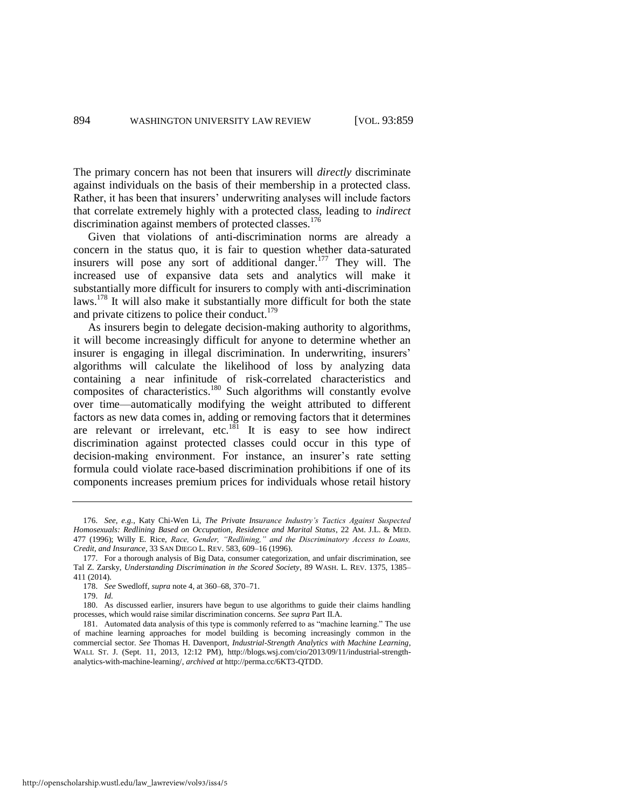The primary concern has not been that insurers will *directly* discriminate against individuals on the basis of their membership in a protected class. Rather, it has been that insurers' underwriting analyses will include factors that correlate extremely highly with a protected class, leading to *indirect* discrimination against members of protected classes.<sup>176</sup>

Given that violations of anti-discrimination norms are already a concern in the status quo, it is fair to question whether data-saturated insurers will pose any sort of additional danger. $177$  They will. The increased use of expansive data sets and analytics will make it substantially more difficult for insurers to comply with anti-discrimination laws.<sup>178</sup> It will also make it substantially more difficult for both the state and private citizens to police their conduct.<sup>179</sup>

As insurers begin to delegate decision-making authority to algorithms, it will become increasingly difficult for anyone to determine whether an insurer is engaging in illegal discrimination. In underwriting, insurers' algorithms will calculate the likelihood of loss by analyzing data containing a near infinitude of risk-correlated characteristics and community a new minimate of the correlated entireteristics and composites of characteristics.<sup>180</sup> Such algorithms will constantly evolve over time—automatically modifying the weight attributed to different factors as new data comes in, adding or removing factors that it determines are relevant or irrelevant, etc. $181$  It is easy to see how indirect discrimination against protected classes could occur in this type of decision-making environment. For instance, an insurer's rate setting formula could violate race-based discrimination prohibitions if one of its components increases premium prices for individuals whose retail history

177. For a thorough analysis of Big Data, consumer categorization, and unfair discrimination, see Tal Z. Zarsky, *Understanding Discrimination in the Scored Society*, 89 WASH. L. REV. 1375, 1385– 411 (2014).

<sup>176.</sup> *See, e.g.*, Katy Chi-Wen Li, *The Private Insurance Industry's Tactics Against Suspected Homosexuals: Redlining Based on Occupation, Residence and Marital Status*, 22 AM. J.L. & MED. 477 (1996); Willy E. Rice, *Race, Gender, "Redlining," and the Discriminatory Access to Loans, Credit, and Insurance*, 33 SAN DIEGO L. REV. 583, 609–16 (1996).

<sup>178.</sup> *See* Swedloff, *supra* not[e 4,](#page-4-1) at 360–68, 370–71.

<sup>179.</sup> *Id.*

<sup>180.</sup> As discussed earlier, insurers have begun to use algorithms to guide their claims handling processes, which would raise similar discrimination concerns. *See supra* Part II.A.

<sup>181.</sup> Automated data analysis of this type is commonly referred to as "machine learning." The use of machine learning approaches for model building is becoming increasingly common in the commercial sector*. See* Thomas H. Davenport, *Industrial-Strength Analytics with Machine Learning*, WALL ST. J. (Sept. 11, 2013, 12:12 PM), http://blogs.wsj.com/cio/2013/09/11/industrial-strengthanalytics-with-machine-learning/, *archived at* http://perma.cc/6KT3-QTDD.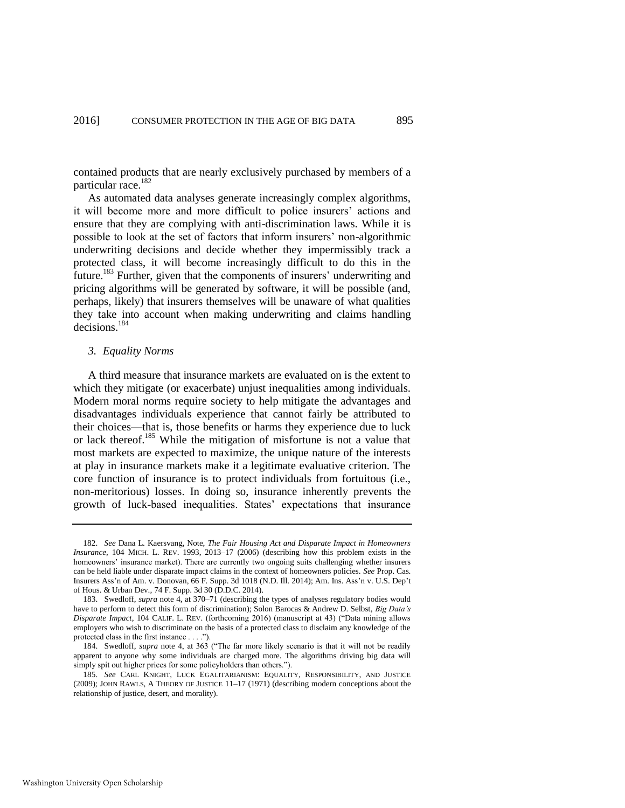contained products that are nearly exclusively purchased by members of a particular race.<sup>182</sup>

As automated data analyses generate increasingly complex algorithms, it will become more and more difficult to police insurers' actions and ensure that they are complying with anti-discrimination laws. While it is possible to look at the set of factors that inform insurers' non-algorithmic underwriting decisions and decide whether they impermissibly track a protected class, it will become increasingly difficult to do this in the future.<sup>183</sup> Further, given that the components of insurers' underwriting and pricing algorithms will be generated by software, it will be possible (and, perhaps, likely) that insurers themselves will be unaware of what qualities they take into account when making underwriting and claims handling decisions.<sup>184</sup>

#### *3. Equality Norms*

A third measure that insurance markets are evaluated on is the extent to which they mitigate (or exacerbate) unjust inequalities among individuals. Modern moral norms require society to help mitigate the advantages and disadvantages individuals experience that cannot fairly be attributed to their choices—that is, those benefits or harms they experience due to luck or lack thereof.<sup>185</sup> While the mitigation of misfortune is not a value that most markets are expected to maximize, the unique nature of the interests at play in insurance markets make it a legitimate evaluative criterion. The core function of insurance is to protect individuals from fortuitous (i.e., non-meritorious) losses. In doing so, insurance inherently prevents the growth of luck-based inequalities. States' expectations that insurance

<sup>182.</sup> *See* Dana L. Kaersvang, Note, *The Fair Housing Act and Disparate Impact in Homeowners Insurance*, 104 MICH. L. REV. 1993, 2013–17 (2006) (describing how this problem exists in the homeowners' insurance market). There are currently two ongoing suits challenging whether insurers can be held liable under disparate impact claims in the context of homeowners policies. *See* Prop. Cas. Insurers Ass'n of Am. v. Donovan, 66 F. Supp. 3d 1018 (N.D. Ill. 2014); Am. Ins. Ass'n v. U.S. Dep't of Hous. & Urban Dev., 74 F. Supp. 3d 30 (D.D.C. 2014).

<sup>183.</sup> Swedloff, *supra* not[e 4,](#page-4-1) at 370–71 (describing the types of analyses regulatory bodies would have to perform to detect this form of discrimination); Solon Barocas & Andrew D. Selbst, *Big Data's Disparate Impact*, 104 CALIF. L. REV. (forthcoming 2016) (manuscript at 43) ("Data mining allows employers who wish to discriminate on the basis of a protected class to disclaim any knowledge of the protected class in the first instance . . . .").

<sup>184.</sup> Swedloff, *supra* note [4,](#page-4-1) at 363 ("The far more likely scenario is that it will not be readily apparent to anyone why some individuals are charged more. The algorithms driving big data will simply spit out higher prices for some policyholders than others.").

<sup>185.</sup> *See* CARL KNIGHT, LUCK EGALITARIANISM: EQUALITY, RESPONSIBILITY, AND JUSTICE (2009); JOHN RAWLS, A THEORY OF JUSTICE 11–17 (1971) (describing modern conceptions about the relationship of justice, desert, and morality).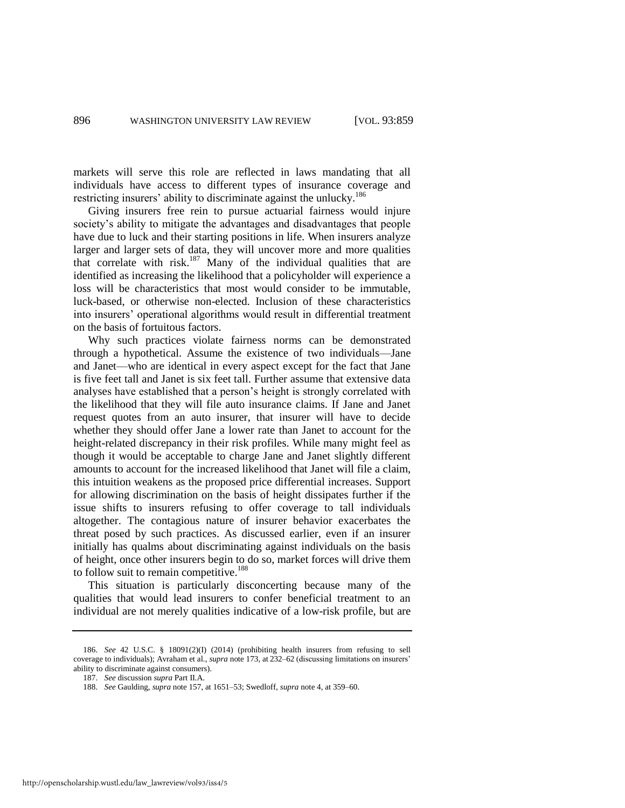markets will serve this role are reflected in laws mandating that all individuals have access to different types of insurance coverage and restricting insurers' ability to discriminate against the unlucky.<sup>186</sup>

Giving insurers free rein to pursue actuarial fairness would injure society's ability to mitigate the advantages and disadvantages that people have due to luck and their starting positions in life. When insurers analyze larger and larger sets of data, they will uncover more and more qualities that correlate with risk.<sup>187</sup> Many of the individual qualities that are identified as increasing the likelihood that a policyholder will experience a loss will be characteristics that most would consider to be immutable, luck-based, or otherwise non-elected. Inclusion of these characteristics into insurers' operational algorithms would result in differential treatment on the basis of fortuitous factors.

Why such practices violate fairness norms can be demonstrated through a hypothetical. Assume the existence of two individuals—Jane and Janet—who are identical in every aspect except for the fact that Jane is five feet tall and Janet is six feet tall. Further assume that extensive data analyses have established that a person's height is strongly correlated with the likelihood that they will file auto insurance claims. If Jane and Janet request quotes from an auto insurer, that insurer will have to decide whether they should offer Jane a lower rate than Janet to account for the height-related discrepancy in their risk profiles. While many might feel as though it would be acceptable to charge Jane and Janet slightly different amounts to account for the increased likelihood that Janet will file a claim, this intuition weakens as the proposed price differential increases. Support for allowing discrimination on the basis of height dissipates further if the issue shifts to insurers refusing to offer coverage to tall individuals altogether. The contagious nature of insurer behavior exacerbates the threat posed by such practices. As discussed earlier, even if an insurer initially has qualms about discriminating against individuals on the basis of height, once other insurers begin to do so, market forces will drive them to follow suit to remain competitive.<sup>188</sup>

This situation is particularly disconcerting because many of the qualities that would lead insurers to confer beneficial treatment to an individual are not merely qualities indicative of a low-risk profile, but are

<sup>186.</sup> *See* 42 U.S.C. § 18091(2)(I) (2014) (prohibiting health insurers from refusing to sell coverage to individuals); Avraham et al., *supra* not[e 173,](#page-35-0) at 232–62 (discussing limitations on insurers' ability to discriminate against consumers).

<sup>187.</sup> *See* discussion *supra* Part II.A.

<sup>188.</sup> *See* Gaulding, *supra* not[e 157,](#page-32-1) at 1651–53; Swedloff, *supra* not[e 4,](#page-4-1) at 359–60.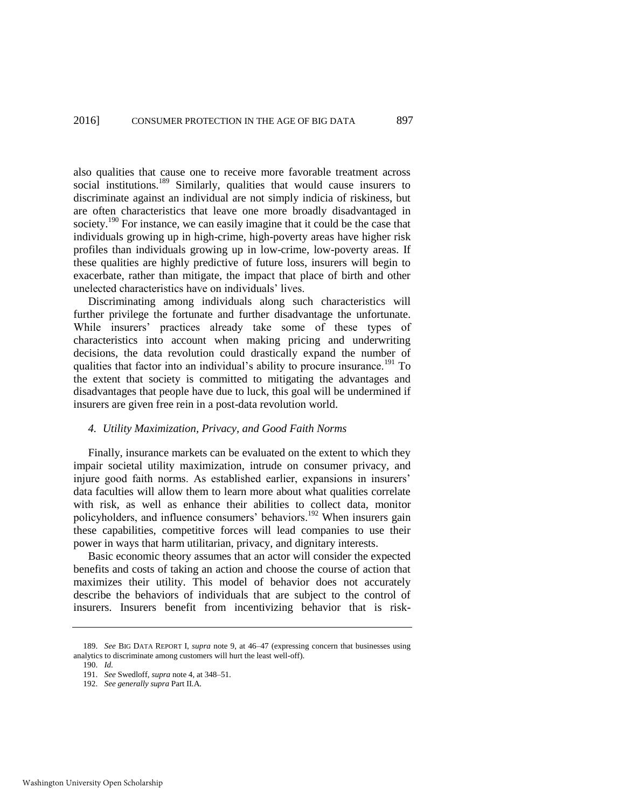also qualities that cause one to receive more favorable treatment across social institutions.<sup>189</sup> Similarly, qualities that would cause insurers to discriminate against an individual are not simply indicia of riskiness, but are often characteristics that leave one more broadly disadvantaged in society.<sup>190</sup> For instance, we can easily imagine that it could be the case that individuals growing up in high-crime, high-poverty areas have higher risk profiles than individuals growing up in low-crime, low-poverty areas. If these qualities are highly predictive of future loss, insurers will begin to exacerbate, rather than mitigate, the impact that place of birth and other unelected characteristics have on individuals' lives.

Discriminating among individuals along such characteristics will further privilege the fortunate and further disadvantage the unfortunate. While insurers' practices already take some of these types of characteristics into account when making pricing and underwriting decisions, the data revolution could drastically expand the number of qualities that factor into an individual's ability to procure insurance.<sup>191</sup> To the extent that society is committed to mitigating the advantages and disadvantages that people have due to luck, this goal will be undermined if insurers are given free rein in a post-data revolution world.

#### *4. Utility Maximization, Privacy, and Good Faith Norms*

Finally, insurance markets can be evaluated on the extent to which they impair societal utility maximization, intrude on consumer privacy, and injure good faith norms. As established earlier, expansions in insurers' data faculties will allow them to learn more about what qualities correlate with risk, as well as enhance their abilities to collect data, monitor policyholders, and influence consumers' behaviors.<sup>192</sup> When insurers gain these capabilities, competitive forces will lead companies to use their power in ways that harm utilitarian, privacy, and dignitary interests.

Basic economic theory assumes that an actor will consider the expected benefits and costs of taking an action and choose the course of action that maximizes their utility. This model of behavior does not accurately describe the behaviors of individuals that are subject to the control of insurers. Insurers benefit from incentivizing behavior that is risk-

<sup>189.</sup> *See* BIG DATA REPORT I, *supra* note [9,](#page-5-0) at 46–47 (expressing concern that businesses using analytics to discriminate among customers will hurt the least well-off).

<sup>190.</sup> *Id.*

<sup>191.</sup> *See* Swedloff, *supra* not[e 4,](#page-4-1) at 348–51.

<sup>192.</sup> *See generally supra* Part II.A.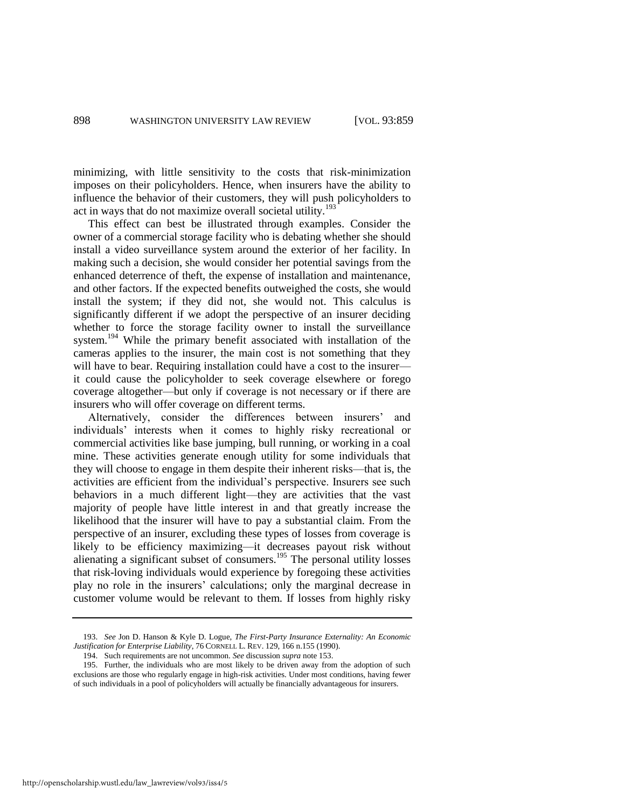minimizing, with little sensitivity to the costs that risk-minimization imposes on their policyholders. Hence, when insurers have the ability to influence the behavior of their customers, they will push policyholders to act in ways that do not maximize overall societal utility.<sup>193</sup>

This effect can best be illustrated through examples. Consider the owner of a commercial storage facility who is debating whether she should install a video surveillance system around the exterior of her facility. In making such a decision, she would consider her potential savings from the enhanced deterrence of theft, the expense of installation and maintenance, and other factors. If the expected benefits outweighed the costs, she would install the system; if they did not, she would not. This calculus is significantly different if we adopt the perspective of an insurer deciding whether to force the storage facility owner to install the surveillance system.<sup>194</sup> While the primary benefit associated with installation of the cameras applies to the insurer, the main cost is not something that they will have to bear. Requiring installation could have a cost to the insurer it could cause the policyholder to seek coverage elsewhere or forego coverage altogether—but only if coverage is not necessary or if there are insurers who will offer coverage on different terms.

Alternatively, consider the differences between insurers' and individuals' interests when it comes to highly risky recreational or commercial activities like base jumping, bull running, or working in a coal mine. These activities generate enough utility for some individuals that they will choose to engage in them despite their inherent risks—that is, the activities are efficient from the individual's perspective. Insurers see such behaviors in a much different light—they are activities that the vast majority of people have little interest in and that greatly increase the likelihood that the insurer will have to pay a substantial claim. From the perspective of an insurer, excluding these types of losses from coverage is likely to be efficiency maximizing—it decreases payout risk without alienating a significant subset of consumers.<sup>195</sup> The personal utility losses that risk-loving individuals would experience by foregoing these activities play no role in the insurers' calculations; only the marginal decrease in customer volume would be relevant to them. If losses from highly risky

<sup>193.</sup> *See* Jon D. Hanson & Kyle D. Logue, *The First-Party Insurance Externality: An Economic Justification for Enterprise Liability*, 76 CORNELL L. REV. 129, 166 n.155 (1990).

<sup>194.</sup> Such requirements are not uncommon. *See* discussion *supra* not[e 153.](#page-32-2) 

<sup>195.</sup> Further, the individuals who are most likely to be driven away from the adoption of such exclusions are those who regularly engage in high-risk activities. Under most conditions, having fewer of such individuals in a pool of policyholders will actually be financially advantageous for insurers.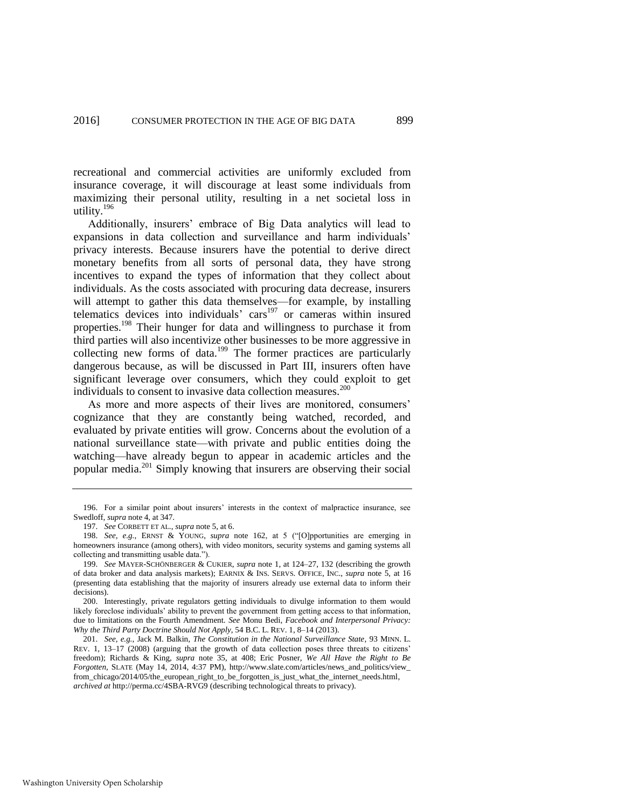recreational and commercial activities are uniformly excluded from insurance coverage, it will discourage at least some individuals from maximizing their personal utility, resulting in a net societal loss in utility.<sup>196</sup>

Additionally, insurers' embrace of Big Data analytics will lead to expansions in data collection and surveillance and harm individuals' privacy interests. Because insurers have the potential to derive direct monetary benefits from all sorts of personal data, they have strong incentives to expand the types of information that they collect about individuals. As the costs associated with procuring data decrease, insurers will attempt to gather this data themselves—for example, by installing telematics devices into individuals' cars<sup>197</sup> or cameras within insured properties.<sup>198</sup> Their hunger for data and willingness to purchase it from third parties will also incentivize other businesses to be more aggressive in collecting new forms of data.<sup>199</sup> The former practices are particularly dangerous because, as will be discussed in Part III, insurers often have significant leverage over consumers, which they could exploit to get individuals to consent to invasive data collection measures.<sup>200</sup>

As more and more aspects of their lives are monitored, consumers' cognizance that they are constantly being watched, recorded, and evaluated by private entities will grow. Concerns about the evolution of a national surveillance state—with private and public entities doing the watching—have already begun to appear in academic articles and the popular media.<sup>201</sup> Simply knowing that insurers are observing their social

<sup>196.</sup> For a similar point about insurers' interests in the context of malpractice insurance, see Swedloff, *supra* not[e 4,](#page-4-1) at 347.

<sup>197.</sup> *See* CORBETT ET AL., *supra* not[e 5,](#page-4-0) at 6.

<sup>198.</sup> *See, e.g.*, ERNST & YOUNG, *supra* note [162,](#page-33-0) at 5 ("[O]pportunities are emerging in homeowners insurance (among others), with video monitors, security systems and gaming systems all collecting and transmitting usable data.").

<sup>199.</sup> *See* MAYER-SCHÖNBERGER & CUKIER, *supra* note [1,](#page-3-0) at 124–27, 132 (describing the growth of data broker and data analysis markets); EARNIX & INS. SERVS. OFFICE, INC., *supra* note [5,](#page-4-0) at 16 (presenting data establishing that the majority of insurers already use external data to inform their decisions).

<sup>200.</sup> Interestingly, private regulators getting individuals to divulge information to them would likely foreclose individuals' ability to prevent the government from getting access to that information, due to limitations on the Fourth Amendment. *See* Monu Bedi, *Facebook and Interpersonal Privacy: Why the Third Party Doctrine Should Not Apply*, 54 B.C. L. REV. 1, 8–14 (2013).

<sup>201.</sup> *See, e.g.*, Jack M. Balkin, *The Constitution in the National Surveillance State*, 93 MINN. L. REV. 1, 13–17 (2008) (arguing that the growth of data collection poses three threats to citizens' freedom); Richards & King, *supra* note [35,](#page-10-0) at 408; Eric Posner, *We All Have the Right to Be Forgotten*, SLATE (May 14, 2014, 4:37 PM), http://www.slate.com/articles/news\_and\_politics/view\_ from\_chicago/2014/05/the\_european\_right\_to\_be\_forgotten\_is\_just\_what\_the\_internet\_needs.html, *archived at* [http://perma.cc/4SBA-RVG9 \(](http://perma.cc/4SBA-RVG9)describing technological threats to privacy).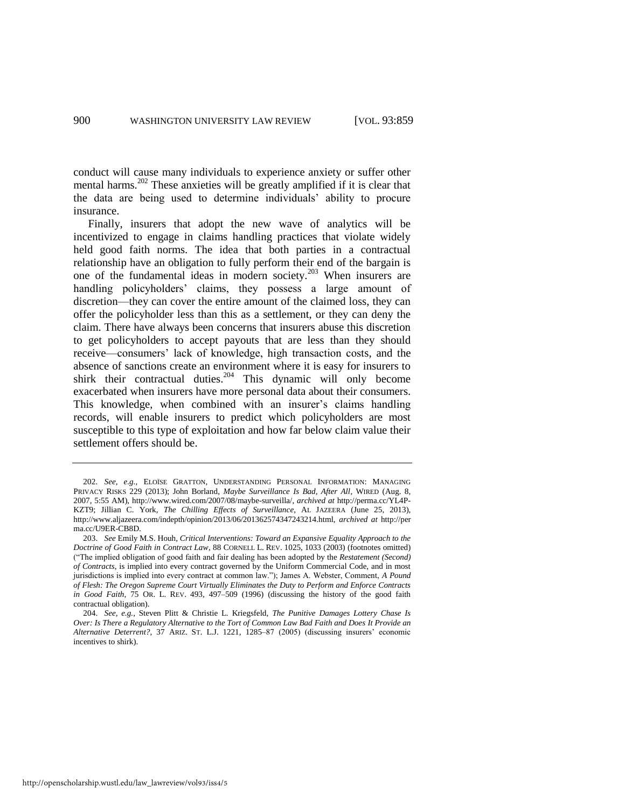conduct will cause many individuals to experience anxiety or suffer other mental harms.<sup>202</sup> These anxieties will be greatly amplified if it is clear that the data are being used to determine individuals' ability to procure insurance.

Finally, insurers that adopt the new wave of analytics will be incentivized to engage in claims handling practices that violate widely held good faith norms. The idea that both parties in a contractual relationship have an obligation to fully perform their end of the bargain is one of the fundamental ideas in modern society.<sup>203</sup> When insurers are handling policyholders' claims, they possess a large amount of discretion—they can cover the entire amount of the claimed loss, they can offer the policyholder less than this as a settlement, or they can deny the claim. There have always been concerns that insurers abuse this discretion to get policyholders to accept payouts that are less than they should receive—consumers' lack of knowledge, high transaction costs, and the absence of sanctions create an environment where it is easy for insurers to shirk their contractual duties.<sup>204</sup> This dynamic will only become exacerbated when insurers have more personal data about their consumers. This knowledge, when combined with an insurer's claims handling records, will enable insurers to predict which policyholders are most susceptible to this type of exploitation and how far below claim value their settlement offers should be.

<sup>202.</sup> *See, e.g.*, ELOÏSE GRATTON, UNDERSTANDING PERSONAL INFORMATION: MANAGING PRIVACY RISKS 229 (2013); John Borland, *Maybe Surveillance Is Bad, After All*, WIRED (Aug. 8, 2007, 5:55 AM), http://www.wired.com/2007/08/maybe-surveilla/, *archived at* http://perma.cc/YL4P-KZT9; Jillian C. York, *The Chilling Effects of Surveillance*, AL JAZEERA (June 25, 2013), http://www.aljazeera.com/indepth/opinion/2013/06/201362574347243214.html, *archived at* http://per ma.cc/U9ER-CB8D.

<sup>203.</sup> *See* Emily M.S. Houh, *Critical Interventions: Toward an Expansive Equality Approach to the Doctrine of Good Faith in Contract Law*, 88 CORNELL L. REV. 1025, 1033 (2003) (footnotes omitted) ("The implied obligation of good faith and fair dealing has been adopted by the *Restatement (Second) of Contracts*, is implied into every contract governed by the Uniform Commercial Code, and in most jurisdictions is implied into every contract at common law."); James A. Webster, Comment, *A Pound of Flesh: The Oregon Supreme Court Virtually Eliminates the Duty to Perform and Enforce Contracts in Good Faith*, 75 OR. L. REV. 493, 497–509 (1996) (discussing the history of the good faith contractual obligation).

<sup>204.</sup> *See, e.g.*, Steven Plitt & Christie L. Kriegsfeld, *The Punitive Damages Lottery Chase Is Over: Is There a Regulatory Alternative to the Tort of Common Law Bad Faith and Does It Provide an Alternative Deterrent?*, 37 ARIZ. ST. L.J. 1221, 1285–87 (2005) (discussing insurers' economic incentives to shirk).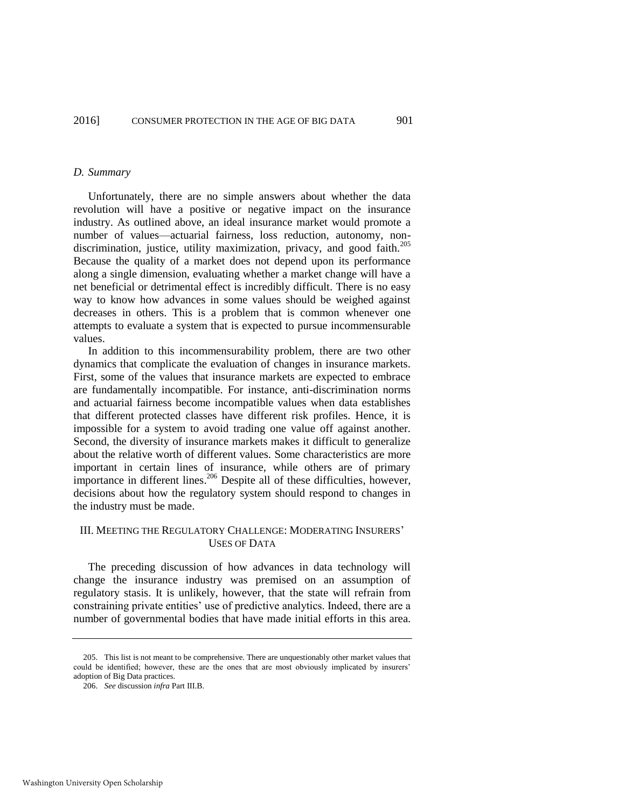#### *D. Summary*

Unfortunately, there are no simple answers about whether the data revolution will have a positive or negative impact on the insurance industry. As outlined above, an ideal insurance market would promote a number of values—actuarial fairness, loss reduction, autonomy, nondiscrimination, justice, utility maximization, privacy, and good faith.<sup>205</sup> Because the quality of a market does not depend upon its performance along a single dimension, evaluating whether a market change will have a net beneficial or detrimental effect is incredibly difficult. There is no easy way to know how advances in some values should be weighed against decreases in others. This is a problem that is common whenever one attempts to evaluate a system that is expected to pursue incommensurable values.

In addition to this incommensurability problem, there are two other dynamics that complicate the evaluation of changes in insurance markets. First, some of the values that insurance markets are expected to embrace are fundamentally incompatible. For instance, anti-discrimination norms and actuarial fairness become incompatible values when data establishes that different protected classes have different risk profiles. Hence, it is impossible for a system to avoid trading one value off against another. Second, the diversity of insurance markets makes it difficult to generalize about the relative worth of different values. Some characteristics are more important in certain lines of insurance, while others are of primary importance in different lines.<sup>206</sup> Despite all of these difficulties, however, decisions about how the regulatory system should respond to changes in the industry must be made.

## III. MEETING THE REGULATORY CHALLENGE: MODERATING INSURERS' USES OF DATA

The preceding discussion of how advances in data technology will change the insurance industry was premised on an assumption of regulatory stasis. It is unlikely, however, that the state will refrain from constraining private entities' use of predictive analytics. Indeed, there are a number of governmental bodies that have made initial efforts in this area.

<sup>205.</sup> This list is not meant to be comprehensive. There are unquestionably other market values that could be identified; however, these are the ones that are most obviously implicated by insurers' adoption of Big Data practices.

<sup>206.</sup> *See* discussion *infra* Part III.B.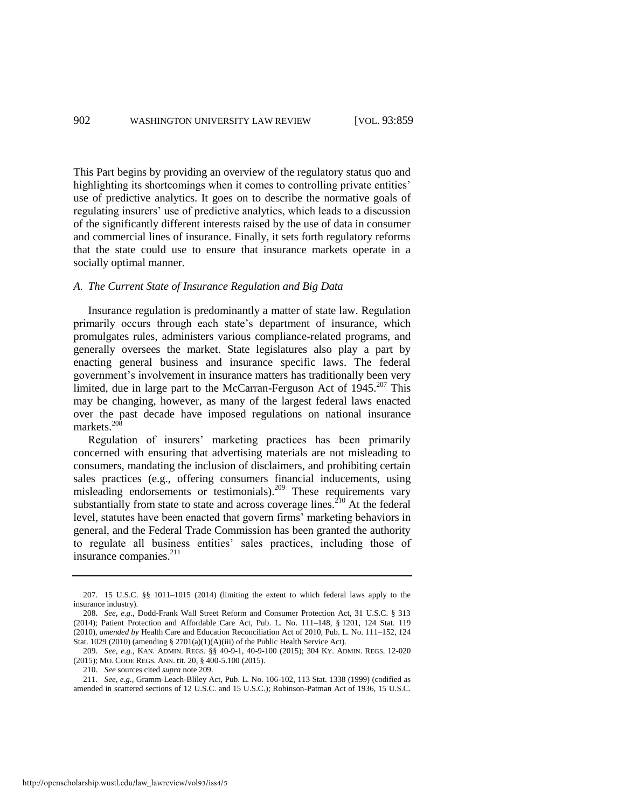This Part begins by providing an overview of the regulatory status quo and highlighting its shortcomings when it comes to controlling private entities' use of predictive analytics. It goes on to describe the normative goals of regulating insurers' use of predictive analytics, which leads to a discussion of the significantly different interests raised by the use of data in consumer and commercial lines of insurance. Finally, it sets forth regulatory reforms that the state could use to ensure that insurance markets operate in a socially optimal manner.

## *A. The Current State of Insurance Regulation and Big Data*

Insurance regulation is predominantly a matter of state law. Regulation primarily occurs through each state's department of insurance, which promulgates rules, administers various compliance-related programs, and generally oversees the market. State legislatures also play a part by enacting general business and insurance specific laws. The federal government's involvement in insurance matters has traditionally been very limited, due in large part to the McCarran-Ferguson Act of  $1945$ <sup>207</sup> This may be changing, however, as many of the largest federal laws enacted over the past decade have imposed regulations on national insurance markets. $^{208}$ 

<span id="page-44-0"></span>Regulation of insurers' marketing practices has been primarily concerned with ensuring that advertising materials are not misleading to consumers, mandating the inclusion of disclaimers, and prohibiting certain sales practices (e.g., offering consumers financial inducements, using misleading endorsements or testimonials).<sup>209</sup> These requirements vary substantially from state to state and across coverage lines.<sup>210</sup> At the federal level, statutes have been enacted that govern firms' marketing behaviors in general, and the Federal Trade Commission has been granted the authority to regulate all business entities' sales practices, including those of insurance companies.<sup>211</sup>

<sup>207. 15</sup> U.S.C. §§ 1011–1015 (2014) (limiting the extent to which federal laws apply to the insurance industry).

<sup>208.</sup> *See, e.g.*, Dodd-Frank Wall Street Reform and Consumer Protection Act, 31 U.S.C. § 313 (2014); Patient Protection and Affordable Care Act, Pub. L. No. 111–148, § 1201, 124 Stat. 119 (2010), *amended by* Health Care and Education Reconciliation Act of 2010, Pub. L. No. 111–152, 124 Stat. 1029 (2010) (amending § 2701(a)(1)(A)(iii) of the Public Health Service Act).

<sup>209.</sup> *See, e.g.*, KAN. ADMIN. REGS. §§ 40-9-1, 40-9-100 (2015); 304 KY. ADMIN. REGS. 12-020 (2015); MO. CODE REGS. ANN. tit. 20, § 400-5.100 (2015).

<sup>210.</sup> *See* sources cited *supra* not[e 209.](#page-44-0) 

<sup>211.</sup> *See, e.g.*, Gramm-Leach-Bliley Act, Pub. L. No. 106-102, 113 Stat. 1338 (1999) (codified as amended in scattered sections of 12 U.S.C. and 15 U.S.C.); Robinson-Patman Act of 1936, 15 U.S.C.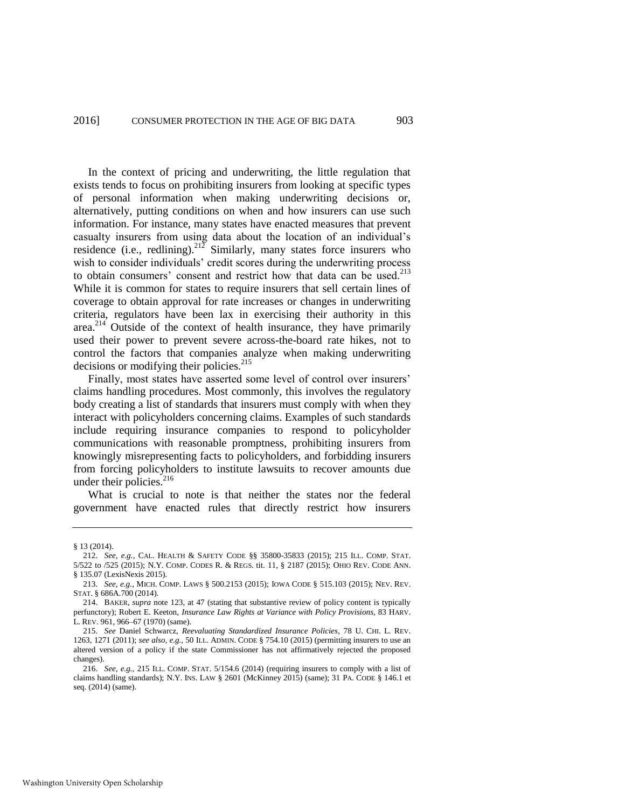In the context of pricing and underwriting, the little regulation that exists tends to focus on prohibiting insurers from looking at specific types of personal information when making underwriting decisions or, alternatively, putting conditions on when and how insurers can use such information. For instance, many states have enacted measures that prevent casualty insurers from using data about the location of an individual's residence (i.e., redlining).<sup>212</sup> Similarly, many states force insurers who wish to consider individuals' credit scores during the underwriting process to obtain consumers' consent and restrict how that data can be used.<sup>213</sup> While it is common for states to require insurers that sell certain lines of coverage to obtain approval for rate increases or changes in underwriting criteria, regulators have been lax in exercising their authority in this area.<sup>214</sup> Outside of the context of health insurance, they have primarily used their power to prevent severe across-the-board rate hikes, not to control the factors that companies analyze when making underwriting decisions or modifying their policies.<sup>215</sup>

Finally, most states have asserted some level of control over insurers' claims handling procedures. Most commonly, this involves the regulatory body creating a list of standards that insurers must comply with when they interact with policyholders concerning claims. Examples of such standards include requiring insurance companies to respond to policyholder communications with reasonable promptness, prohibiting insurers from knowingly misrepresenting facts to policyholders, and forbidding insurers from forcing policyholders to institute lawsuits to recover amounts due under their policies.<sup>216</sup>

What is crucial to note is that neither the states nor the federal government have enacted rules that directly restrict how insurers

<sup>§ 13 (2014).</sup> 

<sup>212.</sup> *See, e.g.*, CAL. HEALTH & SAFETY CODE §§ 35800-35833 (2015); 215 ILL. COMP. STAT. 5/522 to /525 (2015); N.Y. COMP. CODES R. & REGS. tit. 11, § 2187 (2015); OHIO REV. CODE ANN. § 135.07 (LexisNexis 2015).

<sup>213.</sup> *See, e.g.*, MICH. COMP. LAWS § 500.2153 (2015); IOWA CODE § 515.103 (2015); NEV. REV. STAT. § 686A.700 (2014).

<sup>214.</sup> BAKER, *supra* note [123,](#page-27-0) at 47 (stating that substantive review of policy content is typically perfunctory); Robert E. Keeton, *Insurance Law Rights at Variance with Policy Provisions*, 83 HARV. L. REV. 961, 966–67 (1970) (same).

<sup>215.</sup> *See* Daniel Schwarcz, *Reevaluating Standardized Insurance Policies*, 78 U. CHI. L. REV. 1263, 1271 (2011); *see also, e.g.*, 50 ILL. ADMIN. CODE § 754.10 (2015) (permitting insurers to use an altered version of a policy if the state Commissioner has not affirmatively rejected the proposed changes).

<sup>216.</sup> *See, e.g.*, 215 ILL. COMP. STAT. 5/154.6 (2014) (requiring insurers to comply with a list of claims handling standards); N.Y. INS. LAW § 2601 (McKinney 2015) (same); 31 PA. CODE § 146.1 et seq. (2014) (same).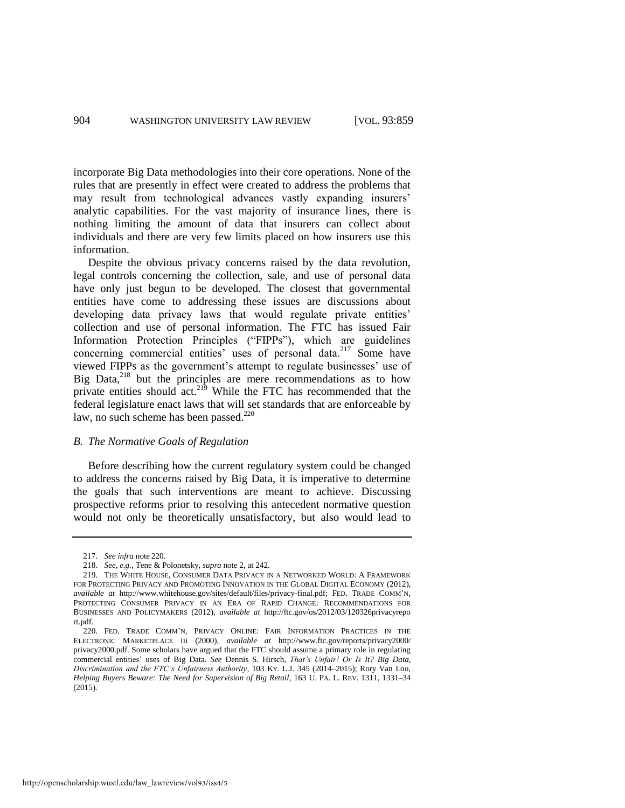incorporate Big Data methodologies into their core operations. None of the rules that are presently in effect were created to address the problems that may result from technological advances vastly expanding insurers' analytic capabilities. For the vast majority of insurance lines, there is nothing limiting the amount of data that insurers can collect about individuals and there are very few limits placed on how insurers use this information.

Despite the obvious privacy concerns raised by the data revolution, legal controls concerning the collection, sale, and use of personal data have only just begun to be developed. The closest that governmental entities have come to addressing these issues are discussions about developing data privacy laws that would regulate private entities' collection and use of personal information. The FTC has issued Fair Information Protection Principles ("FIPPs"), which are guidelines concerning commercial entities' uses of personal data.<sup>217</sup> Some have viewed FIPPs as the government's attempt to regulate businesses' use of Big Data, $2^{18}$  but the principles are mere recommendations as to how private entities should act.<sup>219</sup> While the FTC has recommended that the federal legislature enact laws that will set standards that are enforceable by law, no such scheme has been passed. $220$ 

#### <span id="page-46-0"></span>*B. The Normative Goals of Regulation*

Before describing how the current regulatory system could be changed to address the concerns raised by Big Data, it is imperative to determine the goals that such interventions are meant to achieve. Discussing prospective reforms prior to resolving this antecedent normative question would not only be theoretically unsatisfactory, but also would lead to

<sup>217.</sup> *See infra* note [220.](#page-46-0) 

<sup>218.</sup> *See, e.g.*, Tene & Polonetsky, *supra* not[e 2,](#page-3-1) at 242.

<sup>219.</sup> THE WHITE HOUSE, CONSUMER DATA PRIVACY IN A NETWORKED WORLD: A FRAMEWORK FOR PROTECTING PRIVACY AND PROMOTING INNOVATION IN THE GLOBAL DIGITAL ECONOMY (2012), *available at* http://www.whitehouse.gov/sites/default/files/privacy-final.pdf; FED. TRADE COMM'N, PROTECTING CONSUMER PRIVACY IN AN ERA OF RAPID CHANGE: RECOMMENDATIONS FOR BUSINESSES AND POLICYMAKERS (2012), *available at* http://ftc.gov/os/2012/03/120326privacyrepo rt.pdf.

<sup>220.</sup> FED. TRADE COMM'N, PRIVACY ONLINE: FAIR INFORMATION PRACTICES IN THE ELECTRONIC MARKETPLACE iii (2000), *available at* http://www.ftc.gov/reports/privacy2000/ privacy2000.pdf. Some scholars have argued that the FTC should assume a primary role in regulating commercial entities' uses of Big Data. *See* Dennis S. Hirsch, *That's Unfair! Or Is It? Big Data, Discrimination and the FTC's Unfairness Authority*, 103 KY. L.J. 345 (2014–2015); Rory Van Loo, *Helping Buyers Beware: The Need for Supervision of Big Retail*, 163 U. PA. L. REV. 1311, 1331–34 (2015).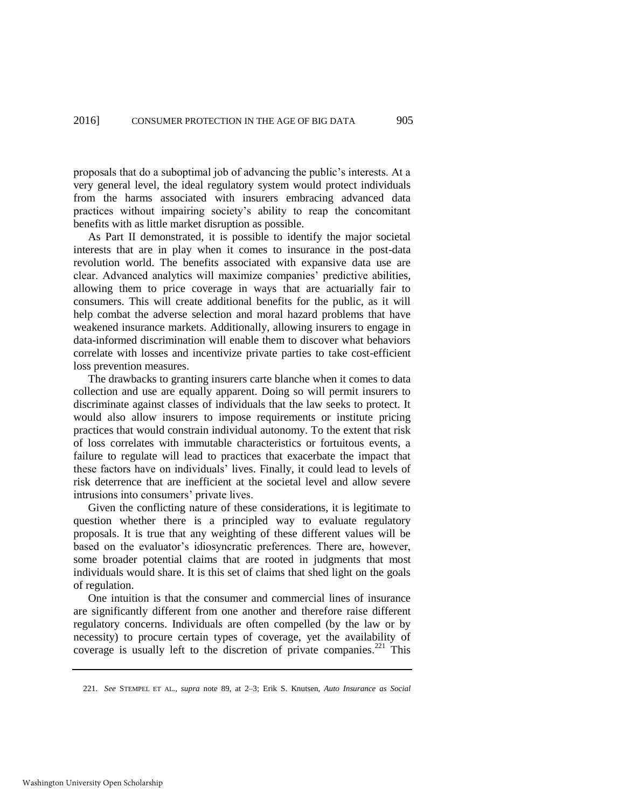proposals that do a suboptimal job of advancing the public's interests. At a very general level, the ideal regulatory system would protect individuals from the harms associated with insurers embracing advanced data practices without impairing society's ability to reap the concomitant benefits with as little market disruption as possible.

As Part II demonstrated, it is possible to identify the major societal interests that are in play when it comes to insurance in the post-data revolution world. The benefits associated with expansive data use are clear. Advanced analytics will maximize companies' predictive abilities, allowing them to price coverage in ways that are actuarially fair to consumers. This will create additional benefits for the public, as it will help combat the adverse selection and moral hazard problems that have weakened insurance markets. Additionally, allowing insurers to engage in data-informed discrimination will enable them to discover what behaviors correlate with losses and incentivize private parties to take cost-efficient loss prevention measures.

The drawbacks to granting insurers carte blanche when it comes to data collection and use are equally apparent. Doing so will permit insurers to discriminate against classes of individuals that the law seeks to protect. It would also allow insurers to impose requirements or institute pricing practices that would constrain individual autonomy. To the extent that risk of loss correlates with immutable characteristics or fortuitous events, a failure to regulate will lead to practices that exacerbate the impact that these factors have on individuals' lives. Finally, it could lead to levels of risk deterrence that are inefficient at the societal level and allow severe intrusions into consumers' private lives.

Given the conflicting nature of these considerations, it is legitimate to question whether there is a principled way to evaluate regulatory proposals. It is true that any weighting of these different values will be based on the evaluator's idiosyncratic preferences. There are, however, some broader potential claims that are rooted in judgments that most individuals would share. It is this set of claims that shed light on the goals of regulation.

One intuition is that the consumer and commercial lines of insurance are significantly different from one another and therefore raise different regulatory concerns. Individuals are often compelled (by the law or by necessity) to procure certain types of coverage, yet the availability of coverage is usually left to the discretion of private companies.<sup>221</sup> This

<span id="page-47-0"></span><sup>221.</sup> *See* STEMPEL ET AL., *supra* note [89,](#page-21-1) at 2–3; Erik S. Knutsen, *Auto Insurance as Social*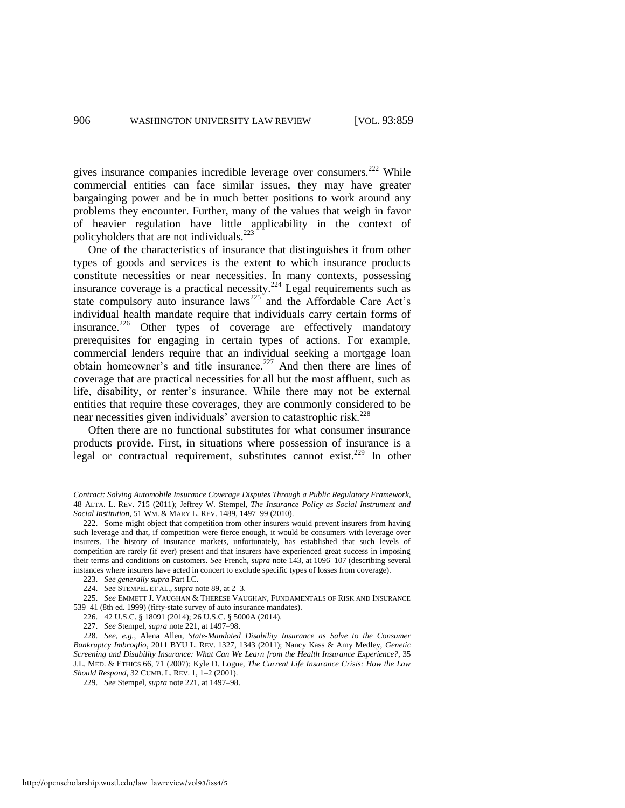gives insurance companies incredible leverage over consumers.<sup>222</sup> While commercial entities can face similar issues, they may have greater bargainging power and be in much better positions to work around any problems they encounter. Further, many of the values that weigh in favor of heavier regulation have little applicability in the context of policyholders that are not individuals.<sup>223</sup>

One of the characteristics of insurance that distinguishes it from other types of goods and services is the extent to which insurance products constitute necessities or near necessities. In many contexts, possessing insurance coverage is a practical necessity.<sup>224</sup> Legal requirements such as state compulsory auto insurance  $laws^{225}$  and the Affordable Care Act's individual health mandate require that individuals carry certain forms of insurance.<sup>226</sup> Other types of coverage are effectively mandatory prerequisites for engaging in certain types of actions. For example, commercial lenders require that an individual seeking a mortgage loan obtain homeowner's and title insurance.<sup>227</sup> And then there are lines of coverage that are practical necessities for all but the most affluent, such as life, disability, or renter's insurance. While there may not be external entities that require these coverages, they are commonly considered to be near necessities given individuals' aversion to catastrophic risk.<sup>228</sup>

<span id="page-48-0"></span>Often there are no functional substitutes for what consumer insurance products provide. First, in situations where possession of insurance is a legal or contractual requirement, substitutes cannot exist.<sup>229</sup> In other

*Contract: Solving Automobile Insurance Coverage Disputes Through a Public Regulatory Framework*, 48 ALTA. L. REV. 715 (2011); Jeffrey W. Stempel, *The Insurance Policy as Social Instrument and Social Institution*, 51 WM. & MARY L. REV. 1489, 1497–99 (2010).

<sup>222.</sup> Some might object that competition from other insurers would prevent insurers from having such leverage and that, if competition were fierce enough, it would be consumers with leverage over insurers. The history of insurance markets, unfortunately, has established that such levels of competition are rarely (if ever) present and that insurers have experienced great success in imposing their terms and conditions on customers. *See* French, *supra* note [143,](#page-31-0) at 1096–107 (describing several instances where insurers have acted in concert to exclude specific types of losses from coverage).

<sup>223.</sup> *See generally supra* Part I.C.

<sup>224.</sup> *See* STEMPEL ET AL., *supra* not[e 89,](#page-21-1) at 2–3.

<sup>225.</sup> *See* EMMETT J. VAUGHAN & THERESE VAUGHAN, FUNDAMENTALS OF RISK AND INSURANCE 539–41 (8th ed. 1999) (fifty-state survey of auto insurance mandates).

<sup>226. 42</sup> U.S.C. § 18091 (2014); 26 U.S.C. § 5000A (2014).

<sup>227.</sup> *See* Stempel, *supra* not[e 221,](#page-47-0) at 1497–98.

<sup>228.</sup> *See, e.g.*, Alena Allen, *State-Mandated Disability Insurance as Salve to the Consumer Bankruptcy Imbroglio*, 2011 BYU L. REV. 1327, 1343 (2011); Nancy Kass & Amy Medley, *Genetic Screening and Disability Insurance: What Can We Learn from the Health Insurance Experience?*, 35 J.L. MED. & ETHICS 66, 71 (2007); Kyle D. Logue, *The Current Life Insurance Crisis: How the Law Should Respond*, 32 CUMB. L. REV. 1, 1–2 (2001).

<sup>229.</sup> *See* Stempel, *supra* not[e 221,](#page-47-0) at 1497–98.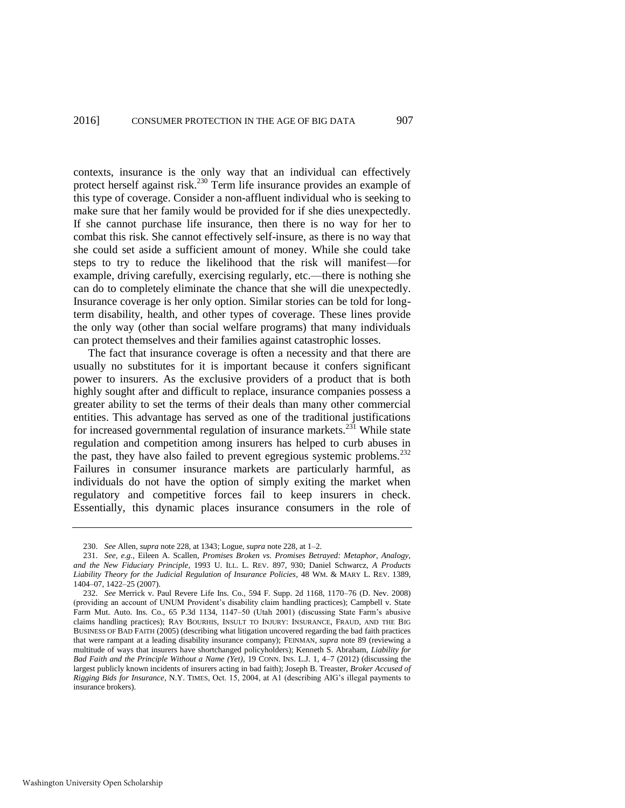contexts, insurance is the only way that an individual can effectively protect herself against risk.<sup>230</sup> Term life insurance provides an example of this type of coverage. Consider a non-affluent individual who is seeking to make sure that her family would be provided for if she dies unexpectedly. If she cannot purchase life insurance, then there is no way for her to combat this risk. She cannot effectively self-insure, as there is no way that she could set aside a sufficient amount of money. While she could take steps to try to reduce the likelihood that the risk will manifest—for example, driving carefully, exercising regularly, etc.—there is nothing she can do to completely eliminate the chance that she will die unexpectedly. Insurance coverage is her only option. Similar stories can be told for longterm disability, health, and other types of coverage. These lines provide the only way (other than social welfare programs) that many individuals can protect themselves and their families against catastrophic losses.

The fact that insurance coverage is often a necessity and that there are usually no substitutes for it is important because it confers significant power to insurers. As the exclusive providers of a product that is both highly sought after and difficult to replace, insurance companies possess a greater ability to set the terms of their deals than many other commercial entities. This advantage has served as one of the traditional justifications for increased governmental regulation of insurance markets.<sup>231</sup> While state regulation and competition among insurers has helped to curb abuses in the past, they have also failed to prevent egregious systemic problems. $^{232}$ Failures in consumer insurance markets are particularly harmful, as individuals do not have the option of simply exiting the market when regulatory and competitive forces fail to keep insurers in check. Essentially, this dynamic places insurance consumers in the role of

<sup>230.</sup> *See* Allen, *supra* not[e 228,](#page-48-0) at 1343; Logue, *supra* not[e 228,](#page-48-0) at 1–2.

<sup>231.</sup> *See, e.g.*, Eileen A. Scallen, *Promises Broken vs. Promises Betrayed: Metaphor, Analogy, and the New Fiduciary Principle*, 1993 U. ILL. L. REV. 897, 930; Daniel Schwarcz, *A Products Liability Theory for the Judicial Regulation of Insurance Policies*, 48 WM. & MARY L. REV. 1389, 1404–07, 1422–25 (2007).

<sup>232.</sup> *See* Merrick v. Paul Revere Life Ins. Co., 594 F. Supp. 2d 1168, 1170–76 (D. Nev. 2008) (providing an account of UNUM Provident's disability claim handling practices); Campbell v. State Farm Mut. Auto. Ins. Co., 65 P.3d 1134, 1147–50 (Utah 2001) (discussing State Farm's abusive claims handling practices); RAY BOURHIS, INSULT TO INJURY: INSURANCE, FRAUD, AND THE BIG BUSINESS OF BAD FAITH (2005) (describing what litigation uncovered regarding the bad faith practices that were rampant at a leading disability insurance company); FEINMAN, *supra* not[e 89](#page-21-1) (reviewing a multitude of ways that insurers have shortchanged policyholders); Kenneth S. Abraham, *Liability for Bad Faith and the Principle Without a Name (Yet)*, 19 CONN. INS. L.J. 1, 4–7 (2012) (discussing the largest publicly known incidents of insurers acting in bad faith); Joseph B. Treaster, *Broker Accused of Rigging Bids for Insurance*, N.Y. TIMES, Oct. 15, 2004, at A1 (describing AIG's illegal payments to insurance brokers).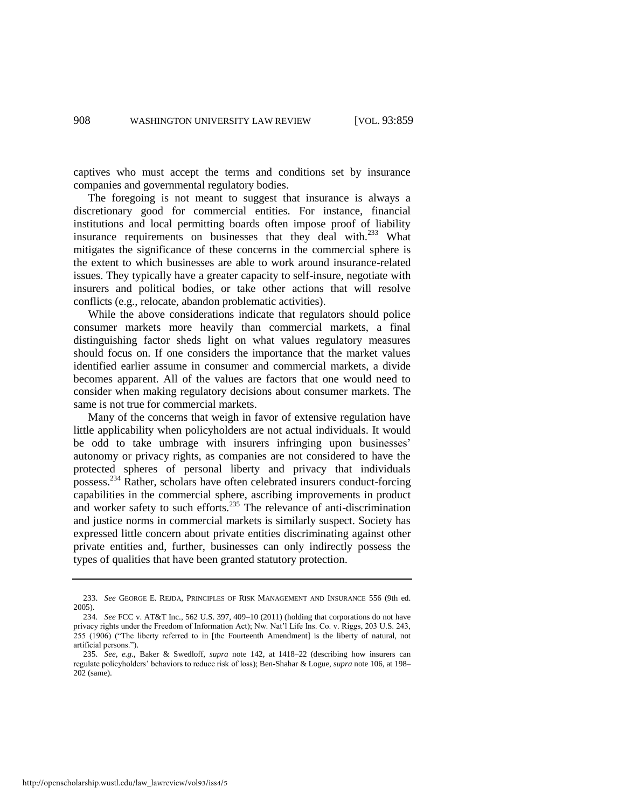captives who must accept the terms and conditions set by insurance companies and governmental regulatory bodies.

The foregoing is not meant to suggest that insurance is always a discretionary good for commercial entities. For instance, financial institutions and local permitting boards often impose proof of liability insurance requirements on businesses that they deal with.<sup>233</sup> What mitigates the significance of these concerns in the commercial sphere is the extent to which businesses are able to work around insurance-related issues. They typically have a greater capacity to self-insure, negotiate with insurers and political bodies, or take other actions that will resolve conflicts (e.g., relocate, abandon problematic activities).

While the above considerations indicate that regulators should police consumer markets more heavily than commercial markets, a final distinguishing factor sheds light on what values regulatory measures should focus on. If one considers the importance that the market values identified earlier assume in consumer and commercial markets, a divide becomes apparent. All of the values are factors that one would need to consider when making regulatory decisions about consumer markets. The same is not true for commercial markets.

Many of the concerns that weigh in favor of extensive regulation have little applicability when policyholders are not actual individuals. It would be odd to take umbrage with insurers infringing upon businesses' autonomy or privacy rights, as companies are not considered to have the protected spheres of personal liberty and privacy that individuals possess.<sup>234</sup> Rather, scholars have often celebrated insurers conduct-forcing capabilities in the commercial sphere, ascribing improvements in product and worker safety to such efforts.<sup>235</sup> The relevance of anti-discrimination and justice norms in commercial markets is similarly suspect. Society has expressed little concern about private entities discriminating against other private entities and, further, businesses can only indirectly possess the types of qualities that have been granted statutory protection.

<sup>233.</sup> *See* GEORGE E. REJDA, PRINCIPLES OF RISK MANAGEMENT AND INSURANCE 556 (9th ed. 2005).

<sup>234.</sup> *See* FCC v. AT&T Inc., 562 U.S. 397, 409–10 (2011) (holding that corporations do not have privacy rights under the Freedom of Information Act); Nw. Nat'l Life Ins. Co. v. Riggs, 203 U.S. 243, 255 (1906) ("The liberty referred to in [the Fourteenth Amendment] is the liberty of natural, not artificial persons.").

<sup>235.</sup> *See, e.g.*, Baker & Swedloff, *supra* note [142,](#page-30-0) at 1418–22 (describing how insurers can regulate policyholders' behaviors to reduce risk of loss); Ben-Shahar & Logue, *supra* not[e 106,](#page-23-0) at 198– 202 (same).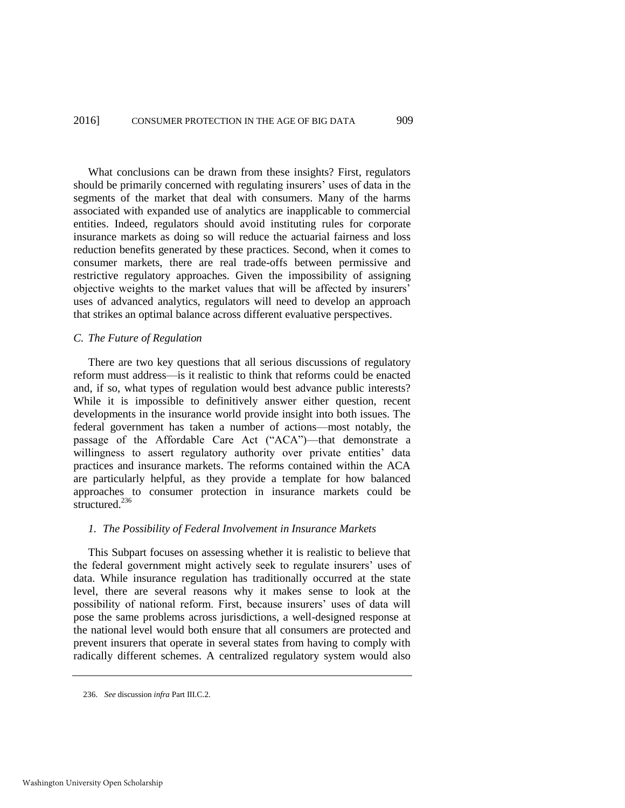What conclusions can be drawn from these insights? First, regulators should be primarily concerned with regulating insurers' uses of data in the segments of the market that deal with consumers. Many of the harms associated with expanded use of analytics are inapplicable to commercial entities. Indeed, regulators should avoid instituting rules for corporate insurance markets as doing so will reduce the actuarial fairness and loss reduction benefits generated by these practices. Second, when it comes to consumer markets, there are real trade-offs between permissive and restrictive regulatory approaches. Given the impossibility of assigning objective weights to the market values that will be affected by insurers' uses of advanced analytics, regulators will need to develop an approach that strikes an optimal balance across different evaluative perspectives.

### *C. The Future of Regulation*

There are two key questions that all serious discussions of regulatory reform must address—is it realistic to think that reforms could be enacted and, if so, what types of regulation would best advance public interests? While it is impossible to definitively answer either question, recent developments in the insurance world provide insight into both issues. The federal government has taken a number of actions—most notably, the passage of the Affordable Care Act ("ACA")—that demonstrate a willingness to assert regulatory authority over private entities' data practices and insurance markets. The reforms contained within the ACA are particularly helpful, as they provide a template for how balanced approaches to consumer protection in insurance markets could be structured.<sup>236</sup>

### *1. The Possibility of Federal Involvement in Insurance Markets*

This Subpart focuses on assessing whether it is realistic to believe that the federal government might actively seek to regulate insurers' uses of data. While insurance regulation has traditionally occurred at the state level, there are several reasons why it makes sense to look at the possibility of national reform. First, because insurers' uses of data will pose the same problems across jurisdictions, a well-designed response at the national level would both ensure that all consumers are protected and prevent insurers that operate in several states from having to comply with radically different schemes. A centralized regulatory system would also

<sup>236.</sup> *See* discussion *infra* Part III.C.2.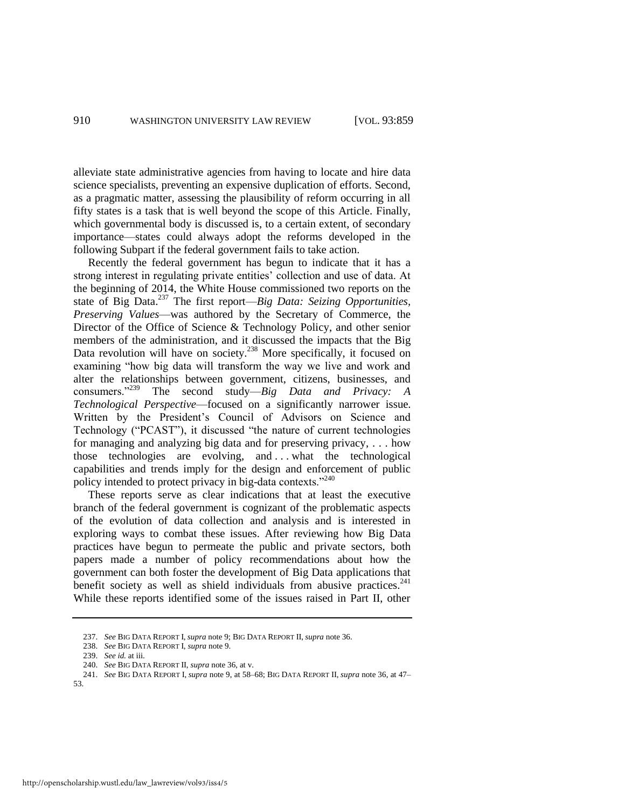alleviate state administrative agencies from having to locate and hire data science specialists, preventing an expensive duplication of efforts. Second, as a pragmatic matter, assessing the plausibility of reform occurring in all fifty states is a task that is well beyond the scope of this Article. Finally, which governmental body is discussed is, to a certain extent, of secondary importance—states could always adopt the reforms developed in the following Subpart if the federal government fails to take action.

Recently the federal government has begun to indicate that it has a strong interest in regulating private entities' collection and use of data. At the beginning of 2014, the White House commissioned two reports on the state of Big Data.<sup>237</sup> The first report—*Big Data: Seizing Opportunities, Preserving Values*—was authored by the Secretary of Commerce, the Director of the Office of Science & Technology Policy, and other senior members of the administration, and it discussed the impacts that the Big Data revolution will have on society.<sup>238</sup> More specifically, it focused on examining "how big data will transform the way we live and work and alter the relationships between government, citizens, businesses, and consumers."<sup>239</sup> The second study—*Big Data and Privacy: A Technological Perspective*—focused on a significantly narrower issue. Written by the President's Council of Advisors on Science and Technology ("PCAST"), it discussed "the nature of current technologies for managing and analyzing big data and for preserving privacy, . . . how those technologies are evolving, and . . . what the technological capabilities and trends imply for the design and enforcement of public policy intended to protect privacy in big-data contexts."<sup>240</sup>

These reports serve as clear indications that at least the executive branch of the federal government is cognizant of the problematic aspects of the evolution of data collection and analysis and is interested in exploring ways to combat these issues. After reviewing how Big Data practices have begun to permeate the public and private sectors, both papers made a number of policy recommendations about how the government can both foster the development of Big Data applications that benefit society as well as shield individuals from abusive practices. $241$ While these reports identified some of the issues raised in Part II, other

53.

<sup>237.</sup> *See* BIG DATA REPORT I, *supra* note [9;](#page-5-0) BIG DATA REPORT II, *supra* not[e 36.](#page-11-0)

<sup>238.</sup> *See* BIG DATA REPORT I, *supra* not[e 9.](#page-5-0)

<sup>239.</sup> *See id.* at iii.

<sup>240.</sup> *See* BIG DATA REPORT II, *supra* note [36,](#page-11-0) at v.

<sup>241.</sup> *See* BIG DATA REPORT I, *supra* not[e 9,](#page-5-0) at 58–68; BIG DATA REPORT II, *supra* not[e 36,](#page-11-0) at 47–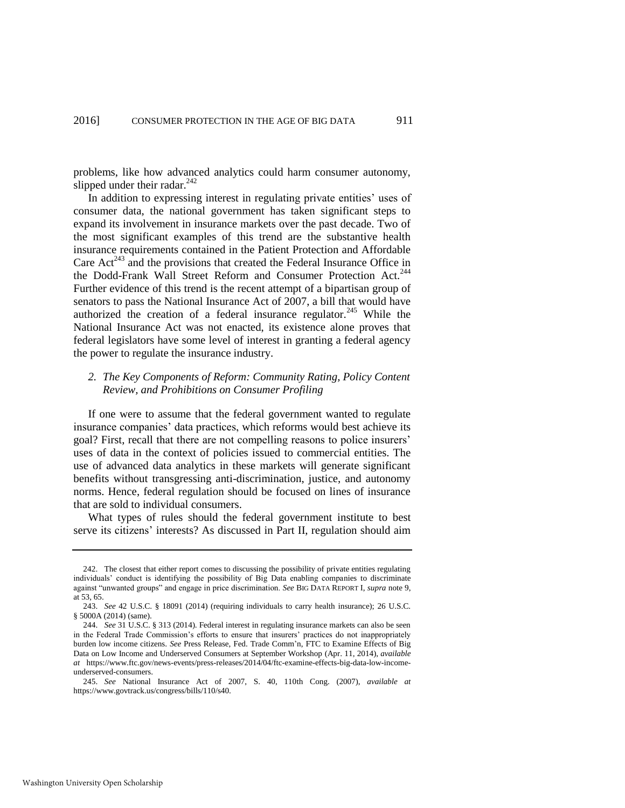problems, like how advanced analytics could harm consumer autonomy, slipped under their radar. $242$ 

In addition to expressing interest in regulating private entities' uses of consumer data, the national government has taken significant steps to expand its involvement in insurance markets over the past decade. Two of the most significant examples of this trend are the substantive health insurance requirements contained in the Patient Protection and Affordable Care  $\text{Act}^{243}$  and the provisions that created the Federal Insurance Office in the Dodd-Frank Wall Street Reform and Consumer Protection Act.<sup>244</sup> Further evidence of this trend is the recent attempt of a bipartisan group of senators to pass the National Insurance Act of 2007, a bill that would have authorized the creation of a federal insurance regulator.<sup>245</sup> While the National Insurance Act was not enacted, its existence alone proves that federal legislators have some level of interest in granting a federal agency the power to regulate the insurance industry.

# *2. The Key Components of Reform: Community Rating, Policy Content Review, and Prohibitions on Consumer Profiling*

If one were to assume that the federal government wanted to regulate insurance companies' data practices, which reforms would best achieve its goal? First, recall that there are not compelling reasons to police insurers' uses of data in the context of policies issued to commercial entities. The use of advanced data analytics in these markets will generate significant benefits without transgressing anti-discrimination, justice, and autonomy norms. Hence, federal regulation should be focused on lines of insurance that are sold to individual consumers.

What types of rules should the federal government institute to best serve its citizens' interests? As discussed in Part II, regulation should aim

<sup>242.</sup> The closest that either report comes to discussing the possibility of private entities regulating individuals' conduct is identifying the possibility of Big Data enabling companies to discriminate against "unwanted groups" and engage in price discrimination. *See* BIG DATA REPORT I, *supra* not[e 9,](#page-5-0)  at 53, 65.

<sup>243.</sup> *See* 42 U.S.C. § 18091 (2014) (requiring individuals to carry health insurance); 26 U.S.C. § 5000A (2014) (same).

<sup>244.</sup> *See* 31 U.S.C. § 313 (2014). Federal interest in regulating insurance markets can also be seen in the Federal Trade Commission's efforts to ensure that insurers' practices do not inappropriately burden low income citizens. *See* Press Release, Fed. Trade Comm'n, FTC to Examine Effects of Big Data on Low Income and Underserved Consumers at September Workshop (Apr. 11, 2014), *available at* https://www.ftc.gov/news-events/press-releases/2014/04/ftc-examine-effects-big-data-low-incomeunderserved-consumers.

<sup>245.</sup> *See* National Insurance Act of 2007, S. 40, 110th Cong. (2007), *available at* https://www.govtrack.us/congress/bills/110/s40.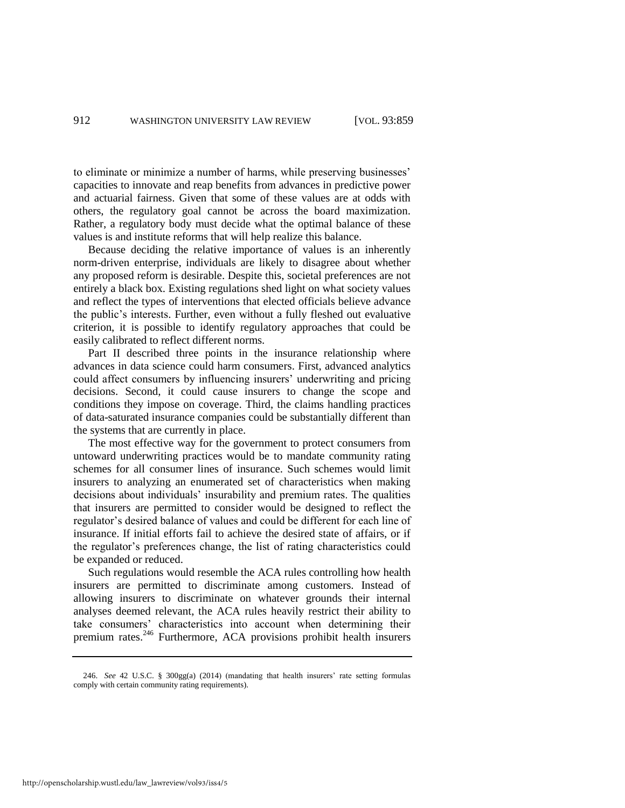to eliminate or minimize a number of harms, while preserving businesses' capacities to innovate and reap benefits from advances in predictive power and actuarial fairness. Given that some of these values are at odds with others, the regulatory goal cannot be across the board maximization. Rather, a regulatory body must decide what the optimal balance of these values is and institute reforms that will help realize this balance.

Because deciding the relative importance of values is an inherently norm-driven enterprise, individuals are likely to disagree about whether any proposed reform is desirable. Despite this, societal preferences are not entirely a black box. Existing regulations shed light on what society values and reflect the types of interventions that elected officials believe advance the public's interests. Further, even without a fully fleshed out evaluative criterion, it is possible to identify regulatory approaches that could be easily calibrated to reflect different norms.

Part II described three points in the insurance relationship where advances in data science could harm consumers. First, advanced analytics could affect consumers by influencing insurers' underwriting and pricing decisions. Second, it could cause insurers to change the scope and conditions they impose on coverage. Third, the claims handling practices of data-saturated insurance companies could be substantially different than the systems that are currently in place.

The most effective way for the government to protect consumers from untoward underwriting practices would be to mandate community rating schemes for all consumer lines of insurance. Such schemes would limit insurers to analyzing an enumerated set of characteristics when making decisions about individuals' insurability and premium rates. The qualities that insurers are permitted to consider would be designed to reflect the regulator's desired balance of values and could be different for each line of insurance. If initial efforts fail to achieve the desired state of affairs, or if the regulator's preferences change, the list of rating characteristics could be expanded or reduced.

Such regulations would resemble the ACA rules controlling how health insurers are permitted to discriminate among customers. Instead of allowing insurers to discriminate on whatever grounds their internal analyses deemed relevant, the ACA rules heavily restrict their ability to take consumers' characteristics into account when determining their premium rates.<sup>246</sup> Furthermore, ACA provisions prohibit health insurers

<sup>246.</sup> *See* 42 U.S.C. § 300gg(a) (2014) (mandating that health insurers' rate setting formulas comply with certain community rating requirements).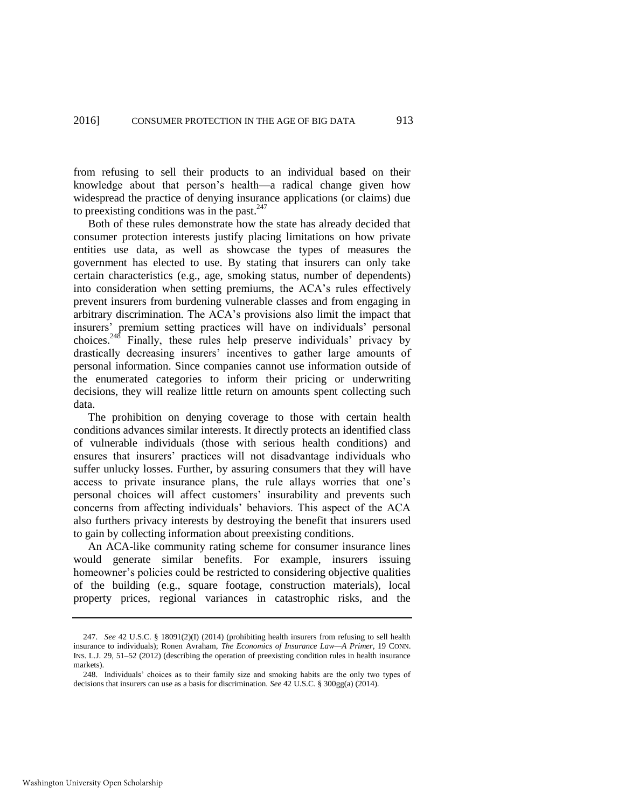from refusing to sell their products to an individual based on their knowledge about that person's health—a radical change given how widespread the practice of denying insurance applications (or claims) due to preexisting conditions was in the past.<sup>247</sup>

Both of these rules demonstrate how the state has already decided that consumer protection interests justify placing limitations on how private entities use data, as well as showcase the types of measures the government has elected to use. By stating that insurers can only take certain characteristics (e.g., age, smoking status, number of dependents) into consideration when setting premiums, the ACA's rules effectively prevent insurers from burdening vulnerable classes and from engaging in arbitrary discrimination. The ACA's provisions also limit the impact that insurers' premium setting practices will have on individuals' personal choices.<sup>248</sup> Finally, these rules help preserve individuals' privacy by drastically decreasing insurers' incentives to gather large amounts of personal information. Since companies cannot use information outside of the enumerated categories to inform their pricing or underwriting decisions, they will realize little return on amounts spent collecting such data.

The prohibition on denying coverage to those with certain health conditions advances similar interests. It directly protects an identified class of vulnerable individuals (those with serious health conditions) and ensures that insurers' practices will not disadvantage individuals who suffer unlucky losses. Further, by assuring consumers that they will have access to private insurance plans, the rule allays worries that one's personal choices will affect customers' insurability and prevents such concerns from affecting individuals' behaviors. This aspect of the ACA also furthers privacy interests by destroying the benefit that insurers used to gain by collecting information about preexisting conditions.

An ACA-like community rating scheme for consumer insurance lines would generate similar benefits. For example, insurers issuing homeowner's policies could be restricted to considering objective qualities of the building (e.g., square footage, construction materials), local property prices, regional variances in catastrophic risks, and the

Washington University Open Scholarship

<sup>247.</sup> *See* 42 U.S.C. § 18091(2)(I) (2014) (prohibiting health insurers from refusing to sell health insurance to individuals); Ronen Avraham, *The Economics of Insurance Law—A Primer*, 19 CONN. INS. L.J. 29, 51–52 (2012) (describing the operation of preexisting condition rules in health insurance markets).

<sup>248.</sup> Individuals' choices as to their family size and smoking habits are the only two types of decisions that insurers can use as a basis for discrimination. *See* 42 U.S.C. § 300gg(a) (2014).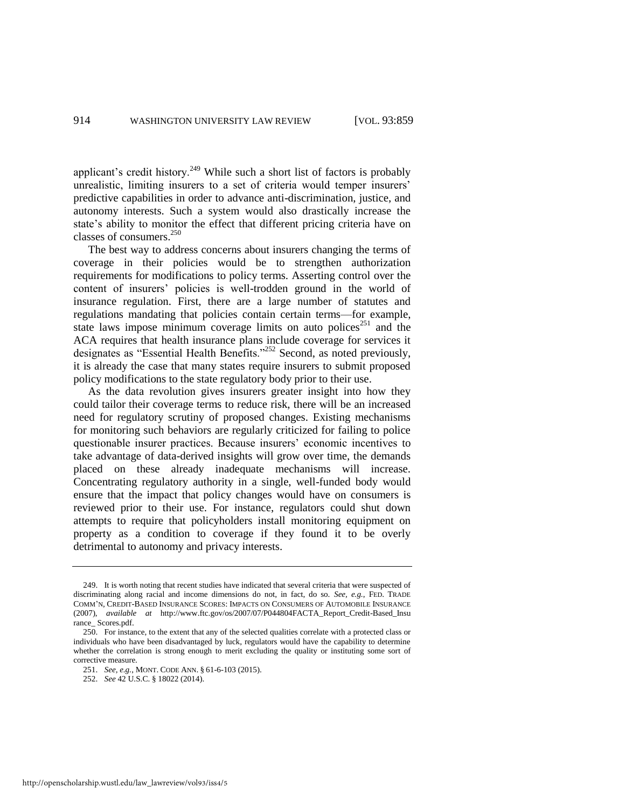applicant's credit history.<sup>249</sup> While such a short list of factors is probably unrealistic, limiting insurers to a set of criteria would temper insurers' predictive capabilities in order to advance anti-discrimination, justice, and autonomy interests. Such a system would also drastically increase the state's ability to monitor the effect that different pricing criteria have on classes of consumers. $^{250}$ 

The best way to address concerns about insurers changing the terms of coverage in their policies would be to strengthen authorization requirements for modifications to policy terms. Asserting control over the content of insurers' policies is well-trodden ground in the world of insurance regulation. First, there are a large number of statutes and regulations mandating that policies contain certain terms—for example, state laws impose minimum coverage limits on auto polices<sup>251</sup> and the ACA requires that health insurance plans include coverage for services it designates as "Essential Health Benefits."<sup>252</sup> Second, as noted previously, it is already the case that many states require insurers to submit proposed policy modifications to the state regulatory body prior to their use.

As the data revolution gives insurers greater insight into how they could tailor their coverage terms to reduce risk, there will be an increased need for regulatory scrutiny of proposed changes. Existing mechanisms for monitoring such behaviors are regularly criticized for failing to police questionable insurer practices. Because insurers' economic incentives to take advantage of data-derived insights will grow over time, the demands placed on these already inadequate mechanisms will increase. Concentrating regulatory authority in a single, well-funded body would ensure that the impact that policy changes would have on consumers is reviewed prior to their use. For instance, regulators could shut down attempts to require that policyholders install monitoring equipment on property as a condition to coverage if they found it to be overly detrimental to autonomy and privacy interests.

<sup>249.</sup> It is worth noting that recent studies have indicated that several criteria that were suspected of discriminating along racial and income dimensions do not, in fact, do so. *See, e.g.*, FED. TRADE COMM'N, CREDIT*-*BASED INSURANCE SCORES: IMPACTS ON CONSUMERS OF AUTOMOBILE INSURANCE (2007), *available at* [http://www.ftc.gov/os/2007/07/P044804FACTA\\_Report\\_Credit-Based\\_Insu](http://www.ftc.gov/os/2007/07/P044804FACTA_Report_Credit-Based_Insu) rance Scores.pdf.

<sup>250.</sup> For instance, to the extent that any of the selected qualities correlate with a protected class or individuals who have been disadvantaged by luck, regulators would have the capability to determine whether the correlation is strong enough to merit excluding the quality or instituting some sort of corrective measure.

<sup>251.</sup> *See, e.g.*, MONT. CODE ANN. § 61-6-103 (2015).

<sup>252.</sup> *See* 42 U.S.C. § 18022 (2014).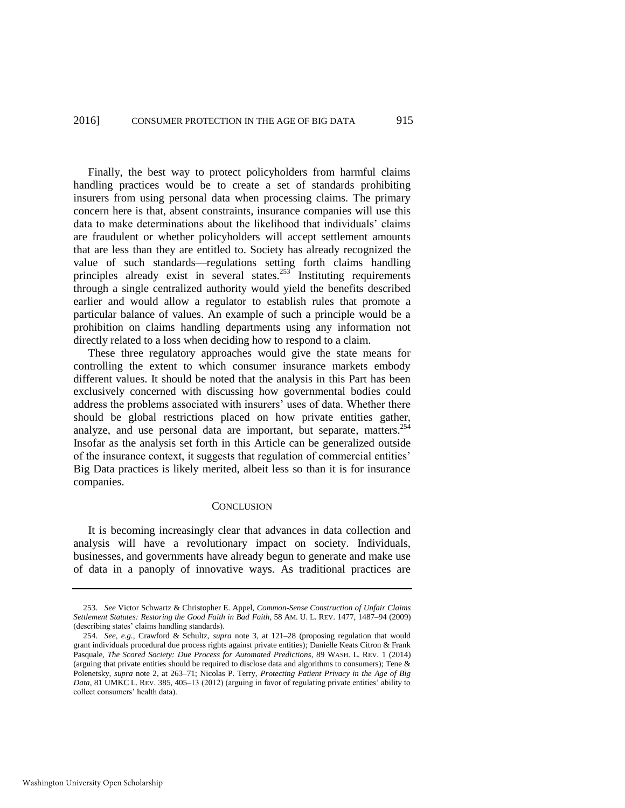Finally, the best way to protect policyholders from harmful claims handling practices would be to create a set of standards prohibiting insurers from using personal data when processing claims. The primary concern here is that, absent constraints, insurance companies will use this data to make determinations about the likelihood that individuals' claims are fraudulent or whether policyholders will accept settlement amounts that are less than they are entitled to. Society has already recognized the value of such standards—regulations setting forth claims handling principles already exist in several states.<sup>253</sup> Instituting requirements through a single centralized authority would yield the benefits described earlier and would allow a regulator to establish rules that promote a particular balance of values. An example of such a principle would be a prohibition on claims handling departments using any information not directly related to a loss when deciding how to respond to a claim.

These three regulatory approaches would give the state means for controlling the extent to which consumer insurance markets embody different values. It should be noted that the analysis in this Part has been exclusively concerned with discussing how governmental bodies could address the problems associated with insurers' uses of data. Whether there should be global restrictions placed on how private entities gather, analyze, and use personal data are important, but separate, matters.  $254$ Insofar as the analysis set forth in this Article can be generalized outside of the insurance context, it suggests that regulation of commercial entities' Big Data practices is likely merited, albeit less so than it is for insurance companies.

#### **CONCLUSION**

It is becoming increasingly clear that advances in data collection and analysis will have a revolutionary impact on society. Individuals, businesses, and governments have already begun to generate and make use of data in a panoply of innovative ways. As traditional practices are

<sup>253.</sup> *See* Victor Schwartz & Christopher E. Appel, *Common-Sense Construction of Unfair Claims Settlement Statutes: Restoring the Good Faith in Bad Faith*, 58 AM. U. L. REV. 1477, 1487–94 (2009) (describing states' claims handling standards).

<sup>254.</sup> *See, e.g.*, Crawford & Schultz, *supra* note [3,](#page-3-2) at 121–28 (proposing regulation that would grant individuals procedural due process rights against private entities); Danielle Keats Citron & Frank Pasquale, *The Scored Society: Due Process for Automated Predictions*, 89 WASH. L. REV. 1 (2014) (arguing that private entities should be required to disclose data and algorithms to consumers); Tene & Polenetsky, *supra* note [2,](#page-3-1) at 263–71; Nicolas P. Terry, *Protecting Patient Privacy in the Age of Big Data*, 81 UMKC L. REV. 385, 405–13 (2012) (arguing in favor of regulating private entities' ability to collect consumers' health data).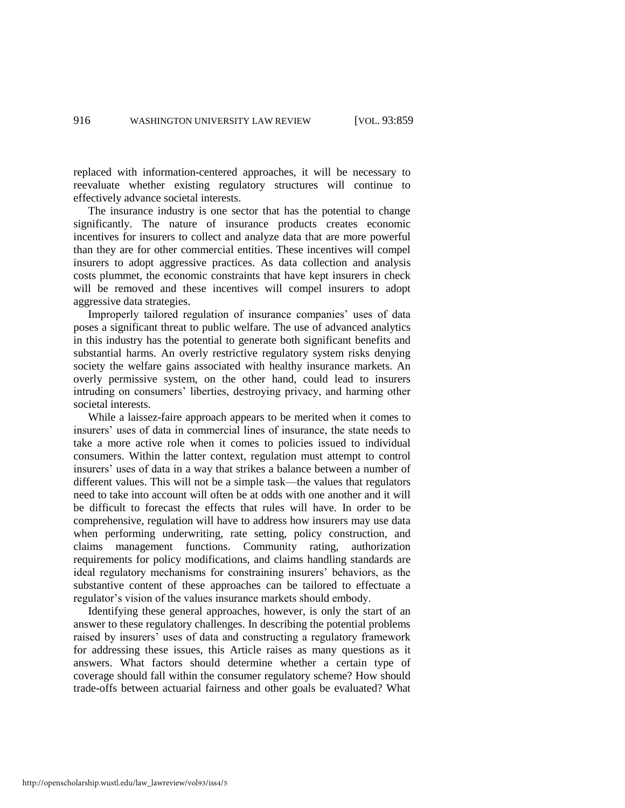replaced with information-centered approaches, it will be necessary to reevaluate whether existing regulatory structures will continue to effectively advance societal interests.

The insurance industry is one sector that has the potential to change significantly. The nature of insurance products creates economic incentives for insurers to collect and analyze data that are more powerful than they are for other commercial entities. These incentives will compel insurers to adopt aggressive practices. As data collection and analysis costs plummet, the economic constraints that have kept insurers in check will be removed and these incentives will compel insurers to adopt aggressive data strategies.

Improperly tailored regulation of insurance companies' uses of data poses a significant threat to public welfare. The use of advanced analytics in this industry has the potential to generate both significant benefits and substantial harms. An overly restrictive regulatory system risks denying society the welfare gains associated with healthy insurance markets. An overly permissive system, on the other hand, could lead to insurers intruding on consumers' liberties, destroying privacy, and harming other societal interests.

While a laissez-faire approach appears to be merited when it comes to insurers' uses of data in commercial lines of insurance, the state needs to take a more active role when it comes to policies issued to individual consumers. Within the latter context, regulation must attempt to control insurers' uses of data in a way that strikes a balance between a number of different values. This will not be a simple task—the values that regulators need to take into account will often be at odds with one another and it will be difficult to forecast the effects that rules will have. In order to be comprehensive, regulation will have to address how insurers may use data when performing underwriting, rate setting, policy construction, and claims management functions. Community rating, authorization requirements for policy modifications, and claims handling standards are ideal regulatory mechanisms for constraining insurers' behaviors, as the substantive content of these approaches can be tailored to effectuate a regulator's vision of the values insurance markets should embody.

Identifying these general approaches, however, is only the start of an answer to these regulatory challenges. In describing the potential problems raised by insurers' uses of data and constructing a regulatory framework for addressing these issues, this Article raises as many questions as it answers. What factors should determine whether a certain type of coverage should fall within the consumer regulatory scheme? How should trade-offs between actuarial fairness and other goals be evaluated? What